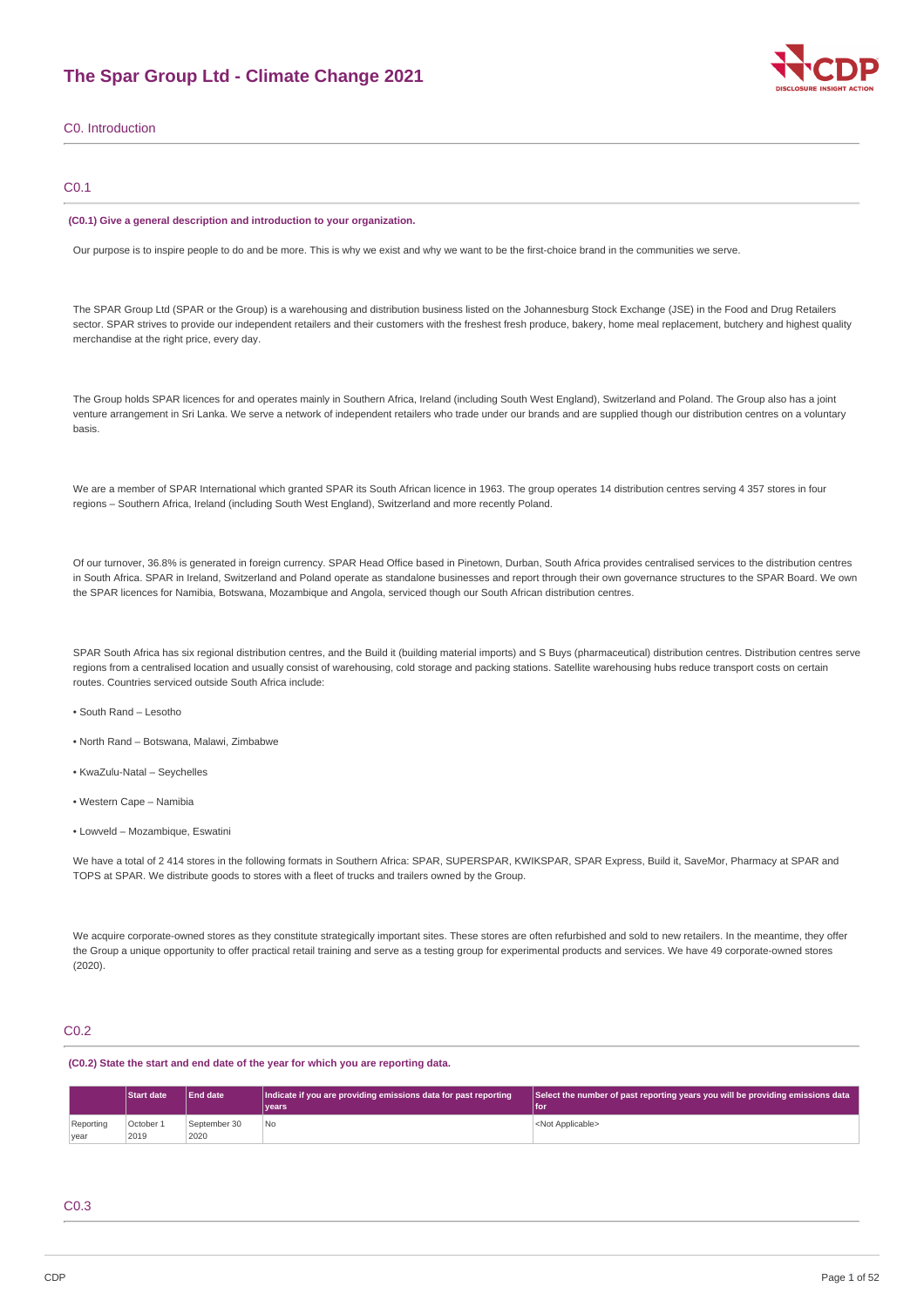# **The Spar Group Ltd - Climate Change 2021**



# C0. Introduction

## C0.1

#### **(C0.1) Give a general description and introduction to your organization.**

Our purpose is to inspire people to do and be more. This is why we exist and why we want to be the first-choice brand in the communities we serve.

The SPAR Group Ltd (SPAR or the Group) is a warehousing and distribution business listed on the Johannesburg Stock Exchange (JSE) in the Food and Drug Retailers sector. SPAR strives to provide our independent retailers and their customers with the freshest fresh produce, bakery, home meal replacement, butchery and highest quality merchandise at the right price, every day.

The Group holds SPAR licences for and operates mainly in Southern Africa, Ireland (including South West England), Switzerland and Poland. The Group also has a joint venture arrangement in Sri Lanka. We serve a network of independent retailers who trade under our brands and are supplied though our distribution centres on a voluntary basis.

We are a member of SPAR International which granted SPAR its South African licence in 1963. The group operates 14 distribution centres serving 4 357 stores in four regions – Southern Africa, Ireland (including South West England), Switzerland and more recently Poland.

Of our turnover, 36.8% is generated in foreign currency. SPAR Head Office based in Pinetown, Durban, South Africa provides centralised services to the distribution centres in South Africa. SPAR in Ireland, Switzerland and Poland operate as standalone businesses and report through their own governance structures to the SPAR Board. We own the SPAR licences for Namibia, Botswana, Mozambique and Angola, serviced though our South African distribution centres.

SPAR South Africa has six regional distribution centres, and the Build it (building material imports) and S Buys (pharmaceutical) distribution centres. Distribution centres serve regions from a centralised location and usually consist of warehousing, cold storage and packing stations. Satellite warehousing hubs reduce transport costs on certain routes. Countries serviced outside South Africa include:

- South Rand Lesotho
- North Rand Botswana, Malawi, Zimbabwe
- KwaZulu-Natal Seychelles
- Western Cape Namibia
- Lowveld Mozambique, Eswatini

We have a total of 2 414 stores in the following formats in Southern Africa: SPAR, SUPERSPAR, KWIKSPAR, SPAR Express, Build it, SaveMor, Pharmacy at SPAR and TOPS at SPAR. We distribute goods to stores with a fleet of trucks and trailers owned by the Group.

We acquire corporate-owned stores as they constitute strategically important sites. These stores are often refurbished and sold to new retailers. In the meantime, they offer the Group a unique opportunity to offer practical retail training and serve as a testing group for experimental products and services. We have 49 corporate-owned stores  $(2020)$ 

## C0.2

**(C0.2) State the start and end date of the year for which you are reporting data.**

|                   | Start date        | <b>End date</b>      | Indicate if you are providing emissions data for past reporting<br>vears | Select the number of past reporting years you will be providing emissions data<br><b>Ifor</b> |
|-------------------|-------------------|----------------------|--------------------------------------------------------------------------|-----------------------------------------------------------------------------------------------|
| Reporting<br>vear | October 1<br>2019 | September 30<br>2020 | No                                                                       | <not applicable=""></not>                                                                     |

### C0.3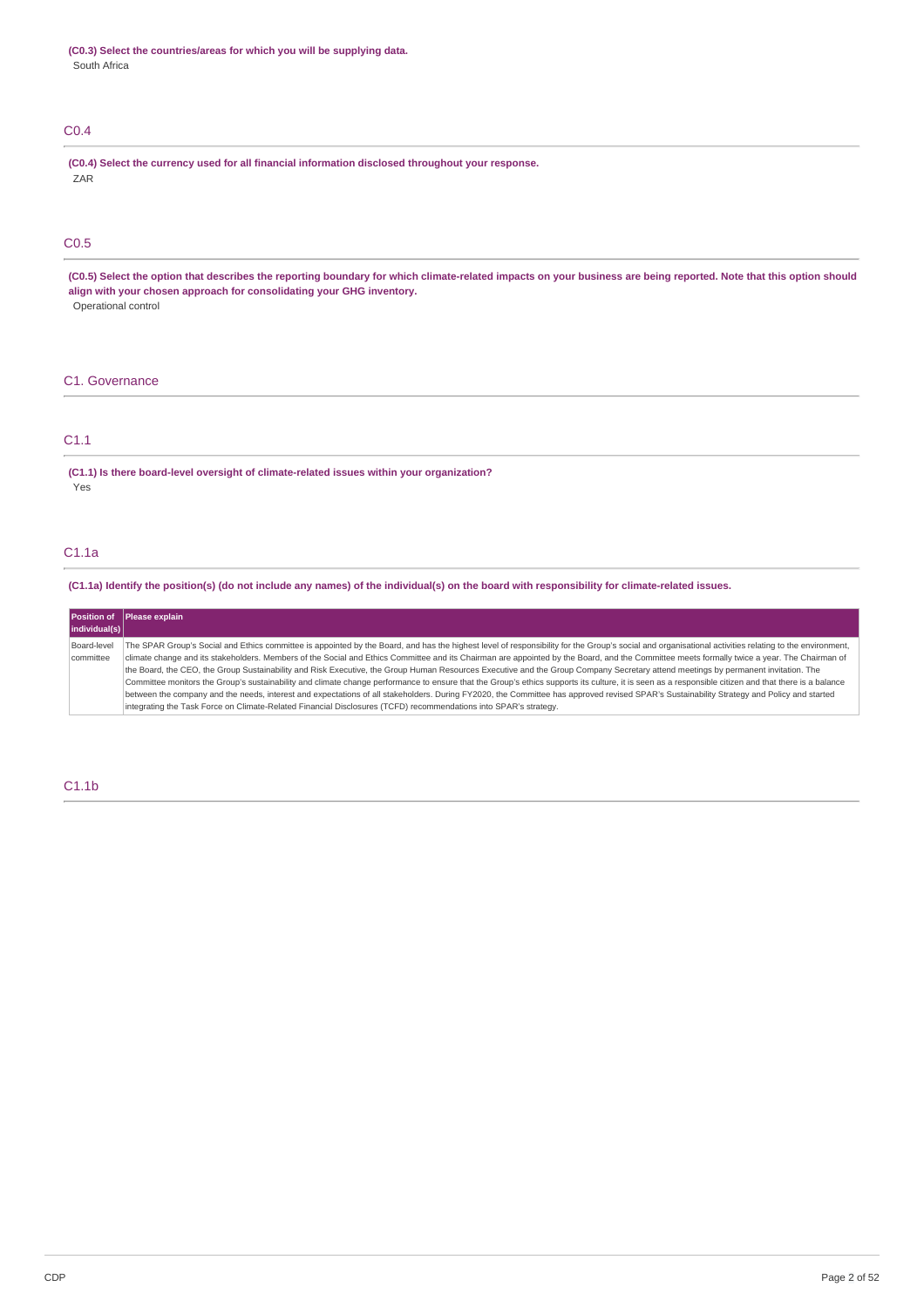# C0.4

**(C0.4) Select the currency used for all financial information disclosed throughout your response.** ZAR

# C0.5

(C0.5) Select the option that describes the reporting boundary for which climate-related impacts on your business are being reported. Note that this option should **align with your chosen approach for consolidating your GHG inventory.** Operational control

# C1. Governance

# C1.1

**(C1.1) Is there board-level oversight of climate-related issues within your organization?** Yes

# C1.1a

(C1.1a) Identify the position(s) (do not include any names) of the individual(s) on the board with responsibility for climate-related issues.

|               | Position of Please explain                                                                                                                                                                            |
|---------------|-------------------------------------------------------------------------------------------------------------------------------------------------------------------------------------------------------|
| individual(s) |                                                                                                                                                                                                       |
| Board-level   | The SPAR Group's Social and Ethics committee is appointed by the Board, and has the highest level of responsibility for the Group's social and organisational activities relating to the environment, |
| committee     | climate change and its stakeholders. Members of the Social and Ethics Committee and its Chairman are appointed by the Board, and the Committee meets formally twice a year. The Chairman of           |
|               | the Board, the CEO, the Group Sustainability and Risk Executive, the Group Human Resources Executive and the Group Company Secretary attend meetings by permanent invitation. The                     |
|               | Committee monitors the Group's sustainability and climate change performance to ensure that the Group's ethics supports its culture, it is seen as a responsible citizen and that there is a balance  |
|               | between the company and the needs, interest and expectations of all stakeholders. During FY2020, the Committee has approved revised SPAR's Sustainability Strategy and Policy and started             |
|               | integrating the Task Force on Climate-Related Financial Disclosures (TCFD) recommendations into SPAR's strategy.                                                                                      |

# C1.1b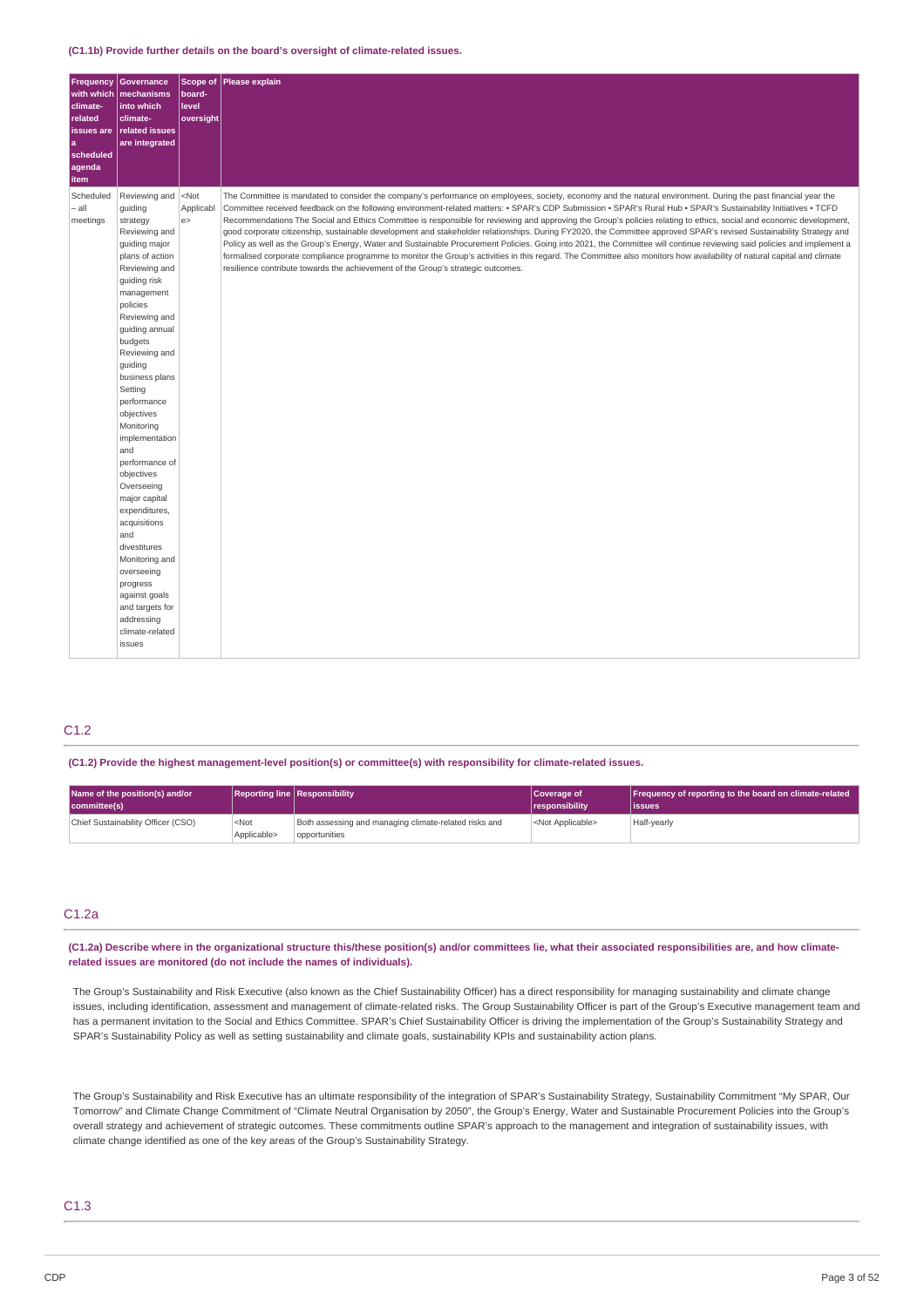#### **(C1.1b) Provide further details on the board's oversight of climate-related issues.**

| climate-<br>related<br>issues are<br> a<br>scheduled<br>agenda<br>item | <b>Frequency Governance</b><br>with which   mechanisms<br>into which<br>climate-<br>related issues<br>are integrated                                                                                                                                                                                                                                                                                                                                                                                                                                                                                                                | <b>Scope of</b><br>board-<br>level<br>oversight | Please explain                                                                                                                                                                                                                                                                                                                                                                                                                                                                                                                                                                                                                                                                                                                                                                                                                                                                                                                                                                                                                                                                                                            |
|------------------------------------------------------------------------|-------------------------------------------------------------------------------------------------------------------------------------------------------------------------------------------------------------------------------------------------------------------------------------------------------------------------------------------------------------------------------------------------------------------------------------------------------------------------------------------------------------------------------------------------------------------------------------------------------------------------------------|-------------------------------------------------|---------------------------------------------------------------------------------------------------------------------------------------------------------------------------------------------------------------------------------------------------------------------------------------------------------------------------------------------------------------------------------------------------------------------------------------------------------------------------------------------------------------------------------------------------------------------------------------------------------------------------------------------------------------------------------------------------------------------------------------------------------------------------------------------------------------------------------------------------------------------------------------------------------------------------------------------------------------------------------------------------------------------------------------------------------------------------------------------------------------------------|
| Scheduled<br>- all<br>meetings                                         | Reviewing and <not<br>guiding<br/>strategy<br/>Reviewing and<br/>quiding major<br/>plans of action<br/>Reviewing and<br/>guiding risk<br/>management<br/>policies<br/>Reviewing and<br/>guiding annual<br/>budgets<br/>Reviewing and<br/>guiding<br/>business plans<br/>Setting<br/>performance<br/>objectives<br/>Monitoring<br/>implementation<br/>and<br/>performance of<br/>objectives<br/>Overseeing<br/>major capital<br/>expenditures,<br/>acquisitions<br/>and<br/>divestitures<br/>Monitoring and<br/>overseeing<br/>progress<br/>against goals<br/>and targets for<br/>addressing<br/>climate-related<br/>issues</not<br> | Applicabl<br>e >                                | The Committee is mandated to consider the company's performance on employees, society, economy and the natural environment. During the past financial year the<br>Committee received feedback on the following environment-related matters: • SPAR's CDP Submission • SPAR's Rural Hub • SPAR's Sustainability Initiatives • TCFD<br>Recommendations The Social and Ethics Committee is responsible for reviewing and approving the Group's policies relating to ethics, social and economic development,<br>good corporate citizenship, sustainable development and stakeholder relationships. During FY2020, the Committee approved SPAR's revised Sustainability Strategy and<br>Policy as well as the Group's Energy, Water and Sustainable Procurement Policies. Going into 2021, the Committee will continue reviewing said policies and implement a<br>formalised corporate compliance programme to monitor the Group's activities in this regard. The Committee also monitors how availability of natural capital and climate<br>resilience contribute towards the achievement of the Group's strategic outcomes. |

# C1.2

**(C1.2) Provide the highest management-level position(s) or committee(s) with responsibility for climate-related issues.**

| Name of the position(s) and/or<br>committee(s) |                                 | <b>Reporting line Responsibility</b>                                   | Coverage of<br><i><u><b>I</b></u></i> responsibility | Frequency of reporting to the board on climate-related<br>lissues |
|------------------------------------------------|---------------------------------|------------------------------------------------------------------------|------------------------------------------------------|-------------------------------------------------------------------|
| Chief Sustainability Officer (CSO)             | <not<br>Applicable&gt;</not<br> | Both assessing and managing climate-related risks and<br>opportunities | <not applicable=""></not>                            | Half-yearly                                                       |

## C1.2a

(C1.2a) Describe where in the organizational structure this/these position(s) and/or committees lie, what their associated responsibilities are, and how climate**related issues are monitored (do not include the names of individuals).**

The Group's Sustainability and Risk Executive (also known as the Chief Sustainability Officer) has a direct responsibility for managing sustainability and climate change issues, including identification, assessment and management of climate-related risks. The Group Sustainability Officer is part of the Group's Executive management team and has a permanent invitation to the Social and Ethics Committee. SPAR's Chief Sustainability Officer is driving the implementation of the Group's Sustainability Strategy and SPAR's Sustainability Policy as well as setting sustainability and climate goals, sustainability KPIs and sustainability action plans.

The Group's Sustainability and Risk Executive has an ultimate responsibility of the integration of SPAR's Sustainability Strategy, Sustainability Commitment "My SPAR, Our Tomorrow" and Climate Change Commitment of "Climate Neutral Organisation by 2050", the Group's Energy, Water and Sustainable Procurement Policies into the Group's overall strategy and achievement of strategic outcomes. These commitments outline SPAR's approach to the management and integration of sustainability issues, with climate change identified as one of the key areas of the Group's Sustainability Strategy.

## C1.3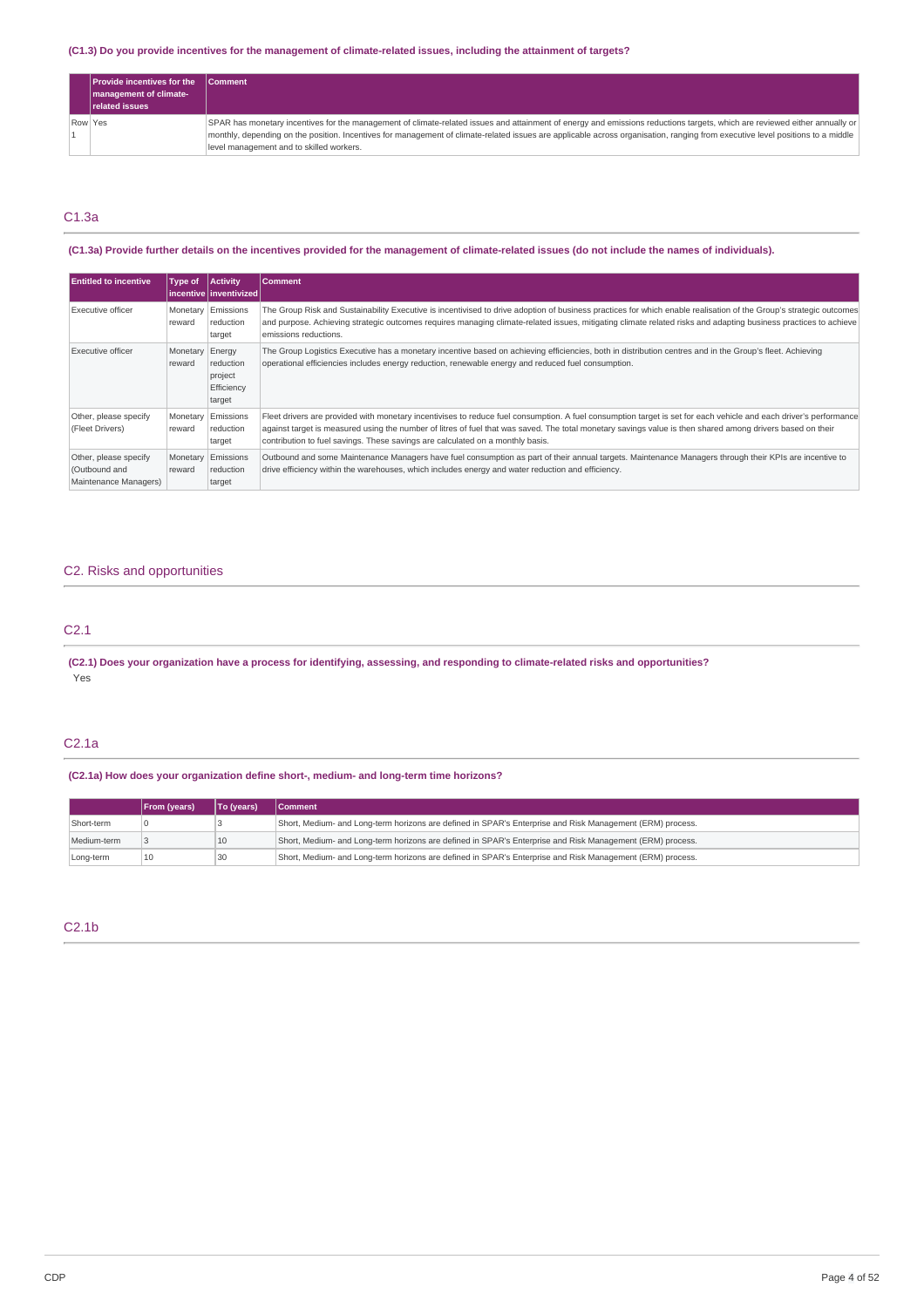## (C1.3) Do you provide incentives for the management of climate-related issues, including the attainment of targets?

|         | <b>Provide incentives for the</b><br>management of climate-<br><b>related issues</b> | <b>Comment</b>                                                                                                                                                                                                                                                                                                                                                                                           |
|---------|--------------------------------------------------------------------------------------|----------------------------------------------------------------------------------------------------------------------------------------------------------------------------------------------------------------------------------------------------------------------------------------------------------------------------------------------------------------------------------------------------------|
| Row Yes |                                                                                      | SPAR has monetary incentives for the management of climate-related issues and attainment of energy and emissions reductions targets, which are reviewed either annually or<br>monthly, depending on the position. Incentives for management of climate-related issues are applicable across organisation, ranging from executive level positions to a middle<br>level management and to skilled workers. |

# C1.3a

# (C1.3a) Provide further details on the incentives provided for the management of climate-related issues (do not include the names of individuals).

| <b>Entitled to incentive</b>                                    | Type of            | <b>Activity</b><br>l incentive l inventivized l        | <b>Comment</b>                                                                                                                                                                                                                                                                                                                                                                                                    |
|-----------------------------------------------------------------|--------------------|--------------------------------------------------------|-------------------------------------------------------------------------------------------------------------------------------------------------------------------------------------------------------------------------------------------------------------------------------------------------------------------------------------------------------------------------------------------------------------------|
| Executive officer                                               | Monetary<br>reward | Emissions<br>reduction<br>target                       | The Group Risk and Sustainability Executive is incentivised to drive adoption of business practices for which enable realisation of the Group's strategic outcomes<br>and purpose. Achieving strategic outcomes requires managing climate-related issues, mitigating climate related risks and adapting business practices to achieve<br>emissions reductions.                                                    |
| Executive officer                                               | Monetary<br>reward | Energy<br>reduction<br>project<br>Efficiency<br>target | The Group Logistics Executive has a monetary incentive based on achieving efficiencies, both in distribution centres and in the Group's fleet. Achieving<br>operational efficiencies includes energy reduction, renewable energy and reduced fuel consumption.                                                                                                                                                    |
| Other, please specify<br>(Fleet Drivers)                        | Monetary<br>reward | Emissions<br>reduction<br>target                       | Fleet drivers are provided with monetary incentivises to reduce fuel consumption. A fuel consumption target is set for each vehicle and each driver's performance<br>against target is measured using the number of litres of fuel that was saved. The total monetary savings value is then shared among drivers based on their<br>contribution to fuel savings. These savings are calculated on a monthly basis. |
| Other, please specify<br>(Outbound and<br>Maintenance Managers) | Monetary<br>reward | Emissions<br>reduction<br>target                       | Outbound and some Maintenance Managers have fuel consumption as part of their annual targets. Maintenance Managers through their KPIs are incentive to<br>drive efficiency within the warehouses, which includes energy and water reduction and efficiency.                                                                                                                                                       |

# C2. Risks and opportunities

# C2.1

(C2.1) Does your organization have a process for identifying, assessing, and responding to climate-related risks and opportunities? Yes

# C2.1a

## **(C2.1a) How does your organization define short-, medium- and long-term time horizons?**

|             | <b>From (years)</b> | To (years) | <b>Comment</b>                                                                                            |
|-------------|---------------------|------------|-----------------------------------------------------------------------------------------------------------|
| Short-term  |                     |            | Short, Medium- and Long-term horizons are defined in SPAR's Enterprise and Risk Management (ERM) process. |
| Medium-term |                     | 10         | Short, Medium- and Long-term horizons are defined in SPAR's Enterprise and Risk Management (ERM) process. |
| Long-term   | 10                  | 30         | Short, Medium- and Long-term horizons are defined in SPAR's Enterprise and Risk Management (ERM) process. |

# C2.1b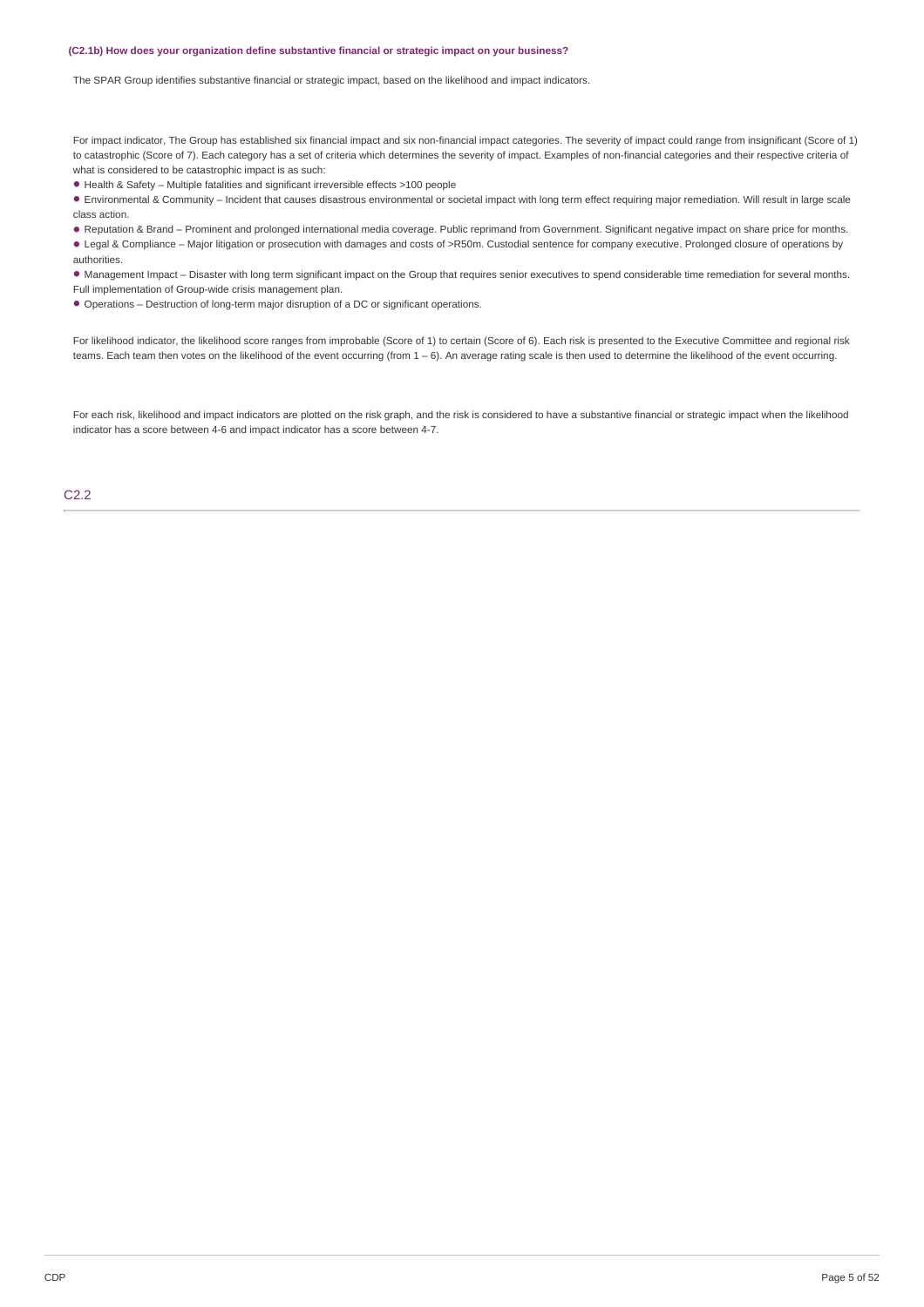#### **(C2.1b) How does your organization define substantive financial or strategic impact on your business?**

The SPAR Group identifies substantive financial or strategic impact, based on the likelihood and impact indicators.

For impact indicator, The Group has established six financial impact and six non-financial impact categories. The severity of impact could range from insignificant (Score of 1) to catastrophic (Score of 7). Each category has a set of criteria which determines the severity of impact. Examples of non-financial categories and their respective criteria of what is considered to be catastrophic impact is as such:

Health & Safety – Multiple fatalities and significant irreversible effects >100 people •

Environmental & Community – Incident that causes disastrous environmental or societal impact with long term effect requiring major remediation. Will result in large scale • class action.

Reputation & Brand – Prominent and prolonged international media coverage. Public reprimand from Government. Significant negative impact on share price for months. • • Legal & Compliance – Major litigation or prosecution with damages and costs of >R50m. Custodial sentence for company executive. Prolonged closure of operations by authorities.

Management Impact – Disaster with long term significant impact on the Group that requires senior executives to spend considerable time remediation for several months. •

Full implementation of Group-wide crisis management plan.

• Operations – Destruction of long-term major disruption of a DC or significant operations.

For likelihood indicator, the likelihood score ranges from improbable (Score of 1) to certain (Score of 6). Each risk is presented to the Executive Committee and regional risk teams. Each team then votes on the likelihood of the event occurring (from  $1-6$ ). An average rating scale is then used to determine the likelihood of the event occurring.

For each risk, likelihood and impact indicators are plotted on the risk graph, and the risk is considered to have a substantive financial or strategic impact when the likelihood indicator has a score between 4-6 and impact indicator has a score between 4-7.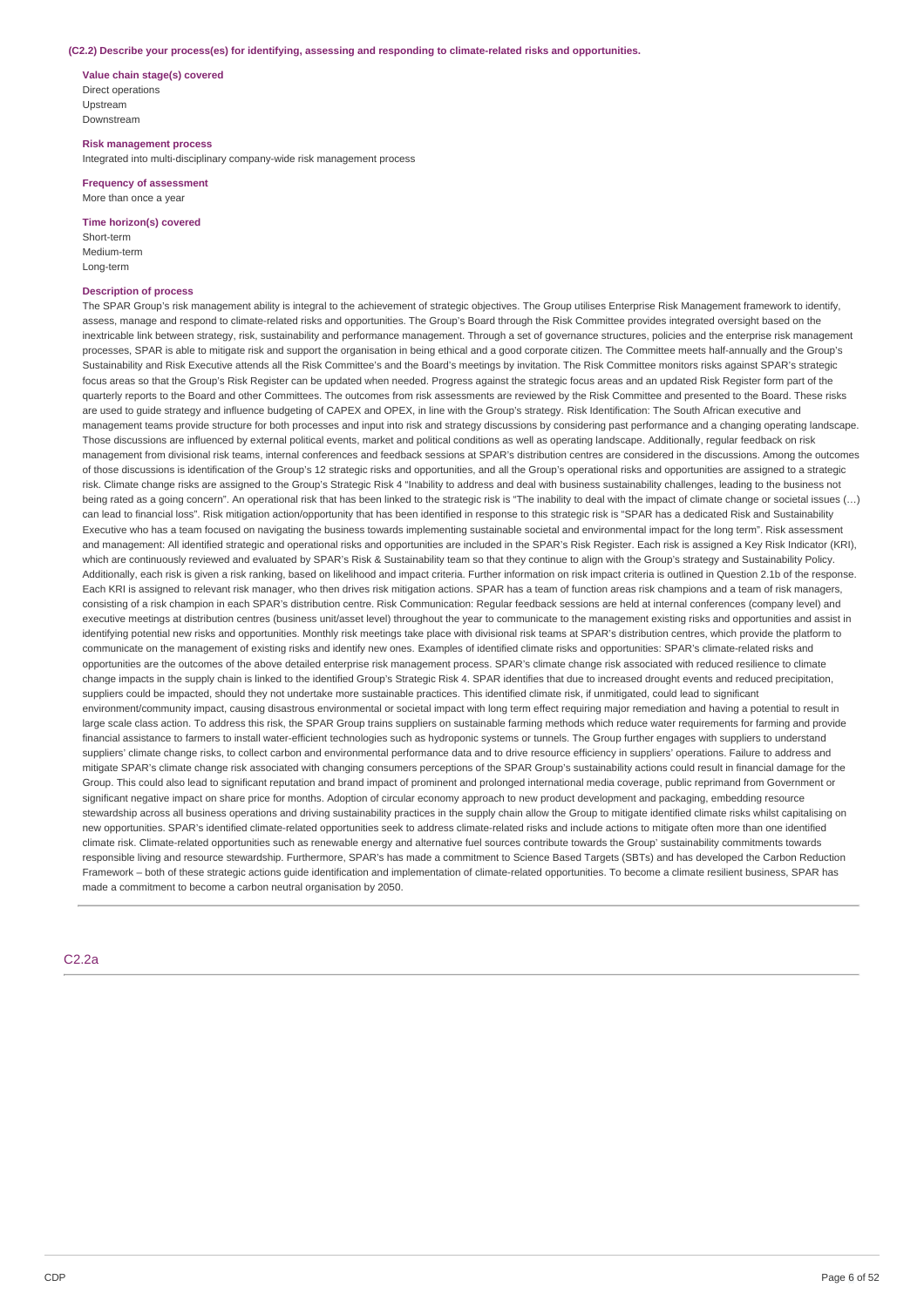#### **(C2.2) Describe your process(es) for identifying, assessing and responding to climate-related risks and opportunities.**

**Value chain stage(s) covered** Direct operations Upstream Downstream

**Risk management process** Integrated into multi-disciplinary company-wide risk management process

**Frequency of assessment** More than once a year

**Time horizon(s) covered**

Short-term Medium-term Long-term

### **Description of process**

The SPAR Group's risk management ability is integral to the achievement of strategic objectives. The Group utilises Enterprise Risk Management framework to identify, assess, manage and respond to climate-related risks and opportunities. The Group's Board through the Risk Committee provides integrated oversight based on the inextricable link between strategy, risk, sustainability and performance management. Through a set of governance structures, policies and the enterprise risk management processes, SPAR is able to mitigate risk and support the organisation in being ethical and a good corporate citizen. The Committee meets half-annually and the Group's Sustainability and Risk Executive attends all the Risk Committee's and the Board's meetings by invitation. The Risk Committee monitors risks against SPAR's strategic focus areas so that the Group's Risk Register can be updated when needed. Progress against the strategic focus areas and an updated Risk Register form part of the quarterly reports to the Board and other Committees. The outcomes from risk assessments are reviewed by the Risk Committee and presented to the Board. These risks are used to guide strategy and influence budgeting of CAPEX and OPEX, in line with the Group's strategy. Risk Identification: The South African executive and management teams provide structure for both processes and input into risk and strategy discussions by considering past performance and a changing operating landscape. Those discussions are influenced by external political events, market and political conditions as well as operating landscape. Additionally, regular feedback on risk management from divisional risk teams, internal conferences and feedback sessions at SPAR's distribution centres are considered in the discussions. Among the outcomes of those discussions is identification of the Group's 12 strategic risks and opportunities, and all the Group's operational risks and opportunities are assigned to a strategic risk. Climate change risks are assigned to the Group's Strategic Risk 4 "Inability to address and deal with business sustainability challenges, leading to the business not being rated as a going concern". An operational risk that has been linked to the strategic risk is "The inability to deal with the impact of climate change or societal issues (...) can lead to financial loss". Risk mitigation action/opportunity that has been identified in response to this strategic risk is "SPAR has a dedicated Risk and Sustainability Executive who has a team focused on navigating the business towards implementing sustainable societal and environmental impact for the long term". Risk assessment and management: All identified strategic and operational risks and opportunities are included in the SPAR's Risk Register. Each risk is assigned a Key Risk Indicator (KRI), which are continuously reviewed and evaluated by SPAR's Risk & Sustainability team so that they continue to align with the Group's strategy and Sustainability Policy. Additionally, each risk is given a risk ranking, based on likelihood and impact criteria. Further information on risk impact criteria is outlined in Question 2.1b of the response. Each KRI is assigned to relevant risk manager, who then drives risk mitigation actions. SPAR has a team of function areas risk champions and a team of risk managers, consisting of a risk champion in each SPAR's distribution centre. Risk Communication: Regular feedback sessions are held at internal conferences (company level) and executive meetings at distribution centres (business unit/asset level) throughout the year to communicate to the management existing risks and opportunities and assist in identifying potential new risks and opportunities. Monthly risk meetings take place with divisional risk teams at SPAR's distribution centres, which provide the platform to communicate on the management of existing risks and identify new ones. Examples of identified climate risks and opportunities: SPAR's climate-related risks and opportunities are the outcomes of the above detailed enterprise risk management process. SPAR's climate change risk associated with reduced resilience to climate change impacts in the supply chain is linked to the identified Group's Strategic Risk 4. SPAR identifies that due to increased drought events and reduced precipitation, suppliers could be impacted, should they not undertake more sustainable practices. This identified climate risk, if unmitigated, could lead to significant environment/community impact, causing disastrous environmental or societal impact with long term effect requiring major remediation and having a potential to result in large scale class action. To address this risk, the SPAR Group trains suppliers on sustainable farming methods which reduce water requirements for farming and provide financial assistance to farmers to install water-efficient technologies such as hydroponic systems or tunnels. The Group further engages with suppliers to understand suppliers' climate change risks, to collect carbon and environmental performance data and to drive resource efficiency in suppliers' operations. Failure to address and mitigate SPAR's climate change risk associated with changing consumers perceptions of the SPAR Group's sustainability actions could result in financial damage for the Group. This could also lead to significant reputation and brand impact of prominent and prolonged international media coverage, public reprimand from Government or significant negative impact on share price for months. Adoption of circular economy approach to new product development and packaging, embedding resource stewardship across all business operations and driving sustainability practices in the supply chain allow the Group to mitigate identified climate risks whilst capitalising on new opportunities. SPAR's identified climate-related opportunities seek to address climate-related risks and include actions to mitigate often more than one identified climate risk. Climate-related opportunities such as renewable energy and alternative fuel sources contribute towards the Group' sustainability commitments towards responsible living and resource stewardship. Furthermore, SPAR's has made a commitment to Science Based Targets (SBTs) and has developed the Carbon Reduction Framework – both of these strategic actions guide identification and implementation of climate-related opportunities. To become a climate resilient business, SPAR has made a commitment to become a carbon neutral organisation by 2050.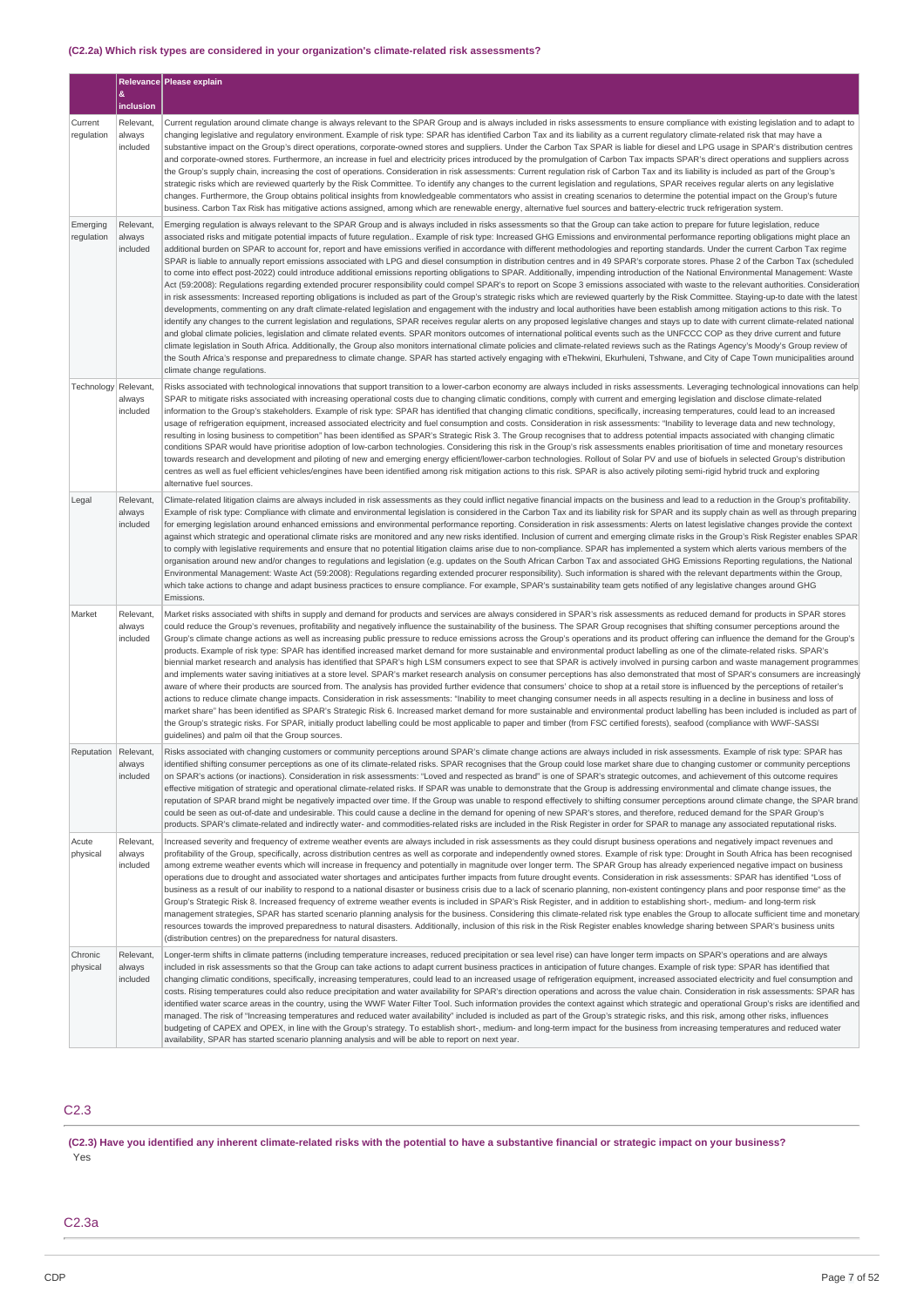# **(C2.2a) Which risk types are considered in your organization's climate-related risk assessments?**

|                        |                                 | Relevance Please explain                                                                                                                                                                                                                                                                                                                                                                                                                                                                                                                                                                                                                                                                                                                                                                                                                                                                                                                                                                                                                                                                                                                                                                                                                                                                                                                                                                                                                                                                                                                                                                                                                                                                                                                                                                                                                                                                                                                                                                                                                                                                                                                                                                                                                                                                                                                                     |
|------------------------|---------------------------------|--------------------------------------------------------------------------------------------------------------------------------------------------------------------------------------------------------------------------------------------------------------------------------------------------------------------------------------------------------------------------------------------------------------------------------------------------------------------------------------------------------------------------------------------------------------------------------------------------------------------------------------------------------------------------------------------------------------------------------------------------------------------------------------------------------------------------------------------------------------------------------------------------------------------------------------------------------------------------------------------------------------------------------------------------------------------------------------------------------------------------------------------------------------------------------------------------------------------------------------------------------------------------------------------------------------------------------------------------------------------------------------------------------------------------------------------------------------------------------------------------------------------------------------------------------------------------------------------------------------------------------------------------------------------------------------------------------------------------------------------------------------------------------------------------------------------------------------------------------------------------------------------------------------------------------------------------------------------------------------------------------------------------------------------------------------------------------------------------------------------------------------------------------------------------------------------------------------------------------------------------------------------------------------------------------------------------------------------------------------|
|                        | &<br>inclusion                  |                                                                                                                                                                                                                                                                                                                                                                                                                                                                                                                                                                                                                                                                                                                                                                                                                                                                                                                                                                                                                                                                                                                                                                                                                                                                                                                                                                                                                                                                                                                                                                                                                                                                                                                                                                                                                                                                                                                                                                                                                                                                                                                                                                                                                                                                                                                                                              |
| Current<br>regulation  | Relevant,<br>always<br>included | Current regulation around climate change is always relevant to the SPAR Group and is always included in risks assessments to ensure compliance with existing legislation and to adapt to<br>changing legislative and regulatory environment. Example of risk type: SPAR has identified Carbon Tax and its liability as a current regulatory climate-related risk that may have a<br>substantive impact on the Group's direct operations, corporate-owned stores and suppliers. Under the Carbon Tax SPAR is liable for diesel and LPG usage in SPAR's distribution centres<br>and corporate-owned stores. Furthermore, an increase in fuel and electricity prices introduced by the promulgation of Carbon Tax impacts SPAR's direct operations and suppliers across<br>the Group's supply chain, increasing the cost of operations. Consideration in risk assessments: Current regulation risk of Carbon Tax and its liability is included as part of the Group's<br>strategic risks which are reviewed quarterly by the Risk Committee. To identify any changes to the current legislation and regulations, SPAR receives regular alerts on any legislative<br>changes. Furthermore, the Group obtains political insights from knowledgeable commentators who assist in creating scenarios to determine the potential impact on the Group's future<br>business. Carbon Tax Risk has mitigative actions assigned, among which are renewable energy, alternative fuel sources and battery-electric truck refrigeration system.                                                                                                                                                                                                                                                                                                                                                                                                                                                                                                                                                                                                                                                                                                                                                                                                                               |
| Emerging<br>regulation | Relevant,<br>always<br>included | Emerging regulation is always relevant to the SPAR Group and is always included in risks assessments so that the Group can take action to prepare for future legislation, reduce<br>associated risks and mitigate potential impacts of future regulation Example of risk type: Increased GHG Emissions and environmental performance reporting obligations might place an<br>additional burden on SPAR to account for, report and have emissions verified in accordance with different methodologies and reporting standards. Under the current Carbon Tax regime<br>SPAR is liable to annually report emissions associated with LPG and diesel consumption in distribution centres and in 49 SPAR's corporate stores. Phase 2 of the Carbon Tax (scheduled<br>to come into effect post-2022) could introduce additional emissions reporting obligations to SPAR. Additionally, impending introduction of the National Environmental Management: Waste<br>Act (59:2008): Regulations regarding extended procurer responsibility could compel SPAR's to report on Scope 3 emissions associated with waste to the relevant authorities. Consideration<br>in risk assessments: Increased reporting obligations is included as part of the Group's strategic risks which are reviewed quarterly by the Risk Committee. Staying-up-to date with the latest<br>developments, commenting on any draft climate-related legislation and engagement with the industry and local authorities have been establish among mitigation actions to this risk. To<br>identify any changes to the current legislation and regulations, SPAR receives regular alerts on any proposed legislative changes and stays up to date with current climate-related national<br>and global climate policies, legislation and climate related events. SPAR monitors outcomes of international political events such as the UNFCCC COP as they drive current and future<br>climate legislation in South Africa. Additionally, the Group also monitors international climate policies and climate-related reviews such as the Ratings Agency's Moody's Group review of<br>the South Africa's response and preparedness to climate change. SPAR has started actively engaging with eThekwini, Ekurhuleni, Tshwane, and City of Cape Town municipalities around<br>climate change regulations. |
| Technology             | Relevant,<br>always<br>included | Risks associated with technological innovations that support transition to a lower-carbon economy are always included in risks assessments. Leveraging technological innovations can help<br>SPAR to mitigate risks associated with increasing operational costs due to changing climatic conditions, comply with current and emerging legislation and disclose climate-related<br>information to the Group's stakeholders. Example of risk type: SPAR has identified that changing climatic conditions, specifically, increasing temperatures, could lead to an increased<br>usage of refrigeration equipment, increased associated electricity and fuel consumption and costs. Consideration in risk assessments: "Inability to leverage data and new technology,<br>resulting in losing business to competition" has been identified as SPAR's Strategic Risk 3. The Group recognises that to address potential impacts associated with changing climatic<br>conditions SPAR would have prioritise adoption of low-carbon technologies. Considering this risk in the Group's risk assessments enables prioritisation of time and monetary resources<br>towards research and development and piloting of new and emerging energy efficient/lower-carbon technologies. Rollout of Solar PV and use of biofuels in selected Group's distribution<br>centres as well as fuel efficient vehicles/engines have been identified among risk mitigation actions to this risk. SPAR is also actively piloting semi-rigid hybrid truck and exploring<br>alternative fuel sources.                                                                                                                                                                                                                                                                                                                                                                                                                                                                                                                                                                                                                                                                                                                                                                                    |
| Legal                  | Relevant<br>always<br>included  | Climate-related litigation claims are always included in risk assessments as they could inflict negative financial impacts on the business and lead to a reduction in the Group's profitability.<br>Example of risk type: Compliance with climate and environmental legislation is considered in the Carbon Tax and its liability risk for SPAR and its supply chain as well as through preparing<br>for emerging legislation around enhanced emissions and environmental performance reporting. Consideration in risk assessments: Alerts on latest legislative changes provide the context<br>against which strategic and operational climate risks are monitored and any new risks identified. Inclusion of current and emerging climate risks in the Group's Risk Register enables SPAR<br>to comply with legislative requirements and ensure that no potential litigation claims arise due to non-compliance. SPAR has implemented a system which alerts various members of the<br>organisation around new and/or changes to regulations and legislation (e.g. updates on the South African Carbon Tax and associated GHG Emissions Reporting regulations, the National<br>Environmental Management: Waste Act (59:2008): Regulations regarding extended procurer responsibility). Such information is shared with the relevant departments within the Group,<br>which take actions to change and adapt business practices to ensure compliance. For example, SPAR's sustainability team gets notified of any legislative changes around GHG<br>Emissions.                                                                                                                                                                                                                                                                                                                                                                                                                                                                                                                                                                                                                                                                                                                                                                                              |
| Market                 | Relevant,<br>always<br>included | Market risks associated with shifts in supply and demand for products and services are always considered in SPAR's risk assessments as reduced demand for products in SPAR stores<br>could reduce the Group's revenues, profitability and negatively influence the sustainability of the business. The SPAR Group recognises that shifting consumer perceptions around the<br>Group's climate change actions as well as increasing public pressure to reduce emissions across the Group's operations and its product offering can influence the demand for the Group's<br>products. Example of risk type: SPAR has identified increased market demand for more sustainable and environmental product labelling as one of the climate-related risks. SPAR's<br>biennial market research and analysis has identified that SPAR's high LSM consumers expect to see that SPAR is actively involved in pursing carbon and waste management programmes<br>and implements water saving initiatives at a store level. SPAR's market research analysis on consumer perceptions has also demonstrated that most of SPAR's consumers are increasingly<br>aware of where their products are sourced from. The analysis has provided further evidence that consumers' choice to shop at a retail store is influenced by the perceptions of retailer's<br>actions to reduce climate change impacts. Consideration in risk assessments: "Inability to meet changing consumer needs in all aspects resulting in a decline in business and loss of<br>market share" has been identified as SPAR's Strategic Risk 6. Increased market demand for more sustainable and environmental product labelling has been included is included as part of<br>the Group's strategic risks. For SPAR, initially product labelling could be most applicable to paper and timber (from FSC certified forests), seafood (compliance with WWF-SASSI<br>guidelines) and palm oil that the Group sources.                                                                                                                                                                                                                                                                                                                                                                                         |
| Reputation Relevant.   | always<br>included              | Risks associated with changing customers or community perceptions around SPAR's climate change actions are always included in risk assessments. Example of risk type: SPAR has<br>identified shifting consumer perceptions as one of its climate-related risks. SPAR recognises that the Group could lose market share due to changing customer or community perceptions<br>on SPAR's actions (or inactions). Consideration in risk assessments: "Loved and respected as brand" is one of SPAR's strategic outcomes, and achievement of this outcome requires<br>effective mitigation of strategic and operational climate-related risks. If SPAR was unable to demonstrate that the Group is addressing environmental and climate change issues, the<br>reputation of SPAR brand might be negatively impacted over time. If the Group was unable to respond effectively to shifting consumer perceptions around climate change, the SPAR brand<br>could be seen as out-of-date and undesirable. This could cause a decline in the demand for opening of new SPAR's stores, and therefore, reduced demand for the SPAR Group's<br>products. SPAR's climate-related and indirectly water- and commodities-related risks are included in the Risk Register in order for SPAR to manage any associated reputational risks.                                                                                                                                                                                                                                                                                                                                                                                                                                                                                                                                                                                                                                                                                                                                                                                                                                                                                                                                                                                                                                      |
| Acute<br>physical      | Relevant<br>always<br>included  | Increased severity and frequency of extreme weather events are always included in risk assessments as they could disrupt business operations and negatively impact revenues and<br>profitability of the Group, specifically, across distribution centres as well as corporate and independently owned stores. Example of risk type: Drought in South Africa has been recognised<br>among extreme weather events which will increase in frequency and potentially in magnitude over longer term. The SPAR Group has already experienced negative impact on business<br>operations due to drought and associated water shortages and anticipates further impacts from future drought events. Consideration in risk assessments: SPAR has identified "Loss of<br>business as a result of our inability to respond to a national disaster or business crisis due to a lack of scenario planning, non-existent contingency plans and poor response time" as the<br>Group's Strategic Risk 8. Increased frequency of extreme weather events is included in SPAR's Risk Register, and in addition to establishing short-, medium- and long-term risk<br>management strategies, SPAR has started scenario planning analysis for the business. Considering this climate-related risk type enables the Group to allocate sufficient time and monetary<br>resources towards the improved preparedness to natural disasters. Additionally, inclusion of this risk in the Risk Register enables knowledge sharing between SPAR's business units<br>(distribution centres) on the preparedness for natural disasters.                                                                                                                                                                                                                                                                                                                                                                                                                                                                                                                                                                                                                                                                                                                                                      |
| Chronic<br>physical    | Relevant,<br>always<br>included | Longer-term shifts in climate patterns (including temperature increases, reduced precipitation or sea level rise) can have longer term impacts on SPAR's operations and are always<br>included in risk assessments so that the Group can take actions to adapt current business practices in anticipation of future changes. Example of risk type: SPAR has identified that<br>changing climatic conditions, specifically, increasing temperatures, could lead to an increased usage of refrigeration equipment, increased associated electricity and fuel consumption and<br>costs. Rising temperatures could also reduce precipitation and water availability for SPAR's direction operations and across the value chain. Consideration in risk assessments: SPAR has<br>identified water scarce areas in the country, using the WWF Water Filter Tool. Such information provides the context against which strategic and operational Group's risks are identified and<br>managed. The risk of "Increasing temperatures and reduced water availability" included is included as part of the Group's strategic risks, and this risk, among other risks, influences<br>budgeting of CAPEX and OPEX, in line with the Group's strategy. To establish short-, medium- and long-term impact for the business from increasing temperatures and reduced water<br>availability, SPAR has started scenario planning analysis and will be able to report on next year.                                                                                                                                                                                                                                                                                                                                                                                                                                                                                                                                                                                                                                                                                                                                                                                                                                                                                               |

# C2.3

(C2.3) Have you identified any inherent climate-related risks with the potential to have a substantive financial or strategic impact on your business? Yes

# C2.3a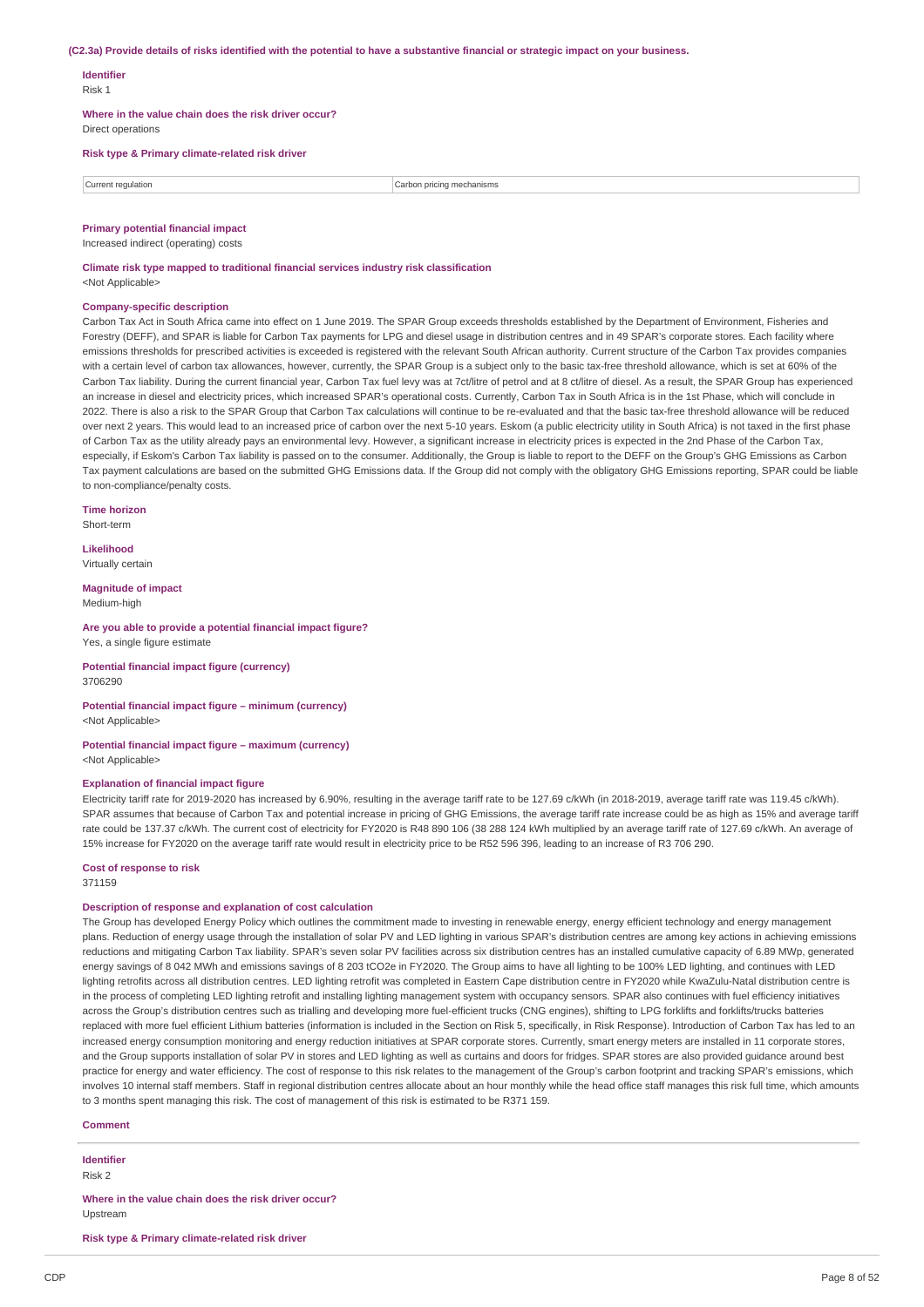#### (C2.3a) Provide details of risks identified with the potential to have a substantive financial or strategic impact on your business.

# **Identifier**

Risk 1

**Where in the value chain does the risk driver occur?** Direct operations

# **Risk type & Primary climate-related risk driver**

| $IITFPT^*$<br>requiation | า mechanisms<br>:arhon<br>acinc<br>. |
|--------------------------|--------------------------------------|
|                          |                                      |

### **Primary potential financial impact**

Increased indirect (operating) costs

**Climate risk type mapped to traditional financial services industry risk classification** <Not Applicable>

#### **Company-specific description**

Carbon Tax Act in South Africa came into effect on 1 June 2019. The SPAR Group exceeds thresholds established by the Department of Environment, Fisheries and Forestry (DEFF), and SPAR is liable for Carbon Tax payments for LPG and diesel usage in distribution centres and in 49 SPAR's corporate stores. Each facility where emissions thresholds for prescribed activities is exceeded is registered with the relevant South African authority. Current structure of the Carbon Tax provides companies with a certain level of carbon tax allowances, however, currently, the SPAR Group is a subject only to the basic tax-free threshold allowance, which is set at 60% of the Carbon Tax liability. During the current financial year, Carbon Tax fuel levy was at 7ct/litre of petrol and at 8 ct/litre of diesel. As a result, the SPAR Group has experienced an increase in diesel and electricity prices, which increased SPAR's operational costs. Currently, Carbon Tax in South Africa is in the 1st Phase, which will conclude in 2022. There is also a risk to the SPAR Group that Carbon Tax calculations will continue to be re-evaluated and that the basic tax-free threshold allowance will be reduced over next 2 years. This would lead to an increased price of carbon over the next 5-10 years. Eskom (a public electricity utility in South Africa) is not taxed in the first phase of Carbon Tax as the utility already pays an environmental levy. However, a significant increase in electricity prices is expected in the 2nd Phase of the Carbon Tax, especially, if Eskom's Carbon Tax liability is passed on to the consumer. Additionally, the Group is liable to report to the DEFF on the Group's GHG Emissions as Carbon Tax payment calculations are based on the submitted GHG Emissions data. If the Group did not comply with the obligatory GHG Emissions reporting, SPAR could be liable to non-compliance/penalty costs.

**Time horizon**

Short-term

**Likelihood** Virtually certain

**Magnitude of impact**

Medium-high

### **Are you able to provide a potential financial impact figure?** Yes, a single figure estimate

**Potential financial impact figure (currency)** 3706290

**Potential financial impact figure – minimum (currency)** <Not Applicable>

**Potential financial impact figure – maximum (currency)** <Not Applicable>

#### **Explanation of financial impact figure**

Electricity tariff rate for 2019-2020 has increased by 6.90%, resulting in the average tariff rate to be 127.69 c/kWh (in 2018-2019, average tariff rate was 119.45 c/kWh). SPAR assumes that because of Carbon Tax and potential increase in pricing of GHG Emissions, the average tariff rate increase could be as high as 15% and average tariff rate could be 137.37 c/kWh. The current cost of electricity for FY2020 is R48 890 106 (38 288 124 kWh multiplied by an average tariff rate of 127.69 c/kWh. An average of 15% increase for FY2020 on the average tariff rate would result in electricity price to be R52 596 396, leading to an increase of R3 706 290.

#### **Cost of response to risk**

371159

## **Description of response and explanation of cost calculation**

The Group has developed Energy Policy which outlines the commitment made to investing in renewable energy, energy efficient technology and energy management plans. Reduction of energy usage through the installation of solar PV and LED lighting in various SPAR's distribution centres are among key actions in achieving emissions reductions and mitigating Carbon Tax liability. SPAR's seven solar PV facilities across six distribution centres has an installed cumulative capacity of 6.89 MWp, generated energy savings of 8 042 MWh and emissions savings of 8 203 tCO2e in FY2020. The Group aims to have all lighting to be 100% LED lighting, and continues with LED lighting retrofits across all distribution centres. LED lighting retrofit was completed in Eastern Cape distribution centre in FY2020 while KwaZulu-Natal distribution centre is in the process of completing LED lighting retrofit and installing lighting management system with occupancy sensors. SPAR also continues with fuel efficiency initiatives across the Group's distribution centres such as trialling and developing more fuel-efficient trucks (CNG engines), shifting to LPG forklifts and forklifts/trucks batteries replaced with more fuel efficient Lithium batteries (information is included in the Section on Risk 5, specifically, in Risk Response). Introduction of Carbon Tax has led to an increased energy consumption monitoring and energy reduction initiatives at SPAR corporate stores. Currently, smart energy meters are installed in 11 corporate stores, and the Group supports installation of solar PV in stores and LED lighting as well as curtains and doors for fridges. SPAR stores are also provided guidance around best practice for energy and water efficiency. The cost of response to this risk relates to the management of the Group's carbon footprint and tracking SPAR's emissions, which involves 10 internal staff members. Staff in regional distribution centres allocate about an hour monthly while the head office staff manages this risk full time, which amounts to 3 months spent managing this risk. The cost of management of this risk is estimated to be R371 159.

### **Comment**

**Identifier**

Risk 2

**Where in the value chain does the risk driver occur?** Upstream

**Risk type & Primary climate-related risk driver**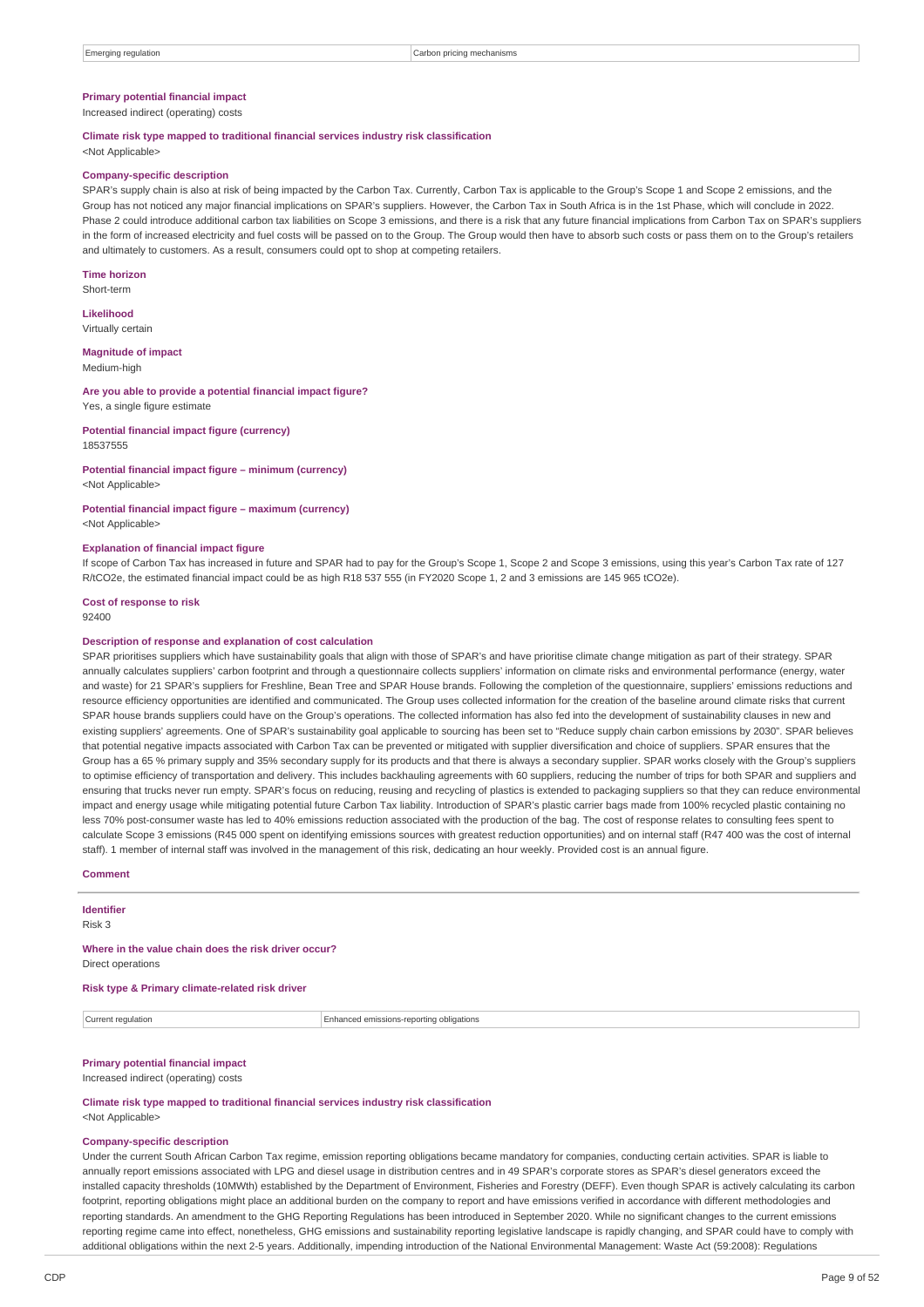### **Primary potential financial impact**

Increased indirect (operating) costs

### **Climate risk type mapped to traditional financial services industry risk classification**

<Not Applicable>

#### **Company-specific description**

SPAR's supply chain is also at risk of being impacted by the Carbon Tax. Currently, Carbon Tax is applicable to the Group's Scope 1 and Scope 2 emissions, and the Group has not noticed any major financial implications on SPAR's suppliers. However, the Carbon Tax in South Africa is in the 1st Phase, which will conclude in 2022. Phase 2 could introduce additional carbon tax liabilities on Scope 3 emissions, and there is a risk that any future financial implications from Carbon Tax on SPAR's suppliers in the form of increased electricity and fuel costs will be passed on to the Group. The Group would then have to absorb such costs or pass them on to the Group's retailers and ultimately to customers. As a result, consumers could opt to shop at competing retailers.

**Time horizon** Short-term

**Likelihood** Virtually certain

**Magnitude of impact** Medium-high

#### **Are you able to provide a potential financial impact figure?** Yes, a single figure estimate

**Potential financial impact figure (currency)**

18537555

# **Potential financial impact figure – minimum (currency)**

<Not Applicable>

**Potential financial impact figure – maximum (currency)** <Not Applicable>

# **Explanation of financial impact figure**

If scope of Carbon Tax has increased in future and SPAR had to pay for the Group's Scope 1, Scope 2 and Scope 3 emissions, using this year's Carbon Tax rate of 127 R/tCO2e, the estimated financial impact could be as high R18 537 555 (in FY2020 Scope 1, 2 and 3 emissions are 145 965 tCO2e).

**Cost of response to risk** 92400

### **Description of response and explanation of cost calculation**

SPAR prioritises suppliers which have sustainability goals that align with those of SPAR's and have prioritise climate change mitigation as part of their strategy. SPAR annually calculates suppliers' carbon footprint and through a questionnaire collects suppliers' information on climate risks and environmental performance (energy, water and waste) for 21 SPAR's suppliers for Freshline, Bean Tree and SPAR House brands. Following the completion of the questionnaire, suppliers' emissions reductions and resource efficiency opportunities are identified and communicated. The Group uses collected information for the creation of the baseline around climate risks that current SPAR house brands suppliers could have on the Group's operations. The collected information has also fed into the development of sustainability clauses in new and existing suppliers' agreements. One of SPAR's sustainability goal applicable to sourcing has been set to "Reduce supply chain carbon emissions by 2030". SPAR believes that potential negative impacts associated with Carbon Tax can be prevented or mitigated with supplier diversification and choice of suppliers. SPAR ensures that the Group has a 65 % primary supply and 35% secondary supply for its products and that there is always a secondary supplier. SPAR works closely with the Group's suppliers to optimise efficiency of transportation and delivery. This includes backhauling agreements with 60 suppliers, reducing the number of trips for both SPAR and suppliers and ensuring that trucks never run empty. SPAR's focus on reducing, reusing and recycling of plastics is extended to packaging suppliers so that they can reduce environmental impact and energy usage while mitigating potential future Carbon Tax liability. Introduction of SPAR's plastic carrier bags made from 100% recycled plastic containing no less 70% post-consumer waste has led to 40% emissions reduction associated with the production of the bag. The cost of response relates to consulting fees spent to calculate Scope 3 emissions (R45 000 spent on identifying emissions sources with greatest reduction opportunities) and on internal staff (R47 400 was the cost of internal staff). 1 member of internal staff was involved in the management of this risk, dedicating an hour weekly. Provided cost is an annual figure.

### **Comment**

**Identifier**

Risk 3

#### **Where in the value chain does the risk driver occur?** Direct operations

**Risk type & Primary climate-related risk driver**

Current regulation Enhanced emissions-reporting obligations

# **Primary potential financial impact**

Increased indirect (operating) costs

**Climate risk type mapped to traditional financial services industry risk classification** <Not Applicable>

### **Company-specific description**

Under the current South African Carbon Tax regime, emission reporting obligations became mandatory for companies, conducting certain activities. SPAR is liable to annually report emissions associated with LPG and diesel usage in distribution centres and in 49 SPAR's corporate stores as SPAR's diesel generators exceed the installed capacity thresholds (10MWth) established by the Department of Environment, Fisheries and Forestry (DEFF). Even though SPAR is actively calculating its carbon footprint, reporting obligations might place an additional burden on the company to report and have emissions verified in accordance with different methodologies and reporting standards. An amendment to the GHG Reporting Regulations has been introduced in September 2020. While no significant changes to the current emissions reporting regime came into effect, nonetheless, GHG emissions and sustainability reporting legislative landscape is rapidly changing, and SPAR could have to comply with additional obligations within the next 2-5 years. Additionally, impending introduction of the National Environmental Management: Waste Act (59:2008): Regulations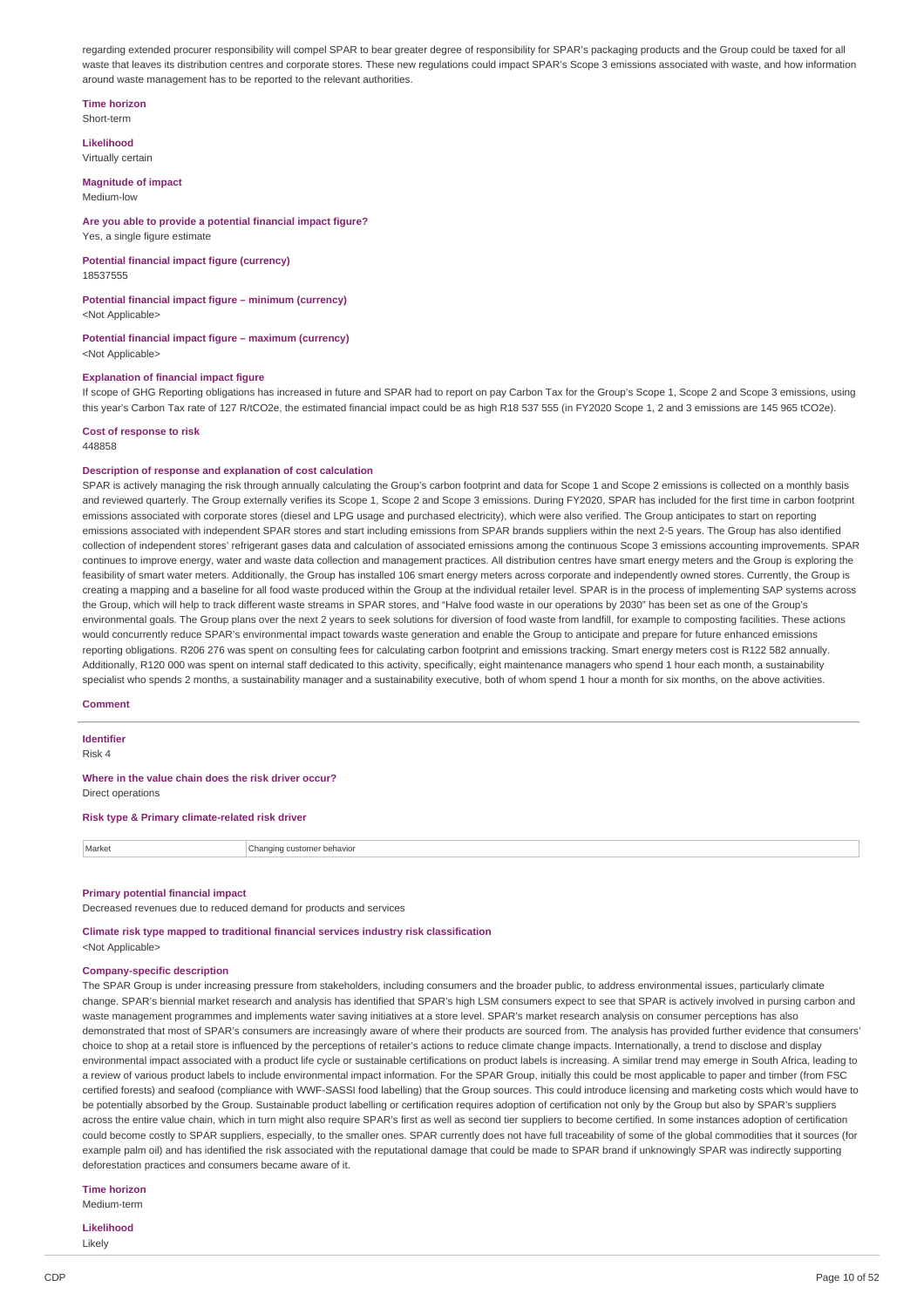regarding extended procurer responsibility will compel SPAR to bear greater degree of responsibility for SPAR's packaging products and the Group could be taxed for all waste that leaves its distribution centres and corporate stores. These new regulations could impact SPAR's Scope 3 emissions associated with waste, and how information around waste management has to be reported to the relevant authorities.

### **Time horizon**

Short-term

**Likelihood** Virtually certain

### **Magnitude of impact**

Medium-low

#### **Are you able to provide a potential financial impact figure?** Yes, a single figure estimate

**Potential financial impact figure (currency)** 18537555

# **Potential financial impact figure – minimum (currency)**

<Not Applicable>

#### **Potential financial impact figure – maximum (currency)** <Not Applicable>

### **Explanation of financial impact figure**

If scope of GHG Reporting obligations has increased in future and SPAR had to report on pay Carbon Tax for the Group's Scope 1, Scope 2 and Scope 3 emissions, using this year's Carbon Tax rate of 127 R/tCO2e, the estimated financial impact could be as high R18 537 555 (in FY2020 Scope 1, 2 and 3 emissions are 145 965 tCO2e).

#### **Cost of response to risk** 448858

### **Description of response and explanation of cost calculation**

SPAR is actively managing the risk through annually calculating the Group's carbon footprint and data for Scope 1 and Scope 2 emissions is collected on a monthly basis and reviewed quarterly. The Group externally verifies its Scope 1, Scope 2 and Scope 3 emissions. During FY2020, SPAR has included for the first time in carbon footprint emissions associated with corporate stores (diesel and LPG usage and purchased electricity), which were also verified. The Group anticipates to start on reporting emissions associated with independent SPAR stores and start including emissions from SPAR brands suppliers within the next 2-5 years. The Group has also identified collection of independent stores' refrigerant gases data and calculation of associated emissions among the continuous Scope 3 emissions accounting improvements. SPAR continues to improve energy, water and waste data collection and management practices. All distribution centres have smart energy meters and the Group is exploring the feasibility of smart water meters. Additionally, the Group has installed 106 smart energy meters across corporate and independently owned stores. Currently, the Group is creating a mapping and a baseline for all food waste produced within the Group at the individual retailer level. SPAR is in the process of implementing SAP systems across the Group, which will help to track different waste streams in SPAR stores, and "Halve food waste in our operations by 2030" has been set as one of the Group's environmental goals. The Group plans over the next 2 years to seek solutions for diversion of food waste from landfill, for example to composting facilities. These actions would concurrently reduce SPAR's environmental impact towards waste generation and enable the Group to anticipate and prepare for future enhanced emissions reporting obligations. R206 276 was spent on consulting fees for calculating carbon footprint and emissions tracking. Smart energy meters cost is R122 582 annually. Additionally, R120 000 was spent on internal staff dedicated to this activity, specifically, eight maintenance managers who spend 1 hour each month, a sustainability specialist who spends 2 months, a sustainability manager and a sustainability executive, both of whom spend 1 hour a month for six months, on the above activities.

### **Comment**

**Identifier**

Risk 4

**Where in the value chain does the risk driver occur?** Direct operations

**Risk type & Primary climate-related risk driver**

Market Changing customer behavior

## **Primary potential financial impact**

Decreased revenues due to reduced demand for products and services

**Climate risk type mapped to traditional financial services industry risk classification** <Not Applicable>

## **Company-specific description**

The SPAR Group is under increasing pressure from stakeholders, including consumers and the broader public, to address environmental issues, particularly climate change. SPAR's biennial market research and analysis has identified that SPAR's high LSM consumers expect to see that SPAR is actively involved in pursing carbon and waste management programmes and implements water saving initiatives at a store level. SPAR's market research analysis on consumer perceptions has also demonstrated that most of SPAR's consumers are increasingly aware of where their products are sourced from. The analysis has provided further evidence that consumers' choice to shop at a retail store is influenced by the perceptions of retailer's actions to reduce climate change impacts. Internationally, a trend to disclose and display environmental impact associated with a product life cycle or sustainable certifications on product labels is increasing. A similar trend may emerge in South Africa, leading to a review of various product labels to include environmental impact information. For the SPAR Group, initially this could be most applicable to paper and timber (from FSC certified forests) and seafood (compliance with WWF-SASSI food labelling) that the Group sources. This could introduce licensing and marketing costs which would have to be potentially absorbed by the Group. Sustainable product labelling or certification requires adoption of certification not only by the Group but also by SPAR's suppliers across the entire value chain, which in turn might also require SPAR's first as well as second tier suppliers to become certified. In some instances adoption of certification could become costly to SPAR suppliers, especially, to the smaller ones. SPAR currently does not have full traceability of some of the global commodities that it sources (for example palm oil) and has identified the risk associated with the reputational damage that could be made to SPAR brand if unknowingly SPAR was indirectly supporting deforestation practices and consumers became aware of it.

### **Time horizon**

Medium-term

**Likelihood** Likely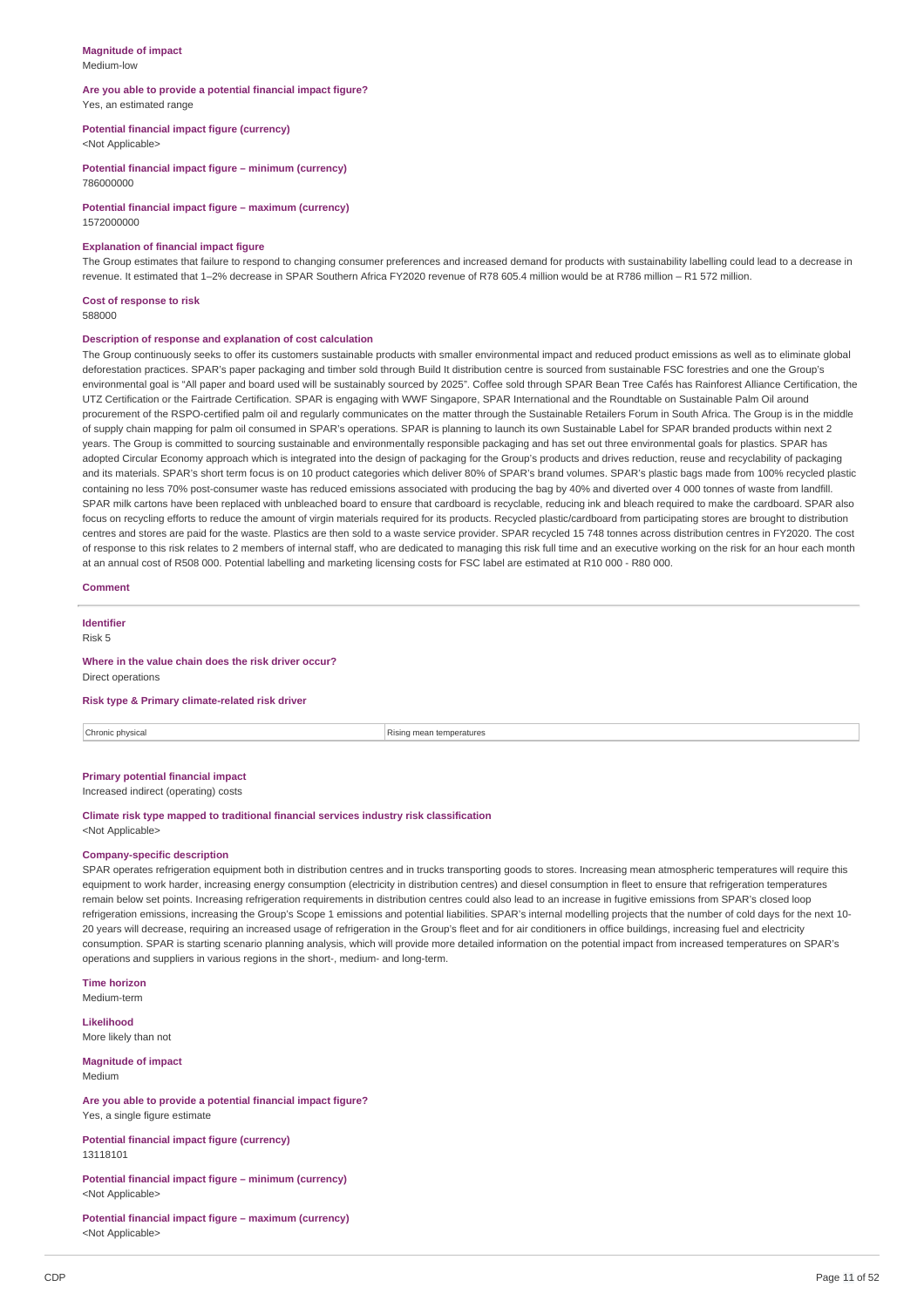#### **Magnitude of impact** Medium-low

#### **Are you able to provide a potential financial impact figure?** Yes, an estimated range

**Potential financial impact figure (currency)**

<Not Applicable>

**Potential financial impact figure – minimum (currency)** 786000000

**Potential financial impact figure – maximum (currency)** 1572000000

### **Explanation of financial impact figure**

The Group estimates that failure to respond to changing consumer preferences and increased demand for products with sustainability labelling could lead to a decrease in revenue. It estimated that 1–2% decrease in SPAR Southern Africa FY2020 revenue of R78 605.4 million would be at R786 million – R1 572 million.

# **Cost of response to risk**

588000

### **Description of response and explanation of cost calculation**

The Group continuously seeks to offer its customers sustainable products with smaller environmental impact and reduced product emissions as well as to eliminate global deforestation practices. SPAR's paper packaging and timber sold through Build It distribution centre is sourced from sustainable FSC forestries and one the Group's environmental goal is "All paper and board used will be sustainably sourced by 2025". Coffee sold through SPAR Bean Tree Cafés has Rainforest Alliance Certification, the UTZ Certification or the Fairtrade Certification. SPAR is engaging with WWF Singapore, SPAR International and the Roundtable on Sustainable Palm Oil around procurement of the RSPO-certified palm oil and regularly communicates on the matter through the Sustainable Retailers Forum in South Africa. The Group is in the middle of supply chain mapping for palm oil consumed in SPAR's operations. SPAR is planning to launch its own Sustainable Label for SPAR branded products within next 2 years. The Group is committed to sourcing sustainable and environmentally responsible packaging and has set out three environmental goals for plastics. SPAR has adopted Circular Economy approach which is integrated into the design of packaging for the Group's products and trives reduction, reuse and recyclability of packaging and its materials. SPAR's short term focus is on 10 product categories which deliver 80% of SPAR's brand volumes. SPAR's plastic bags made from 100% recycled plastic containing no less 70% post-consumer waste has reduced emissions associated with producing the bag by 40% and diverted over 4 000 tonnes of waste from landfill. SPAR milk cartons have been replaced with unbleached board to ensure that cardboard is recyclable, reducing ink and bleach required to make the cardboard. SPAR also focus on recycling efforts to reduce the amount of virgin materials required for its products. Recycled plastic/cardboard from participating stores are brought to distribution centres and stores are paid for the waste. Plastics are then sold to a waste service provider. SPAR recycled 15 748 tonnes across distribution centres in FY2020. The cost of response to this risk relates to 2 members of internal staff, who are dedicated to managing this risk full time and an executive working on the risk for an hour each month at an annual cost of R508 000. Potential labelling and marketing licensing costs for FSC label are estimated at R10 000 - R80 000.

### **Comment**

# **Identifier**

Risk 5

#### **Where in the value chain does the risk driver occur?** Direct operations

### **Risk type & Primary climate-related risk driver**

**Chronic physical** Rising mean temperatures

# **Primary potential financial impact**

Increased indirect (operating) costs

|                           | Climate risk type mapped to traditional financial services industry risk classification |  |
|---------------------------|-----------------------------------------------------------------------------------------|--|
| <not applicable=""></not> |                                                                                         |  |

## **Company-specific description**

SPAR operates refrigeration equipment both in distribution centres and in trucks transporting goods to stores. Increasing mean atmospheric temperatures will require this equipment to work harder, increasing energy consumption (electricity in distribution centres) and diesel consumption in fleet to ensure that refrigeration temperatures remain below set points. Increasing refrigeration requirements in distribution centres could also lead to an increase in fugitive emissions from SPAR's closed loop refrigeration emissions, increasing the Group's Scope 1 emissions and potential liabilities. SPAR's internal modelling projects that the number of cold days for the next 10- 20 years will decrease, requiring an increased usage of refrigeration in the Group's fleet and for air conditioners in office buildings, increasing fuel and electricity consumption. SPAR is starting scenario planning analysis, which will provide more detailed information on the potential impact from increased temperatures on SPAR's operations and suppliers in various regions in the short-, medium- and long-term.

**Time horizon** Medium-term

**Likelihood** More likely than not

**Magnitude of impact** Medium

### **Are you able to provide a potential financial impact figure?** Yes, a single figure estimate

### **Potential financial impact figure (currency)** 13118101

**Potential financial impact figure – minimum (currency)** <Not Applicable>

## **Potential financial impact figure – maximum (currency)** <Not Applicable>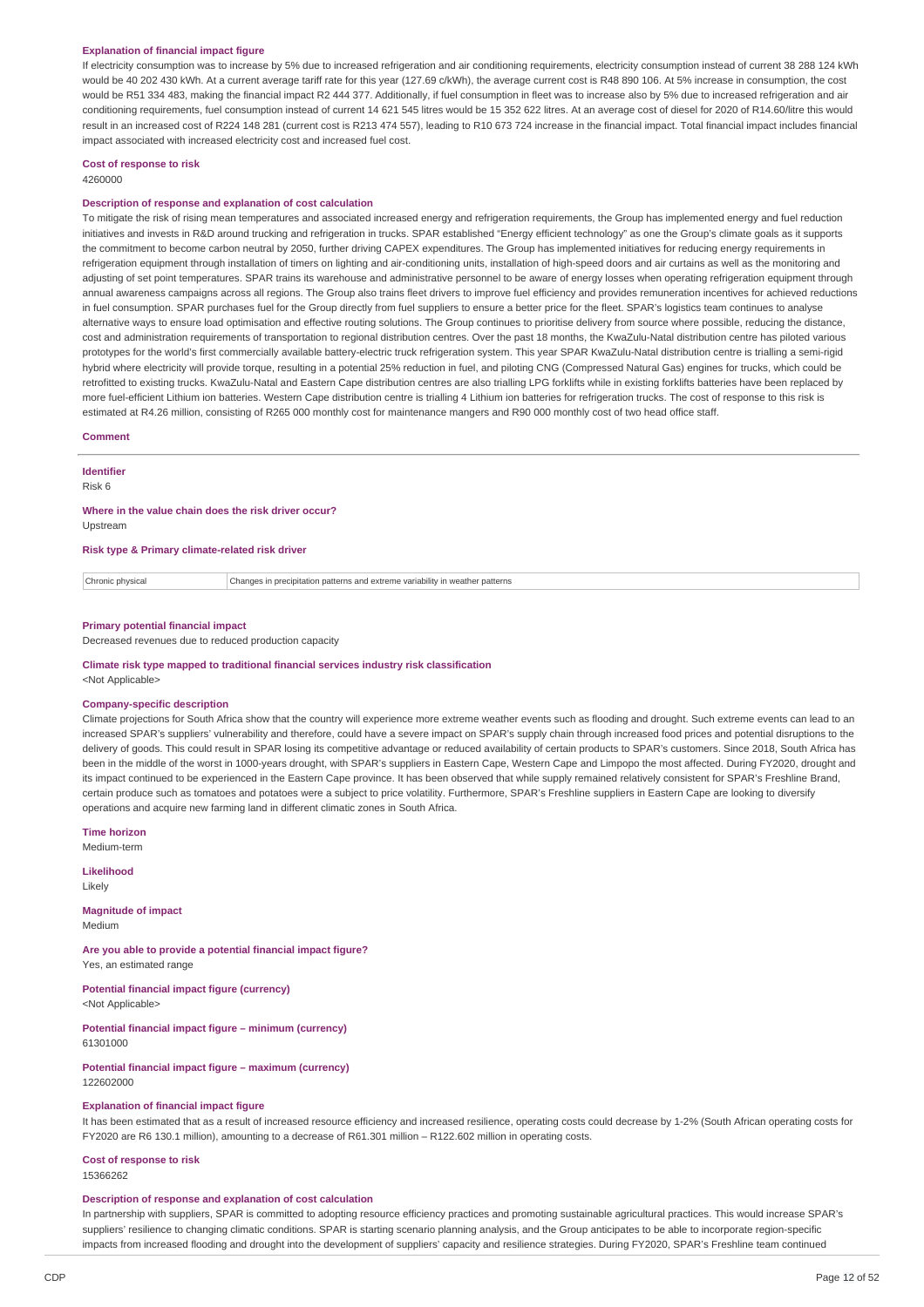#### **Explanation of financial impact figure**

If electricity consumption was to increase by 5% due to increased refrigeration and air conditioning requirements, electricity consumption instead of current 38 288 124 kWh would be 40 202 430 kWh. At a current average tariff rate for this year (127.69 c/kWh), the average current cost is R48 890 106. At 5% increase in consumption, the cost would be R51 334 483, making the financial impact R2 444 377. Additionally, if fuel consumption in fleet was to increase also by 5% due to increased refrigeration and air conditioning requirements, fuel consumption instead of current 14 621 545 litres would be 15 352 622 litres. At an average cost of diesel for 2020 of R14.60/litre this would result in an increased cost of R224 148 281 (current cost is R213 474 557), leading to R10 673 724 increase in the financial impact. Total financial impact includes financial impact associated with increased electricity cost and increased fuel cost.

# **Cost of response to risk**

4260000

## **Description of response and explanation of cost calculation**

To mitigate the risk of rising mean temperatures and associated increased energy and refrigeration requirements, the Group has implemented energy and fuel reduction initiatives and invests in R&D around trucking and refrigeration in trucks. SPAR established "Energy efficient technology" as one the Group's climate goals as it supports the commitment to become carbon neutral by 2050, further driving CAPEX expenditures. The Group has implemented initiatives for reducing energy requirements in refrigeration equipment through installation of timers on lighting and air-conditioning units, installation of high-speed doors and air curtains as well as the monitoring and adjusting of set point temperatures. SPAR trains its warehouse and administrative personnel to be aware of energy losses when operating refrigeration equipment through annual awareness campaigns across all regions. The Group also trains fleet drivers to improve fuel efficiency and provides remuneration incentives for achieved reductions in fuel consumption. SPAR purchases fuel for the Group directly from fuel suppliers to ensure a better price for the fleet. SPAR's logistics team continues to analyse alternative ways to ensure load optimisation and effective routing solutions. The Group continues to prioritise delivery from source where possible, reducing the distance, cost and administration requirements of transportation to regional distribution centres. Over the past 18 months, the KwaZulu-Natal distribution centre has piloted various prototypes for the world's first commercially available battery-electric truck refrigeration system. This year SPAR KwaZulu-Natal distribution centre is trialling a semi-rigid hybrid where electricity will provide torque, resulting in a potential 25% reduction in fuel, and piloting CNG (Compressed Natural Gas) engines for trucks, which could be retrofitted to existing trucks. KwaZulu-Natal and Eastern Cape distribution centres are also trialling LPG forklifts while in existing forklifts batteries have been replaced by more fuel-efficient Lithium ion batteries. Western Cape distribution centre is trialling 4 Lithium ion batteries for refrigeration trucks. The cost of response to this risk is estimated at R4.26 million, consisting of R265 000 monthly cost for maintenance mangers and R90 000 monthly cost of two head office staff.

### **Comment**

**Identifier** Risk 6

# **Where in the value chain does the risk driver occur?**

Upstream

**Risk type & Primary climate-related risk driver**

Chronic physical Changes in precipitation patterns and extreme variability in weather patterns

### **Primary potential financial impact**

Decreased revenues due to reduced production capacity

#### **Climate risk type mapped to traditional financial services industry risk classification** <Not Applicable>

#### **Company-specific description**

Climate projections for South Africa show that the country will experience more extreme weather events such as flooding and drought. Such extreme events can lead to an increased SPAR's suppliers' vulnerability and therefore, could have a severe impact on SPAR's supply chain through increased food prices and potential disruptions to the delivery of goods. This could result in SPAR losing its competitive advantage or reduced availability of certain products to SPAR's customers. Since 2018, South Africa has been in the middle of the worst in 1000-years drought, with SPAR's suppliers in Eastern Cape, Western Cape and Limpopo the most affected. During FY2020, drought and its impact continued to be experienced in the Eastern Cape province. It has been observed that while supply remained relatively consistent for SPAR's Freshline Brand, certain produce such as tomatoes and potatoes were a subject to price volatility. Furthermore, SPAR's Freshline suppliers in Eastern Cape are looking to diversify operations and acquire new farming land in different climatic zones in South Africa.

**Time horizon**

Medium-term

**Likelihood** Likely

**Magnitude of impact** Medium

**Are you able to provide a potential financial impact figure?** Yes, an estimated range

**Potential financial impact figure (currency)** <Not Applicable>

**Potential financial impact figure – minimum (currency)** 61301000

**Potential financial impact figure – maximum (currency)** 122602000

#### **Explanation of financial impact figure**

It has been estimated that as a result of increased resource efficiency and increased resilience, operating costs could decrease by 1-2% (South African operating costs for FY2020 are R6 130.1 million), amounting to a decrease of R61.301 million – R122.602 million in operating costs.

# **Cost of response to risk**

15366262

#### **Description of response and explanation of cost calculation**

In partnership with suppliers, SPAR is committed to adopting resource efficiency practices and promoting sustainable agricultural practices. This would increase SPAR's suppliers' resilience to changing climatic conditions. SPAR is starting scenario planning analysis, and the Group anticipates to be able to incorporate region-specific impacts from increased flooding and drought into the development of suppliers' capacity and resilience strategies. During FY2020, SPAR's Freshline team continued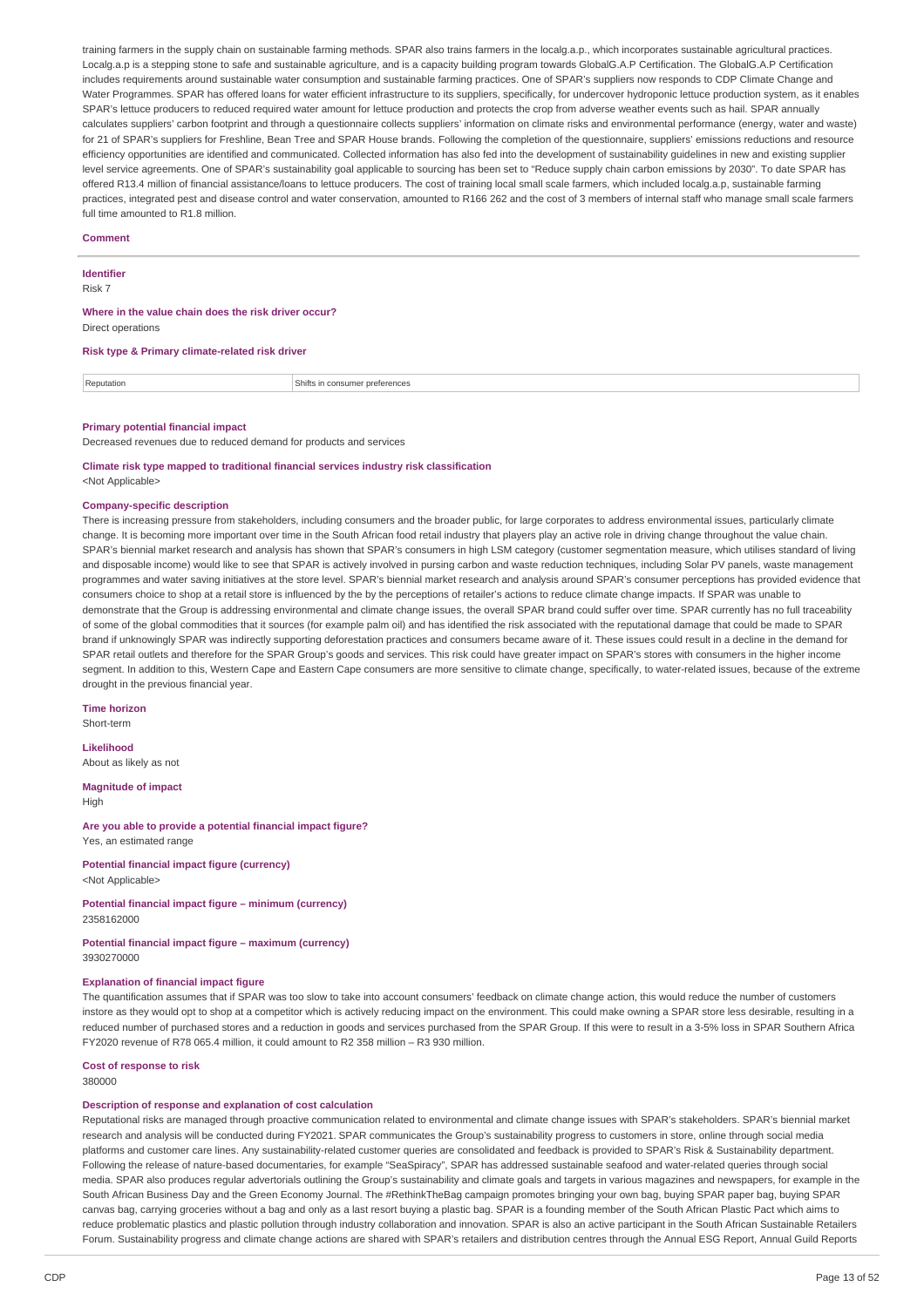training farmers in the supply chain on sustainable farming methods. SPAR also trains farmers in the localg.a.p., which incorporates sustainable agricultural practices. Localg.a.p is a stepping stone to safe and sustainable agriculture, and is a capacity building program towards GlobalG.A.P Certification. The GlobalG.A.P Certification includes requirements around sustainable water consumption and sustainable farming practices. One of SPAR's suppliers now responds to CDP Climate Change and Water Programmes. SPAR has offered loans for water efficient infrastructure to its suppliers, specifically, for undercover hydroponic lettuce production system, as it enables SPAR's lettuce producers to reduced required water amount for lettuce production and protects the crop from adverse weather events such as hail. SPAR annually calculates suppliers' carbon footprint and through a questionnaire collects suppliers' information on climate risks and environmental performance (energy, water and waste) for 21 of SPAR's suppliers for Freshline, Bean Tree and SPAR House brands. Following the completion of the questionnaire, suppliers' emissions reductions and resource efficiency opportunities are identified and communicated. Collected information has also fed into the development of sustainability guidelines in new and existing supplier level service agreements. One of SPAR's sustainability goal applicable to sourcing has been set to "Reduce supply chain carbon emissions by 2030". To date SPAR has offered R13.4 million of financial assistance/loans to lettuce producers. The cost of training local small scale farmers, which included localg.a.p, sustainable farming practices, integrated pest and disease control and water conservation, amounted to R166 262 and the cost of 3 members of internal staff who manage small scale farmers full time amounted to R1.8 million.

#### **Comment**

**Identifier**

Risk 7

# **Where in the value chain does the risk driver occur?**

Direct operations

#### **Risk type & Primary climate-related risk driver**

Reputation **Shifts** in consumer preferences

#### **Primary potential financial impact**

Decreased revenues due to reduced demand for products and services

# **Climate risk type mapped to traditional financial services industry risk classification**

<Not Applicable>

### **Company-specific description**

There is increasing pressure from stakeholders, including consumers and the broader public, for large corporates to address environmental issues, particularly climate change. It is becoming more important over time in the South African food retail industry that players play an active role in driving change throughout the value chain. SPAR's biennial market research and analysis has shown that SPAR's consumers in high LSM category (customer segmentation measure, which utilises standard of living and disposable income) would like to see that SPAR is actively involved in pursing carbon and waste reduction techniques, including Solar PV panels, waste management programmes and water saving initiatives at the store level. SPAR's biennial market research and analysis around SPAR's consumer perceptions has provided evidence that consumers choice to shop at a retail store is influenced by the by the perceptions of retailer's actions to reduce climate change impacts. If SPAR was unable to demonstrate that the Group is addressing environmental and climate change issues, the overall SPAR brand could suffer over time. SPAR currently has no full traceability of some of the global commodities that it sources (for example palm oil) and has identified the risk associated with the reputational damage that could be made to SPAR brand if unknowingly SPAR was indirectly supporting deforestation practices and consumers became aware of it. These issues could result in a decline in the demand for SPAR retail outlets and therefore for the SPAR Group's goods and services. This risk could have greater impact on SPAR's stores with consumers in the higher income segment. In addition to this, Western Cape and Eastern Cape consumers are more sensitive to climate change, specifically, to water-related issues, because of the extreme drought in the previous financial year.

**Time horizon** Short-term

**Likelihood**

About as likely as not

**Magnitude of impact High** 

**Are you able to provide a potential financial impact figure?** Yes, an estimated range

**Potential financial impact figure (currency)**

<Not Applicable>

### **Potential financial impact figure – minimum (currency)** 2358162000

**Potential financial impact figure – maximum (currency)** 3930270000

#### **Explanation of financial impact figure**

The quantification assumes that if SPAR was too slow to take into account consumers' feedback on climate change action, this would reduce the number of customers instore as they would opt to shop at a competitor which is actively reducing impact on the environment. This could make owning a SPAR store less desirable, resulting in a reduced number of purchased stores and a reduction in goods and services purchased from the SPAR Group. If this were to result in a 3-5% loss in SPAR Southern Africa FY2020 revenue of R78 065.4 million, it could amount to R2 358 million – R3 930 million.

**Cost of response to risk** 380000

#### **Description of response and explanation of cost calculation**

Reputational risks are managed through proactive communication related to environmental and climate change issues with SPAR's stakeholders. SPAR's biennial market research and analysis will be conducted during FY2021. SPAR communicates the Group's sustainability progress to customers in store, online through social media platforms and customer care lines. Any sustainability-related customer queries are consolidated and feedback is provided to SPAR's Risk & Sustainability department. Following the release of nature-based documentaries, for example "SeaSpiracy", SPAR has addressed sustainable seafood and water-related queries through social media. SPAR also produces regular advertorials outlining the Group's sustainability and climate goals and targets in various magazines and newspapers, for example in the South African Business Day and the Green Economy Journal. The #RethinkTheBag campaign promotes bringing your own bag, buying SPAR paper bag, buying SPAR canvas bag, carrying groceries without a bag and only as a last resort buying a plastic bag. SPAR is a founding member of the South African Plastic Pact which aims to reduce problematic plastics and plastic pollution through industry collaboration and innovation. SPAR is also an active participant in the South African Sustainable Retailers Forum. Sustainability progress and climate change actions are shared with SPAR's retailers and distribution centres through the Annual ESG Report, Annual Guild Reports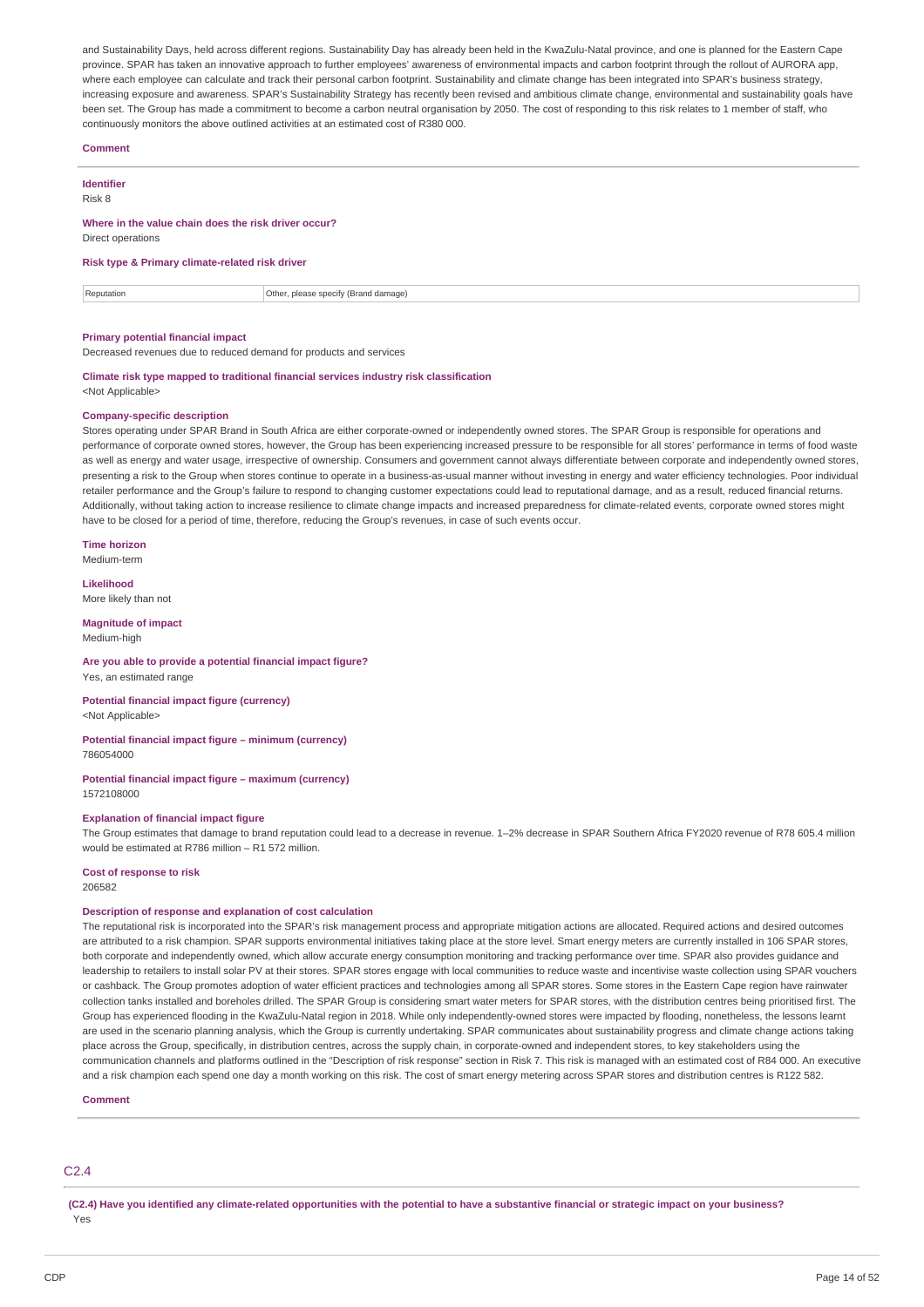and Sustainability Days, held across different regions. Sustainability Day has already been held in the KwaZulu-Natal province, and one is planned for the Eastern Cape province. SPAR has taken an innovative approach to further employees' awareness of environmental impacts and carbon footprint through the rollout of AURORA app, where each employee can calculate and track their personal carbon footprint. Sustainability and climate change has been integrated into SPAR's business strategy, increasing exposure and awareness. SPAR's Sustainability Strategy has recently been revised and ambitious climate change, environmental and sustainability goals have been set. The Group has made a commitment to become a carbon neutral organisation by 2050. The cost of responding to this risk relates to 1 member of staff, who continuously monitors the above outlined activities at an estimated cost of R380 000.

#### **Comment**

## **Identifier**

Risk 8

## **Where in the value chain does the risk driver occur?**

Direct operations

# **Risk type & Primary climate-related risk driver**

Reputation **Reputation** Cher, please specify (Brand damage)

## **Primary potential financial impact**

Decreased revenues due to reduced demand for products and services

#### **Climate risk type mapped to traditional financial services industry risk classification** <Not Applicable>

#### **Company-specific description**

Stores operating under SPAR Brand in South Africa are either corporate-owned or independently owned stores. The SPAR Group is responsible for operations and performance of corporate owned stores, however, the Group has been experiencing increased pressure to be responsible for all stores' performance in terms of food waste as well as energy and water usage, irrespective of ownership. Consumers and government cannot always differentiate between corporate and independently owned stores, presenting a risk to the Group when stores continue to operate in a business-as-usual manner without investing in energy and water efficiency technologies. Poor individual retailer performance and the Group's failure to respond to changing customer expectations could lead to reputational damage, and as a result, reduced financial returns. Additionally, without taking action to increase resilience to climate change impacts and increased preparedness for climate-related events, corporate owned stores might have to be closed for a period of time, therefore, reducing the Group's revenues, in case of such events occur.

**Time horizon** Medium-term

**Likelihood**

More likely than not

### **Magnitude of impact** Medium-high

### **Are you able to provide a potential financial impact figure?** Yes, an estimated range

**Potential financial impact figure (currency)** <Not Applicable>

### **Potential financial impact figure – minimum (currency)** 786054000

**Potential financial impact figure – maximum (currency)** 1572108000

### **Explanation of financial impact figure**

The Group estimates that damage to brand reputation could lead to a decrease in revenue. 1–2% decrease in SPAR Southern Africa FY2020 revenue of R78 605.4 million would be estimated at R786 million – R1 572 million.

# **Cost of response to risk**

206582

### **Description of response and explanation of cost calculation**

The reputational risk is incorporated into the SPAR's risk management process and appropriate mitigation actions are allocated. Required actions and desired outcomes are attributed to a risk champion. SPAR supports environmental initiatives taking place at the store level. Smart energy meters are currently installed in 106 SPAR stores, both corporate and independently owned, which allow accurate energy consumption monitoring and tracking performance over time. SPAR also provides guidance and leadership to retailers to install solar PV at their stores. SPAR stores engage with local communities to reduce waste and incentivise waste collection using SPAR vouchers or cashback. The Group promotes adoption of water efficient practices and technologies among all SPAR stores. Some stores in the Eastern Cape region have rainwater collection tanks installed and boreholes drilled. The SPAR Group is considering smart water meters for SPAR stores, with the distribution centres being prioritised first. The Group has experienced flooding in the KwaZulu-Natal region in 2018. While only independently-owned stores were impacted by flooding, nonetheless, the lessons learnt are used in the scenario planning analysis, which the Group is currently undertaking. SPAR communicates about sustainability progress and climate change actions taking place across the Group, specifically, in distribution centres, across the supply chain, in corporate-owned and independent stores, to key stakeholders using the communication channels and platforms outlined in the "Description of risk response" section in Risk 7. This risk is managed with an estimated cost of R84 000. An executive and a risk champion each spend one day a month working on this risk. The cost of smart energy metering across SPAR stores and distribution centres is R122 582.

**Comment**

# C2.4

(C2.4) Have you identified any climate-related opportunities with the potential to have a substantive financial or strategic impact on your business? Yes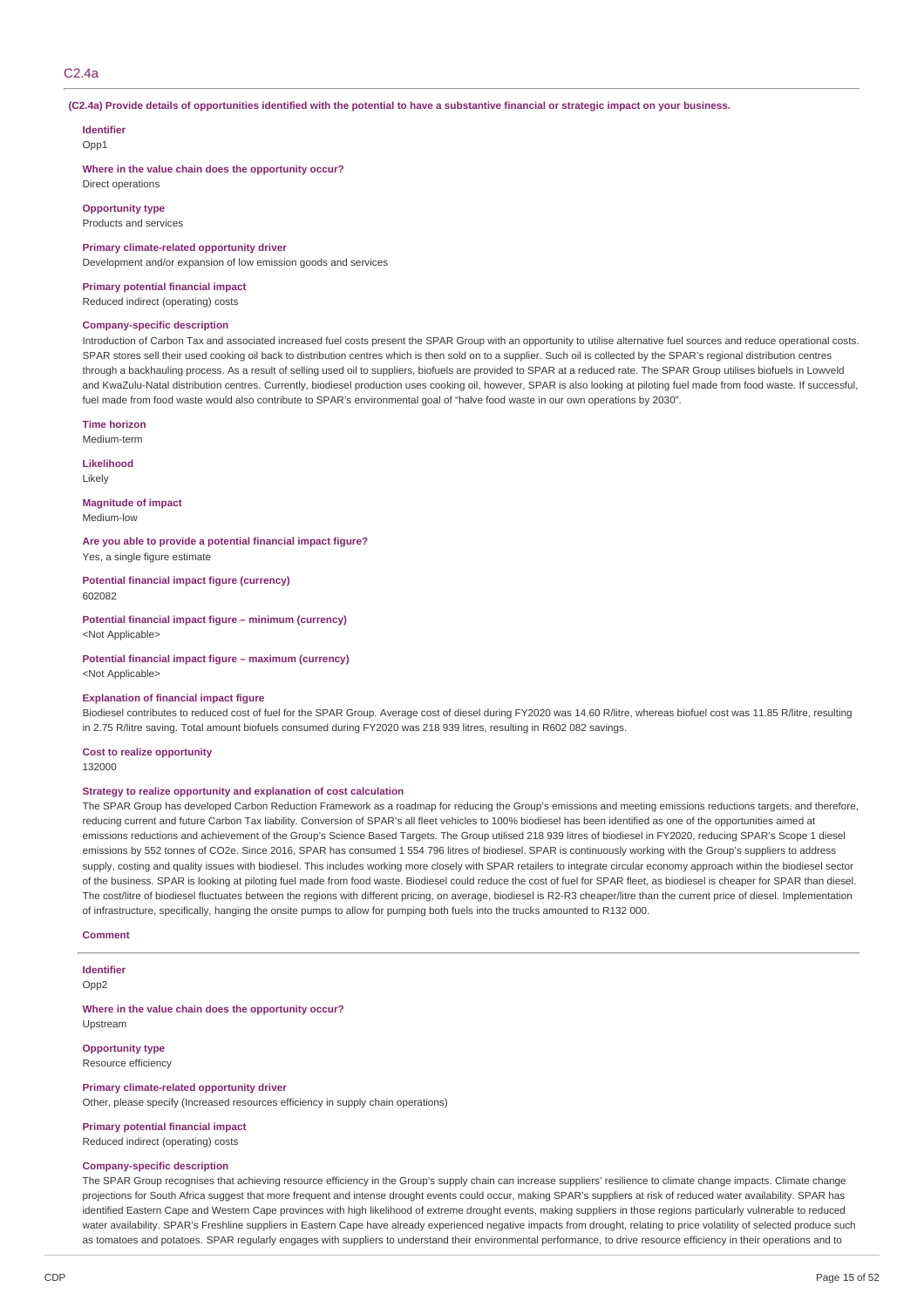## C2.4a

### (C2.4a) Provide details of opportunities identified with the potential to have a substantive financial or strategic impact on your business.

### **Identifier** Opp<sub>1</sub>

**Where in the value chain does the opportunity occur?**

# Direct operations **Opportunity type**

Products and services

### **Primary climate-related opportunity driver**

Development and/or expansion of low emission goods and services

### **Primary potential financial impact**

Reduced indirect (operating) costs

### **Company-specific description**

Introduction of Carbon Tax and associated increased fuel costs present the SPAR Group with an opportunity to utilise alternative fuel sources and reduce operational costs. SPAR stores sell their used cooking oil back to distribution centres which is then sold on to a supplier. Such oil is collected by the SPAR's regional distribution centres through a backhauling process. As a result of selling used oil to suppliers, biofuels are provided to SPAR at a reduced rate. The SPAR Group utilises biofuels in Lowveld and KwaZulu-Natal distribution centres. Currently, biodiesel production uses cooking oil, however, SPAR is also looking at piloting fuel made from food waste. If successful, fuel made from food waste would also contribute to SPAR's environmental goal of "halve food waste in our own operations by 2030".

#### **Time horizon**

Medium-term

**Likelihood** Likely

# **Magnitude of impact**

Medium-low

**Are you able to provide a potential financial impact figure?** Yes, a single figure estimate

**Potential financial impact figure (currency)** 602082

**Potential financial impact figure – minimum (currency)** <Not Applicable>

**Potential financial impact figure – maximum (currency)** <Not Applicable>

#### **Explanation of financial impact figure**

Biodiesel contributes to reduced cost of fuel for the SPAR Group. Average cost of diesel during FY2020 was 14.60 R/litre, whereas biofuel cost was 11.85 R/litre, resulting in 2.75 R/litre saving. Total amount biofuels consumed during FY2020 was 218 939 litres, resulting in R602 082 savings.

**Cost to realize opportunity**

132000

### **Strategy to realize opportunity and explanation of cost calculation**

The SPAR Group has developed Carbon Reduction Framework as a roadmap for reducing the Group's emissions and meeting emissions reductions targets, and therefore, reducing current and future Carbon Tax liability. Conversion of SPAR's all fleet vehicles to 100% biodiesel has been identified as one of the opportunities aimed at emissions reductions and achievement of the Group's Science Based Targets. The Group utilised 218 939 litres of biodiesel in FY2020, reducing SPAR's Scope 1 diesel emissions by 552 tonnes of CO2e. Since 2016, SPAR has consumed 1 554 796 litres of biodiesel. SPAR is continuously working with the Group's suppliers to address supply, costing and quality issues with biodiesel. This includes working more closely with SPAR retailers to integrate circular economy approach within the biodiesel sector of the business. SPAR is looking at piloting fuel made from food waste. Biodiesel could reduce the cost of fuel for SPAR fleet, as biodiesel is cheaper for SPAR than diesel. The cost/litre of biodiesel fluctuates between the regions with different pricing, on average, biodiesel is R2-R3 cheaper/litre than the current price of diesel. Implementation of infrastructure, specifically, hanging the onsite pumps to allow for pumping both fuels into the trucks amounted to R132 000.

#### **Comment**

### **Identifier**

Opp2

**Where in the value chain does the opportunity occur?** Upstream

# **Opportunity type**

Resource efficiency

#### **Primary climate-related opportunity driver**

Other, please specify (Increased resources efficiency in supply chain operations)

### **Primary potential financial impact** Reduced indirect (operating) costs

# **Company-specific description**

The SPAR Group recognises that achieving resource efficiency in the Group's supply chain can increase suppliers' resilience to climate change impacts. Climate change projections for South Africa suggest that more frequent and intense drought events could occur, making SPAR's suppliers at risk of reduced water availability. SPAR has identified Eastern Cape and Western Cape provinces with high likelihood of extreme drought events, making suppliers in those regions particularly vulnerable to reduced water availability. SPAR's Freshline suppliers in Eastern Cape have already experienced negative impacts from drought, relating to price volatility of selected produce such as tomatoes and potatoes. SPAR regularly engages with suppliers to understand their environmental performance, to drive resource efficiency in their operations and to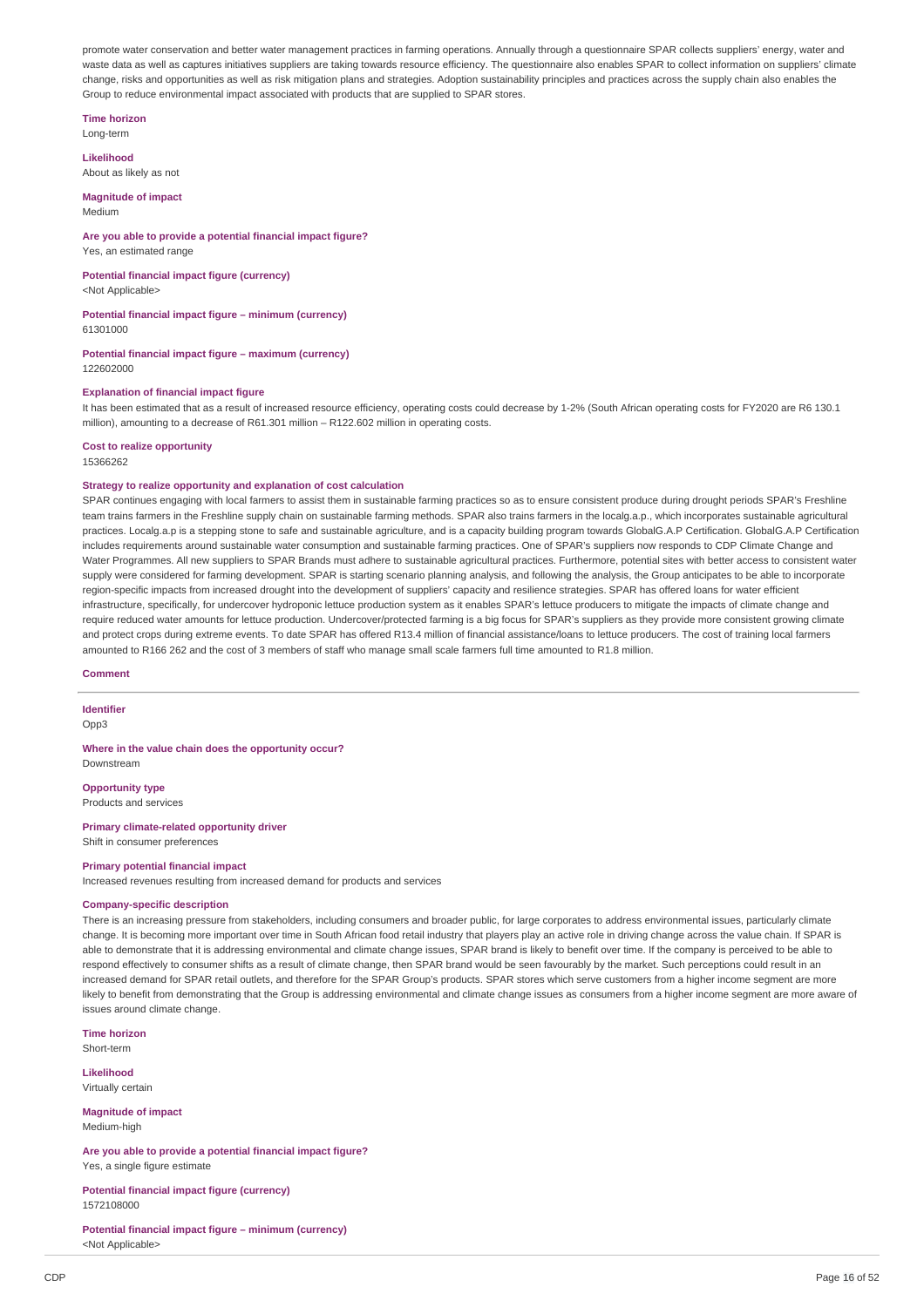promote water conservation and better water management practices in farming operations. Annually through a questionnaire SPAR collects suppliers' energy, water and waste data as well as captures initiatives suppliers are taking towards resource efficiency. The questionnaire also enables SPAR to collect information on suppliers' climate change, risks and opportunities as well as risk mitigation plans and strategies. Adoption sustainability principles and practices across the supply chain also enables the Group to reduce environmental impact associated with products that are supplied to SPAR stores.

**Time horizon**

Long-term

**Likelihood** About as likely as not

**Magnitude of impact** Medium

## **Are you able to provide a potential financial impact figure?**

Yes, an estimated range

**Potential financial impact figure (currency)** <Not Applicable>

**Potential financial impact figure – minimum (currency)** 61301000

**Potential financial impact figure – maximum (currency)**

122602000

### **Explanation of financial impact figure**

It has been estimated that as a result of increased resource efficiency, operating costs could decrease by 1-2% (South African operating costs for FY2020 are R6 130.1 million), amounting to a decrease of R61.301 million – R122.602 million in operating costs.

**Cost to realize opportunity**

15366262

### **Strategy to realize opportunity and explanation of cost calculation**

SPAR continues engaging with local farmers to assist them in sustainable farming practices so as to ensure consistent produce during drought periods SPAR's Freshline team trains farmers in the Freshline supply chain on sustainable farming methods. SPAR also trains farmers in the localg.a.p., which incorporates sustainable agricultural practices. Localg.a.p is a stepping stone to safe and sustainable agriculture, and is a capacity building program towards GlobalG.A.P Certification. GlobalG.A.P Certification includes requirements around sustainable water consumption and sustainable farming practices. One of SPAR's suppliers now responds to CDP Climate Change and Water Programmes. All new suppliers to SPAR Brands must adhere to sustainable agricultural practices. Furthermore, potential sites with better access to consistent water supply were considered for farming development. SPAR is starting scenario planning analysis, and following the analysis, the Group anticipates to be able to incorporate region-specific impacts from increased drought into the development of suppliers' capacity and resilience strategies. SPAR has offered loans for water efficient infrastructure, specifically, for undercover hydroponic lettuce production system as it enables SPAR's lettuce producers to mitigate the impacts of climate change and require reduced water amounts for lettuce production. Undercover/protected farming is a big focus for SPAR's suppliers as they provide more consistent growing climate and protect crops during extreme events. To date SPAR has offered R13.4 million of financial assistance/loans to lettuce producers. The cost of training local farmers amounted to R166 262 and the cost of 3 members of staff who manage small scale farmers full time amounted to R1.8 million.

**Comment**

**Identifier** Opp3

**Where in the value chain does the opportunity occur?** Downstream

**Opportunity type** Products and services

**Primary climate-related opportunity driver** Shift in consumer preferences

### **Primary potential financial impact**

Increased revenues resulting from increased demand for products and services

## **Company-specific description**

There is an increasing pressure from stakeholders, including consumers and broader public, for large corporates to address environmental issues, particularly climate change. It is becoming more important over time in South African food retail industry that players play an active role in driving change across the value chain. If SPAR is able to demonstrate that it is addressing environmental and climate change issues, SPAR brand is likely to benefit over time. If the company is perceived to be able to respond effectively to consumer shifts as a result of climate change, then SPAR brand would be seen favourably by the market. Such perceptions could result in an increased demand for SPAR retail outlets, and therefore for the SPAR Group's products. SPAR stores which serve customers from a higher income segment are more likely to benefit from demonstrating that the Group is addressing environmental and climate change issues as consumers from a higher income segment are more aware of issues around climate change.

**Time horizon** Short-term

**Likelihood**

Virtually certain

**Magnitude of impact** Medium-high

**Are you able to provide a potential financial impact figure?** Yes, a single figure estimate

**Potential financial impact figure (currency)** 1572108000

**Potential financial impact figure – minimum (currency)** <Not Applicable>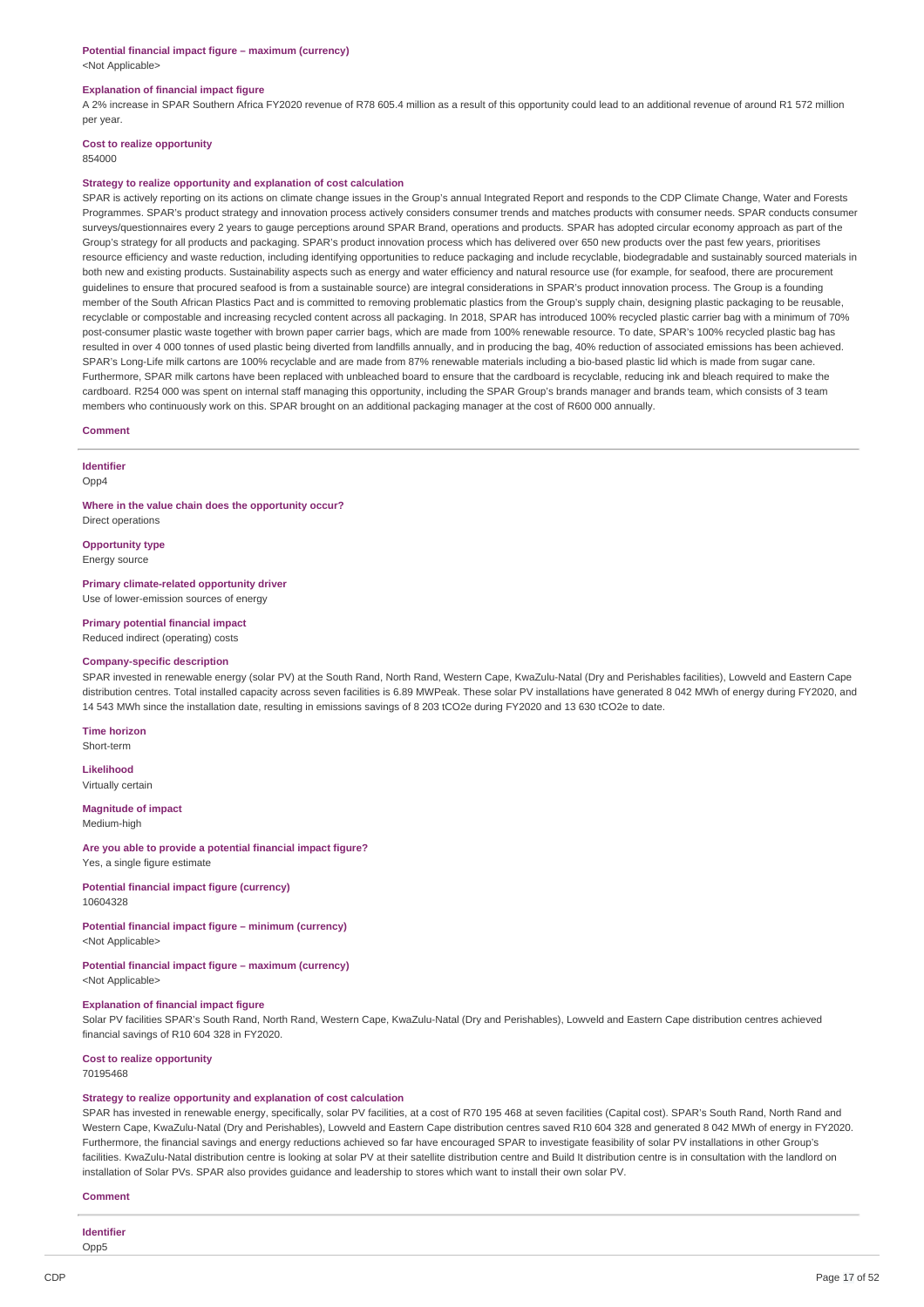# **Potential financial impact figure – maximum (currency)**

<Not Applicable>

### **Explanation of financial impact figure**

A 2% increase in SPAR Southern Africa FY2020 revenue of R78 605.4 million as a result of this opportunity could lead to an additional revenue of around R1 572 million per year.

# **Cost to realize opportunity**

### 854000

### **Strategy to realize opportunity and explanation of cost calculation**

SPAR is actively reporting on its actions on climate change issues in the Group's annual Integrated Report and responds to the CDP Climate Change, Water and Forests Programmes. SPAR's product strategy and innovation process actively considers consumer trends and matches products with consumer needs. SPAR conducts consumer surveys/questionnaires every 2 years to gauge perceptions around SPAR Brand, operations and products. SPAR has adopted circular economy approach as part of the Group's strategy for all products and packaging. SPAR's product innovation process which has delivered over 650 new products over the past few years, prioritises resource efficiency and waste reduction, including identifying opportunities to reduce packaging and include recyclable, biodegradable and sustainably sourced materials in both new and existing products. Sustainability aspects such as energy and water efficiency and natural resource use (for example, for seafood, there are procurement guidelines to ensure that procured seafood is from a sustainable source) are integral considerations in SPAR's product innovation process. The Group is a founding member of the South African Plastics Pact and is committed to removing problematic plastics from the Group's supply chain, designing plastic packaging to be reusable, recyclable or compostable and increasing recycled content across all packaging. In 2018, SPAR has introduced 100% recycled plastic carrier bag with a minimum of 70% post-consumer plastic waste together with brown paper carrier bags, which are made from 100% renewable resource. To date, SPAR's 100% recycled plastic bag has resulted in over 4 000 tonnes of used plastic being diverted from landfills annually, and in producing the bag, 40% reduction of associated emissions has been achieved. SPAR's Long-Life milk cartons are 100% recyclable and are made from 87% renewable materials including a bio-based plastic lid which is made from sugar cane. Furthermore, SPAR milk cartons have been replaced with unbleached board to ensure that the cardboard is recyclable, reducing ink and bleach required to make the cardboard. R254 000 was spent on internal staff managing this opportunity, including the SPAR Group's brands manager and brands team, which consists of 3 team members who continuously work on this. SPAR brought on an additional packaging manager at the cost of R600 000 annually.

### **Comment**

**Identifier**

Opp4

**Where in the value chain does the opportunity occur?** Direct operations

**Opportunity type**

Energy source

**Primary climate-related opportunity driver** Use of lower-emission sources of energy

**Primary potential financial impact**

Reduced indirect (operating) costs

### **Company-specific description**

SPAR invested in renewable energy (solar PV) at the South Rand, North Rand, Western Cape, KwaZulu-Natal (Dry and Perishables facilities), Lowveld and Eastern Cape distribution centres. Total installed capacity across seven facilities is 6.89 MWPeak. These solar PV installations have generated 8 042 MWh of energy during FY2020, and 14 543 MWh since the installation date, resulting in emissions savings of 8 203 tCO2e during FY2020 and 13 630 tCO2e to date.

**Time horizon** Short-term

**Likelihood**

Virtually certain

### **Magnitude of impact**

Medium-high

**Are you able to provide a potential financial impact figure?** Yes, a single figure estimate

**Potential financial impact figure (currency)** 10604328

**Potential financial impact figure – minimum (currency)** <Not Applicable>

**Potential financial impact figure – maximum (currency)** <Not Applicable>

#### **Explanation of financial impact figure**

Solar PV facilities SPAR's South Rand, North Rand, Western Cape, KwaZulu-Natal (Dry and Perishables), Lowveld and Eastern Cape distribution centres achieved financial savings of R10 604 328 in FY2020.

**Cost to realize opportunity** 70195468

### **Strategy to realize opportunity and explanation of cost calculation**

SPAR has invested in renewable energy, specifically, solar PV facilities, at a cost of R70 195 468 at seven facilities (Capital cost). SPAR's South Rand, North Rand and Western Cape, KwaZulu-Natal (Dry and Perishables), Lowveld and Eastern Cape distribution centres saved R10 604 328 and generated 8 042 MWh of energy in FY2020. Furthermore, the financial savings and energy reductions achieved so far have encouraged SPAR to investigate feasibility of solar PV installations in other Group's facilities. KwaZulu-Natal distribution centre is looking at solar PV at their satellite distribution centre and Build It distribution centre is in consultation with the landlord on installation of Solar PVs. SPAR also provides guidance and leadership to stores which want to install their own solar PV.

**Comment**

| Identifier |  |  |
|------------|--|--|
| Opp5       |  |  |
|            |  |  |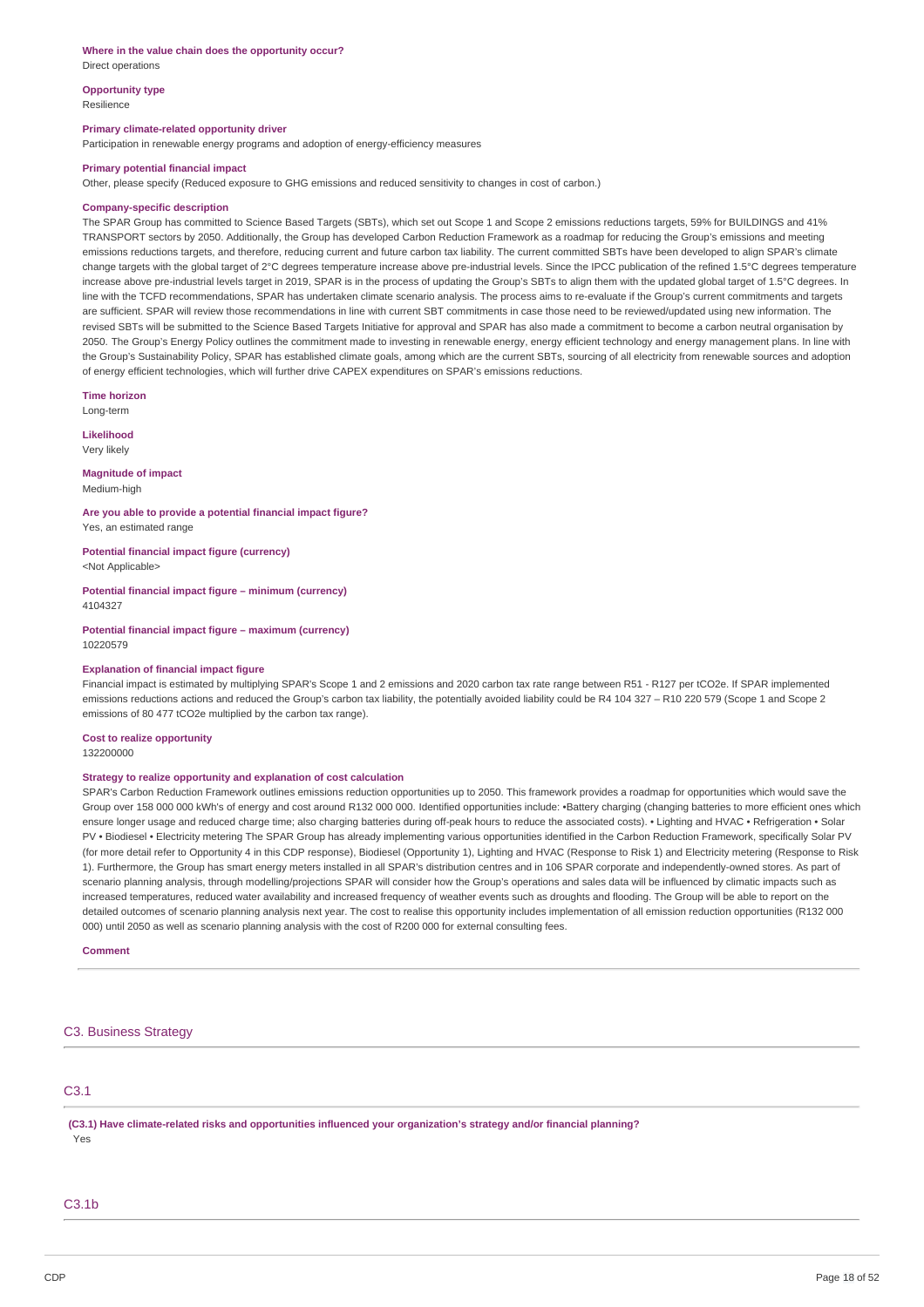#### **Where in the value chain does the opportunity occur?**

Direct operations

**Opportunity type**

Resilience

### **Primary climate-related opportunity driver**

Participation in renewable energy programs and adoption of energy-efficiency measures

#### **Primary potential financial impact**

Other, please specify (Reduced exposure to GHG emissions and reduced sensitivity to changes in cost of carbon.)

#### **Company-specific description**

The SPAR Group has committed to Science Based Targets (SBTs), which set out Scope 1 and Scope 2 emissions reductions targets, 59% for BUILDINGS and 41% TRANSPORT sectors by 2050. Additionally, the Group has developed Carbon Reduction Framework as a roadmap for reducing the Group's emissions and meeting emissions reductions targets, and therefore, reducing current and future carbon tax liability. The current committed SBTs have been developed to align SPAR's climate change targets with the global target of 2°C degrees temperature increase above pre-industrial levels. Since the IPCC publication of the refined 1.5°C degrees temperature increase above pre-industrial levels target in 2019, SPAR is in the process of updating the Group's SBTs to align them with the updated global target of 1.5°C degrees. In line with the TCFD recommendations, SPAR has undertaken climate scenario analysis. The process aims to re-evaluate if the Group's current commitments and targets are sufficient. SPAR will review those recommendations in line with current SBT commitments in case those need to be reviewed/updated using new information. The revised SBTs will be submitted to the Science Based Targets Initiative for approval and SPAR has also made a commitment to become a carbon neutral organisation by 2050. The Group's Energy Policy outlines the commitment made to investing in renewable energy, energy efficient technology and energy management plans. In line with the Group's Sustainability Policy, SPAR has established climate goals, among which are the current SBTs, sourcing of all electricity from renewable sources and adoption of energy efficient technologies, which will further drive CAPEX expenditures on SPAR's emissions reductions.

**Time horizon**

Long-term

**Likelihood** Very likely

**Magnitude of impact** Medium-high

**Are you able to provide a potential financial impact figure?** Yes, an estimated range

**Potential financial impact figure (currency)** <Not Applicable>

**Potential financial impact figure – minimum (currency)** 4104327

**Potential financial impact figure – maximum (currency)** 10220579

#### **Explanation of financial impact figure**

Financial impact is estimated by multiplying SPAR's Scope 1 and 2 emissions and 2020 carbon tax rate range between R51 - R127 per tCO2e. If SPAR implemented emissions reductions actions and reduced the Group's carbon tax liability, the potentially avoided liability could be R4 104 327 – R10 220 579 (Scope 1 and Scope 2 emissions of 80 477 tCO2e multiplied by the carbon tax range).

**Cost to realize opportunity** 132200000

#### **Strategy to realize opportunity and explanation of cost calculation**

SPAR's Carbon Reduction Framework outlines emissions reduction opportunities up to 2050. This framework provides a roadmap for opportunities which would save the Group over 158 000 000 kWh's of energy and cost around R132 000 000. Identified opportunities include: •Battery charging (changing batteries to more efficient ones which ensure longer usage and reduced charge time; also charging batteries during off-peak hours to reduce the associated costs). • Lighting and HVAC • Refrigeration • Solar PV • Biodiesel • Electricity metering The SPAR Group has already implementing various opportunities identified in the Carbon Reduction Framework, specifically Solar PV (for more detail refer to Opportunity 4 in this CDP response), Biodiesel (Opportunity 1), Lighting and HVAC (Response to Risk 1) and Electricity metering (Response to Risk 1). Furthermore, the Group has smart energy meters installed in all SPAR's distribution centres and in 106 SPAR corporate and independently-owned stores. As part of scenario planning analysis, through modelling/projections SPAR will consider how the Group's operations and sales data will be influenced by climatic impacts such as increased temperatures, reduced water availability and increased frequency of weather events such as droughts and flooding. The Group will be able to report on the detailed outcomes of scenario planning analysis next year. The cost to realise this opportunity includes implementation of all emission reduction opportunities (R132 000 000) until 2050 as well as scenario planning analysis with the cost of R200 000 for external consulting fees.

**Comment**

## C3. Business Strategy

## C3.1

**(C3.1) Have climate-related risks and opportunities influenced your organization's strategy and/or financial planning?** Yes

### $C3.1h$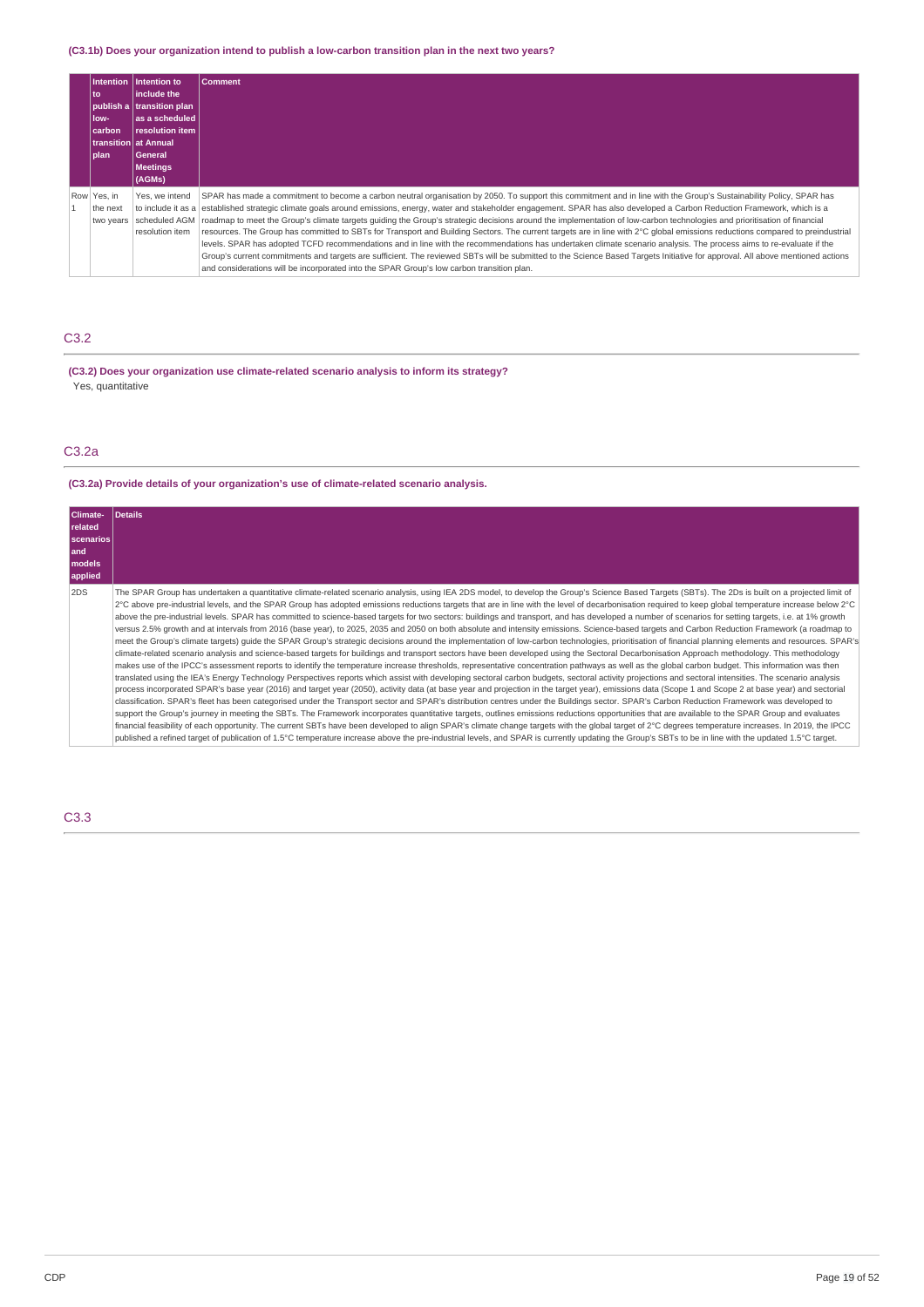# **(C3.1b) Does your organization intend to publish a low-carbon transition plan in the next two years?**

| l to<br>low-<br>  carbon <br> plan   | Intention Intention to<br>linclude the<br>publish a transition plan<br>las a scheduled<br>resolution item<br>  transition   at Annual<br><b>General</b><br><b>Meetings</b><br>(AGMs) | <b>Comment</b>                                                                                                                                                                                                                                                                                                                                                                                                                                                                                                                                                                                                                                                                                                                                                                                                                                                                                                                                                                                                                                                                                                                                            |
|--------------------------------------|--------------------------------------------------------------------------------------------------------------------------------------------------------------------------------------|-----------------------------------------------------------------------------------------------------------------------------------------------------------------------------------------------------------------------------------------------------------------------------------------------------------------------------------------------------------------------------------------------------------------------------------------------------------------------------------------------------------------------------------------------------------------------------------------------------------------------------------------------------------------------------------------------------------------------------------------------------------------------------------------------------------------------------------------------------------------------------------------------------------------------------------------------------------------------------------------------------------------------------------------------------------------------------------------------------------------------------------------------------------|
| Row Yes, in<br>the next<br>two years | Yes, we intend<br>to include it as a<br>scheduled AGM<br>resolution item                                                                                                             | SPAR has made a commitment to become a carbon neutral organisation by 2050. To support this commitment and in line with the Group's Sustainability Policy, SPAR has<br>established strategic climate goals around emissions, energy, water and stakeholder engagement. SPAR has also developed a Carbon Reduction Framework, which is a<br>roadmap to meet the Group's climate targets guiding the Group's strategic decisions around the implementation of low-carbon technologies and prioritisation of financial<br>resources. The Group has committed to SBTs for Transport and Building Sectors. The current targets are in line with 2°C global emissions reductions compared to preindustrial<br>levels. SPAR has adopted TCFD recommendations and in line with the recommendations has undertaken climate scenario analysis. The process aims to re-evaluate if the<br>Group's current commitments and targets are sufficient. The reviewed SBTs will be submitted to the Science Based Targets Initiative for approval. All above mentioned actions<br>and considerations will be incorporated into the SPAR Group's low carbon transition plan. |

# C3.2

**(C3.2) Does your organization use climate-related scenario analysis to inform its strategy?** Yes, quantitative

# C3.2a

# **(C3.2a) Provide details of your organization's use of climate-related scenario analysis.**

| Climate-<br><b>related</b><br><b>scenarios</b><br>land<br>models<br>applied | Details                                                                                                                                                                                                                                                                                                                                                                                                                                                                                                                                                                                                                                                                                                                                                                                                                                                                                                                                                                                                                                                                                                                                                                                                                                                                                                                                                                                                                                                                                                                                                                                                                                                                                                                                                                                                                                                                                                                                                                                                                                                                                                                                                                                                                                                                                                                                                                                                                                                                                                                                                                                                                                                                      |
|-----------------------------------------------------------------------------|------------------------------------------------------------------------------------------------------------------------------------------------------------------------------------------------------------------------------------------------------------------------------------------------------------------------------------------------------------------------------------------------------------------------------------------------------------------------------------------------------------------------------------------------------------------------------------------------------------------------------------------------------------------------------------------------------------------------------------------------------------------------------------------------------------------------------------------------------------------------------------------------------------------------------------------------------------------------------------------------------------------------------------------------------------------------------------------------------------------------------------------------------------------------------------------------------------------------------------------------------------------------------------------------------------------------------------------------------------------------------------------------------------------------------------------------------------------------------------------------------------------------------------------------------------------------------------------------------------------------------------------------------------------------------------------------------------------------------------------------------------------------------------------------------------------------------------------------------------------------------------------------------------------------------------------------------------------------------------------------------------------------------------------------------------------------------------------------------------------------------------------------------------------------------------------------------------------------------------------------------------------------------------------------------------------------------------------------------------------------------------------------------------------------------------------------------------------------------------------------------------------------------------------------------------------------------------------------------------------------------------------------------------------------------|
| 2DS                                                                         | The SPAR Group has undertaken a quantitative climate-related scenario analysis, using IEA 2DS model, to develop the Group's Science Based Targets (SBTs). The 2Ds is built on a projected limit of<br>2°C above pre-industrial levels, and the SPAR Group has adopted emissions reductions targets that are in line with the level of decarbonisation required to keep global temperature increase below 2°C<br>above the pre-industrial levels. SPAR has committed to science-based targets for two sectors: buildings and transport, and has developed a number of scenarios for setting targets, i.e. at 1% growth<br>versus 2.5% growth and at intervals from 2016 (base year), to 2025, 2035 and 2050 on both absolute and intensity emissions. Science-based targets and Carbon Reduction Framework (a roadmap to<br>meet the Group's climate targets) quide the SPAR Group's strategic decisions around the implementation of low-carbon technologies, prioritisation of financial planning elements and resources. SPAR's<br>climate-related scenario analysis and science-based targets for buildings and transport sectors have been developed using the Sectoral Decarbonisation Approach methodology. This methodology<br>makes use of the IPCC's assessment reports to identify the temperature increase thresholds, representative concentration pathways as well as the global carbon budget. This information was then<br>translated using the IEA's Energy Technology Perspectives reports which assist with developing sectoral carbon budgets, sectoral activity projections and sectoral intensities. The scenario analysis<br>process incorporated SPAR's base year (2016) and target year (2050), activity data (at base year and projection in the target year), emissions data (Scope 1 and Scope 2 at base year) and sectorial<br>classification. SPAR's fleet has been categorised under the Transport sector and SPAR's distribution centres under the Buildings sector. SPAR's Carbon Reduction Framework was developed to<br>support the Group's journey in meeting the SBTs. The Framework incorporates quantitative targets, outlines emissions reductions opportunities that are available to the SPAR Group and evaluates<br>financial feasibility of each opportunity. The current SBTs have been developed to align SPAR's climate change targets with the global target of 2°C degrees temperature increases. In 2019, the IPCC<br>published a refined target of publication of 1.5°C temperature increase above the pre-industrial levels, and SPAR is currently updating the Group's SBTs to be in line with the updated 1.5°C target. |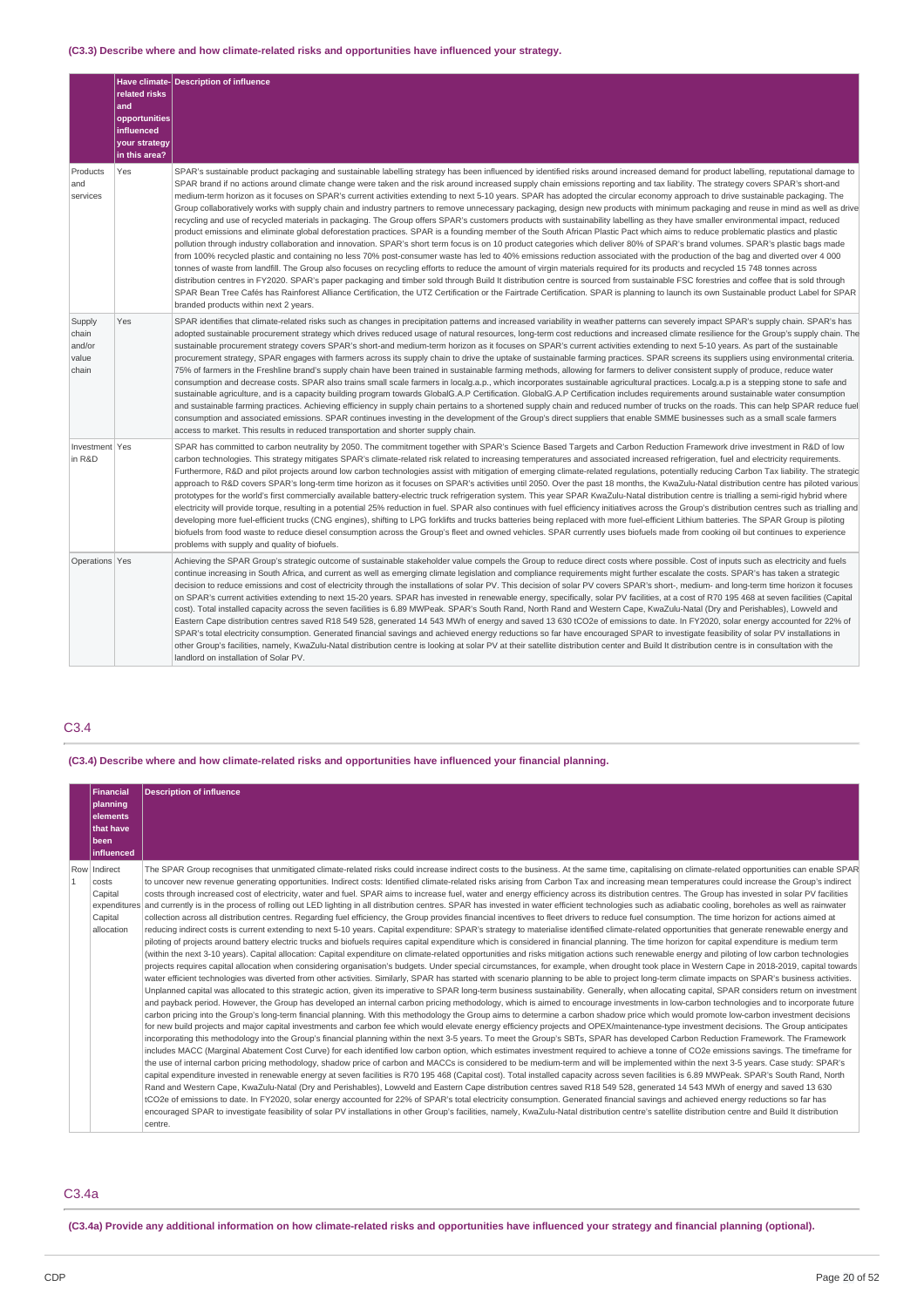# **(C3.3) Describe where and how climate-related risks and opportunities have influenced your strategy.**

|                                             | related risks<br>and<br>opportunities<br>influenced<br>your strategy<br>in this area? | Have climate-Description of influence                                                                                                                                                                                                                                                                                                                                                                                                                                                                                                                                                                                                                                                                                                                                                                                                                                                                                                                                                                                                                                                                                                                                                                                                                                                                                                                                                                                                                                                                                                                                                                                                                                                                                                                                                                                                                                                                                                                                                                                                                                                                               |
|---------------------------------------------|---------------------------------------------------------------------------------------|---------------------------------------------------------------------------------------------------------------------------------------------------------------------------------------------------------------------------------------------------------------------------------------------------------------------------------------------------------------------------------------------------------------------------------------------------------------------------------------------------------------------------------------------------------------------------------------------------------------------------------------------------------------------------------------------------------------------------------------------------------------------------------------------------------------------------------------------------------------------------------------------------------------------------------------------------------------------------------------------------------------------------------------------------------------------------------------------------------------------------------------------------------------------------------------------------------------------------------------------------------------------------------------------------------------------------------------------------------------------------------------------------------------------------------------------------------------------------------------------------------------------------------------------------------------------------------------------------------------------------------------------------------------------------------------------------------------------------------------------------------------------------------------------------------------------------------------------------------------------------------------------------------------------------------------------------------------------------------------------------------------------------------------------------------------------------------------------------------------------|
| Products<br>and<br>services                 | Yes                                                                                   | SPAR's sustainable product packaging and sustainable labelling strategy has been influenced by identified risks around increased demand for product labelling, reputational damage to<br>SPAR brand if no actions around climate change were taken and the risk around increased supply chain emissions reporting and tax liability. The strategy covers SPAR's short-and<br>medium-term horizon as it focuses on SPAR's current activities extending to next 5-10 years. SPAR has adopted the circular economy approach to drive sustainable packaging. The<br>Group collaboratively works with supply chain and industry partners to remove unnecessary packaging, design new products with minimum packaging and reuse in mind as well as drive<br>recycling and use of recycled materials in packaging. The Group offers SPAR's customers products with sustainability labelling as they have smaller environmental impact, reduced<br>product emissions and eliminate global deforestation practices. SPAR is a founding member of the South African Plastic Pact which aims to reduce problematic plastics and plastic<br>pollution through industry collaboration and innovation. SPAR's short term focus is on 10 product categories which deliver 80% of SPAR's brand volumes. SPAR's plastic bags made<br>from 100% recycled plastic and containing no less 70% post-consumer waste has led to 40% emissions reduction associated with the production of the bag and diverted over 4 000<br>tonnes of waste from landfill. The Group also focuses on recycling efforts to reduce the amount of virgin materials required for its products and recycled 15 748 tonnes across<br>distribution centres in FY2020. SPAR's paper packaging and timber sold through Build It distribution centre is sourced from sustainable FSC forestries and coffee that is sold through<br>SPAR Bean Tree Cafés has Rainforest Alliance Certification, the UTZ Certification or the Fairtrade Certification. SPAR is planning to launch its own Sustainable product Label for SPAR<br>branded products within next 2 years. |
| Supply<br>chain<br>and/or<br>value<br>chain | Yes                                                                                   | SPAR identifies that climate-related risks such as changes in precipitation patterns and increased variability in weather patterns can severely impact SPAR's supply chain. SPAR's has<br>adopted sustainable procurement strategy which drives reduced usage of natural resources, long-term cost reductions and increased climate resilience for the Group's supply chain. The<br>sustainable procurement strategy covers SPAR's short-and medium-term horizon as it focuses on SPAR's current activities extending to next 5-10 years. As part of the sustainable<br>procurement strategy, SPAR engages with farmers across its supply chain to drive the uptake of sustainable farming practices. SPAR screens its suppliers using environmental criteria.<br>75% of farmers in the Freshline brand's supply chain have been trained in sustainable farming methods, allowing for farmers to deliver consistent supply of produce, reduce water<br>consumption and decrease costs. SPAR also trains small scale farmers in localg.a.p., which incorporates sustainable agricultural practices. Localg.a.p is a stepping stone to safe and<br>sustainable agriculture, and is a capacity building program towards GlobalG.A.P Certification. GlobalG.A.P Certification includes requirements around sustainable water consumption<br>and sustainable farming practices. Achieving efficiency in supply chain pertains to a shortened supply chain and reduced number of trucks on the roads. This can help SPAR reduce fuel<br>consumption and associated emissions. SPAR continues investing in the development of the Group's direct suppliers that enable SMME businesses such as a small scale farmers<br>access to market. This results in reduced transportation and shorter supply chain.                                                                                                                                                                                                                                                                                                                 |
| Investment Yes<br>in R&D                    |                                                                                       | SPAR has committed to carbon neutrality by 2050. The commitment together with SPAR's Science Based Targets and Carbon Reduction Framework drive investment in R&D of low<br>carbon technologies. This strategy mitigates SPAR's climate-related risk related to increasing temperatures and associated increased refrigeration, fuel and electricity requirements.<br>Furthermore, R&D and pilot projects around low carbon technologies assist with mitigation of emerging climate-related regulations, potentially reducing Carbon Tax liability. The strategic<br>approach to R&D covers SPAR's long-term time horizon as it focuses on SPAR's activities until 2050. Over the past 18 months, the KwaZulu-Natal distribution centre has piloted various<br>prototypes for the world's first commercially available battery-electric truck refrigeration system. This year SPAR KwaZulu-Natal distribution centre is trialling a semi-rigid hybrid where<br>electricity will provide torque, resulting in a potential 25% reduction in fuel. SPAR also continues with fuel efficiency initiatives across the Group's distribution centres such as trialling and<br>developing more fuel-efficient trucks (CNG engines), shifting to LPG forklifts and trucks batteries being replaced with more fuel-efficient Lithium batteries. The SPAR Group is piloting<br>biofuels from food waste to reduce diesel consumption across the Group's fleet and owned vehicles. SPAR currently uses biofuels made from cooking oil but continues to experience<br>problems with supply and quality of biofuels.                                                                                                                                                                                                                                                                                                                                                                                                                                                                                                               |
| Operations Yes                              |                                                                                       | Achieving the SPAR Group's strategic outcome of sustainable stakeholder value compels the Group to reduce direct costs where possible. Cost of inputs such as electricity and fuels<br>continue increasing in South Africa, and current as well as emerging climate legislation and compliance requirements might further escalate the costs. SPAR's has taken a strategic<br>decision to reduce emissions and cost of electricity through the installations of solar PV. This decision of solar PV covers SPAR's short-, medium- and long-term time horizon it focuses<br>on SPAR's current activities extending to next 15-20 years. SPAR has invested in renewable energy, specifically, solar PV facilities, at a cost of R70 195 468 at seven facilities (Capital<br>cost). Total installed capacity across the seven facilities is 6.89 MWPeak. SPAR's South Rand, North Rand and Western Cape, KwaZulu-Natal (Dry and Perishables), Lowveld and<br>Eastern Cape distribution centres saved R18 549 528, generated 14 543 MWh of energy and saved 13 630 tCO2e of emissions to date. In FY2020, solar energy accounted for 22% of<br>SPAR's total electricity consumption. Generated financial savings and achieved energy reductions so far have encouraged SPAR to investigate feasibility of solar PV installations in<br>other Group's facilities, namely, KwaZulu-Natal distribution centre is looking at solar PV at their satellite distribution center and Build It distribution centre is in consultation with the<br>landlord on installation of Solar PV.                                                                                                                                                                                                                                                                                                                                                                                                                                                                                                                                          |

# C3.4

**(C3.4) Describe where and how climate-related risks and opportunities have influenced your financial planning.**

|              | <b>Financial</b> | <b>Description of influence</b>                                                                                                                                                                                                                                                                                                                                                                      |
|--------------|------------------|------------------------------------------------------------------------------------------------------------------------------------------------------------------------------------------------------------------------------------------------------------------------------------------------------------------------------------------------------------------------------------------------------|
|              | planning         |                                                                                                                                                                                                                                                                                                                                                                                                      |
|              | elements         |                                                                                                                                                                                                                                                                                                                                                                                                      |
|              | that have        |                                                                                                                                                                                                                                                                                                                                                                                                      |
|              | been             |                                                                                                                                                                                                                                                                                                                                                                                                      |
|              | influenced       |                                                                                                                                                                                                                                                                                                                                                                                                      |
|              | Row Indirect     | The SPAR Group recognises that unmitigated climate-related risks could increase indirect costs to the business. At the same time, capitalising on climate-related opportunities can enable SPAR                                                                                                                                                                                                      |
| $\mathbf{1}$ | costs            | to uncover new revenue generating opportunities. Indirect costs: Identified climate-related risks arising from Carbon Tax and increasing mean temperatures could increase the Group's indirect                                                                                                                                                                                                       |
|              | Capital          | costs through increased cost of electricity, water and fuel. SPAR aims to increase fuel, water and energy efficiency across its distribution centres. The Group has invested in solar PV facilities                                                                                                                                                                                                  |
|              |                  | expenditures and currently is in the process of rolling out LED lighting in all distribution centres. SPAR has invested in water efficient technologies such as adiabatic cooling, boreholes as well as rainwater                                                                                                                                                                                    |
|              | Capital          | collection across all distribution centres. Regarding fuel efficiency, the Group provides financial incentives to fleet drivers to reduce fuel consumption. The time horizon for actions aimed at                                                                                                                                                                                                    |
|              | allocation       | reducing indirect costs is current extending to next 5-10 years. Capital expenditure: SPAR's strategy to materialise identified climate-related opportunities that generate renewable energy and<br>piloting of projects around battery electric trucks and biofuels requires capital expenditure which is considered in financial planning. The time horizon for capital expenditure is medium term |
|              |                  | (within the next 3-10 years). Capital allocation: Capital expenditure on climate-related opportunities and risks mitigation actions such renewable energy and piloting of low carbon technologies                                                                                                                                                                                                    |
|              |                  | projects requires capital allocation when considering organisation's budgets. Under special circumstances, for example, when drought took place in Western Cape in 2018-2019, capital towards                                                                                                                                                                                                        |
|              |                  | water efficient technologies was diverted from other activities. Similarly, SPAR has started with scenario planning to be able to project long-term climate impacts on SPAR's business activities.                                                                                                                                                                                                   |
|              |                  | Unplanned capital was allocated to this strategic action, given its imperative to SPAR long-term business sustainability. Generally, when allocating capital, SPAR considers return on investment                                                                                                                                                                                                    |
|              |                  | and payback period. However, the Group has developed an internal carbon pricing methodology, which is aimed to encourage investments in low-carbon technologies and to incorporate future                                                                                                                                                                                                            |
|              |                  | carbon pricing into the Group's long-term financial planning. With this methodology the Group aims to determine a carbon shadow price which would promote low-carbon investment decisions                                                                                                                                                                                                            |
|              |                  | for new build projects and major capital investments and carbon fee which would elevate energy efficiency projects and OPEX/maintenance-type investment decisions. The Group anticipates                                                                                                                                                                                                             |
|              |                  | incorporating this methodology into the Group's financial planning within the next 3-5 years. To meet the Group's SBTs, SPAR has developed Carbon Reduction Framework. The Framework                                                                                                                                                                                                                 |
|              |                  | includes MACC (Marginal Abatement Cost Curve) for each identified low carbon option, which estimates investment required to achieve a tonne of CO2e emissions savings. The timeframe for                                                                                                                                                                                                             |
|              |                  | the use of internal carbon pricing methodology, shadow price of carbon and MACCs is considered to be medium-term and will be implemented within the next 3-5 years. Case study: SPAR's                                                                                                                                                                                                               |
|              |                  | capital expenditure invested in renewable energy at seven facilities is R70 195 468 (Capital cost). Total installed capacity across seven facilities is 6.89 MWPeak. SPAR's South Rand, North                                                                                                                                                                                                        |
|              |                  | Rand and Western Cape, KwaZulu-Natal (Dry and Perishables), Lowveld and Eastern Cape distribution centres saved R18 549 528, generated 14 543 MWh of energy and saved 13 630                                                                                                                                                                                                                         |
|              |                  | tCO2e of emissions to date. In FY2020, solar energy accounted for 22% of SPAR's total electricity consumption. Generated financial savings and achieved energy reductions so far has<br>encouraged SPAR to investigate feasibility of solar PV installations in other Group's facilities, namely, KwaZulu-Natal distribution centre's satellite distribution centre and Build It distribution        |
|              |                  | centre.                                                                                                                                                                                                                                                                                                                                                                                              |
|              |                  |                                                                                                                                                                                                                                                                                                                                                                                                      |

## C3.4a

(C3.4a) Provide any additional information on how climate-related risks and opportunities have influenced your strategy and financial planning (optional).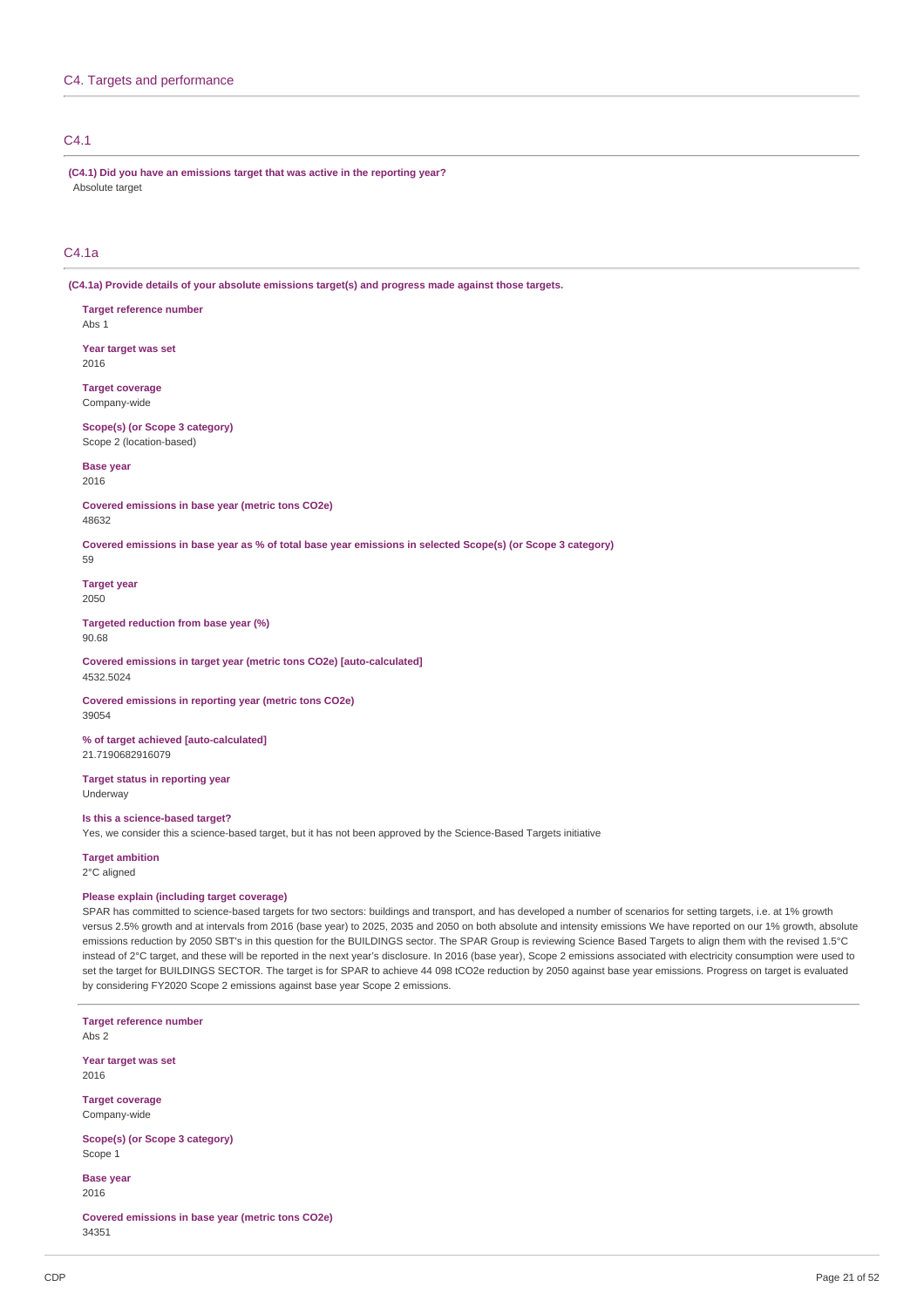# C4.1

**(C4.1) Did you have an emissions target that was active in the reporting year?** Absolute target

# C4.1a

**(C4.1a) Provide details of your absolute emissions target(s) and progress made against those targets.**

- **Target reference number** Abs 1
- **Year target was set** 2016
- **Target coverage** Company-wide
- **Scope(s) (or Scope 3 category)** Scope 2 (location-based)

**Base year**

2016

**Covered emissions in base year (metric tons CO2e)** 48632

Covered emissions in base year as % of total base year emissions in selected Scope(s) (or Scope 3 category)

59

**Target year** 2050

**Targeted reduction from base year (%)** 90.68

**Covered emissions in target year (metric tons CO2e) [auto-calculated]** 4532.5024

**Covered emissions in reporting year (metric tons CO2e)** 39054

**% of target achieved [auto-calculated]** 21.7190682916079

**Target status in reporting year** Underway

# **Is this a science-based target?**

Yes, we consider this a science-based target, but it has not been approved by the Science-Based Targets initiative

# **Target ambition**

2°C aligned

# **Please explain (including target coverage)**

SPAR has committed to science-based targets for two sectors: buildings and transport, and has developed a number of scenarios for setting targets, i.e. at 1% growth versus 2.5% growth and at intervals from 2016 (base year) to 2025, 2035 and 2050 on both absolute and intensity emissions We have reported on our 1% growth, absolute emissions reduction by 2050 SBT's in this question for the BUILDINGS sector. The SPAR Group is reviewing Science Based Targets to align them with the revised 1.5°C instead of 2°C target, and these will be reported in the next year's disclosure. In 2016 (base year), Scope 2 emissions associated with electricity consumption were used to set the target for BUILDINGS SECTOR. The target is for SPAR to achieve 44 098 tCO2e reduction by 2050 against base year emissions. Progress on target is evaluated by considering FY2020 Scope 2 emissions against base year Scope 2 emissions.

**Target reference number** Abs 2 **Year target was set** 2016 **Target coverage** Company-wide **Scope(s) (or Scope 3 category)** Scope 1 **Base year** 2016

**Covered emissions in base year (metric tons CO2e)** 34351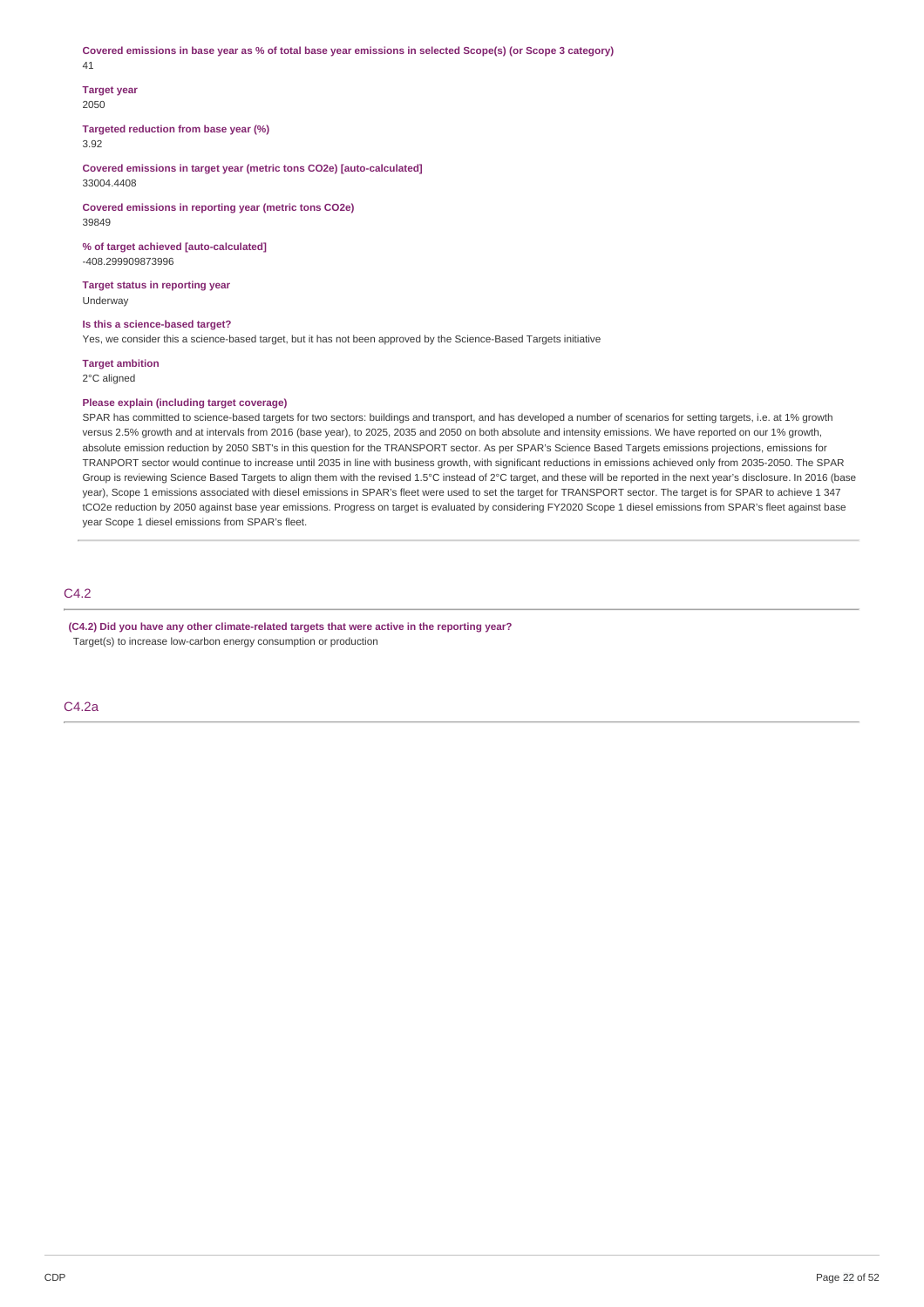Covered emissions in base year as % of total base year emissions in selected Scope(s) (or Scope 3 category) 41

# **Target year** 2050

**Targeted reduction from base year (%)**

3.92

**Covered emissions in target year (metric tons CO2e) [auto-calculated]** 33004.4408

**Covered emissions in reporting year (metric tons CO2e)** 39849

**% of target achieved [auto-calculated]** -408.299909873996

**Target status in reporting year** Underway

**Is this a science-based target?**

Yes, we consider this a science-based target, but it has not been approved by the Science-Based Targets initiative

**Target ambition**

2°C aligned

# **Please explain (including target coverage)**

SPAR has committed to science-based targets for two sectors: buildings and transport, and has developed a number of scenarios for setting targets, i.e. at 1% growth versus 2.5% growth and at intervals from 2016 (base year), to 2025, 2035 and 2050 on both absolute and intensity emissions. We have reported on our 1% growth, absolute emission reduction by 2050 SBT's in this question for the TRANSPORT sector. As per SPAR's Science Based Targets emissions projections, emissions for TRANPORT sector would continue to increase until 2035 in line with business growth, with significant reductions in emissions achieved only from 2035-2050. The SPAR Group is reviewing Science Based Targets to align them with the revised 1.5°C instead of 2°C target, and these will be reported in the next year's disclosure. In 2016 (base year), Scope 1 emissions associated with diesel emissions in SPAR's fleet were used to set the target for TRANSPORT sector. The target is for SPAR to achieve 1 347 tCO2e reduction by 2050 against base year emissions. Progress on target is evaluated by considering FY2020 Scope 1 diesel emissions from SPAR's fleet against base year Scope 1 diesel emissions from SPAR's fleet.

C4.2

**(C4.2) Did you have any other climate-related targets that were active in the reporting year?** Target(s) to increase low-carbon energy consumption or production

C4.2a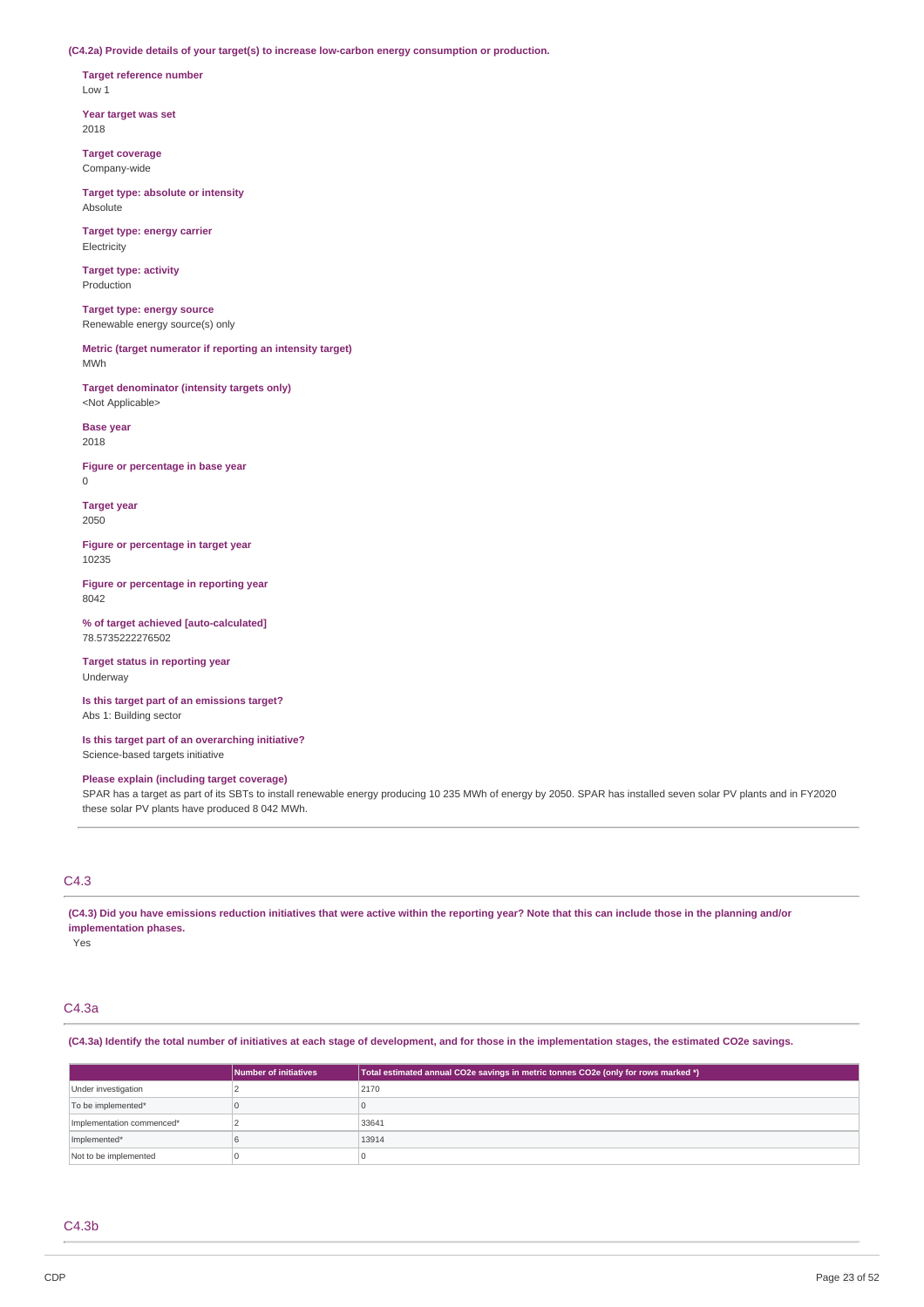**(C4.2a) Provide details of your target(s) to increase low-carbon energy consumption or production.**

**Target reference number** Low 1

**Year target was set** 2018

**Target coverage** Company-wide

**Target type: absolute or intensity Absolute** 

**Target type: energy carrier** Electricity

**Target type: activity** Production

**Target type: energy source** Renewable energy source(s) only

**Metric (target numerator if reporting an intensity target)** MWh

**Target denominator (intensity targets only)** <Not Applicable>

**Base year** 2018

**Figure or percentage in base year** 0

**Target year** 2050

**Figure or percentage in target year** 10235

**Figure or percentage in reporting year** 8042

**% of target achieved [auto-calculated]** 78.5735222276502

**Target status in reporting year** Underway

**Is this target part of an emissions target?** Abs 1: Building sector

**Is this target part of an overarching initiative?** Science-based targets initiative

## **Please explain (including target coverage)**

SPAR has a target as part of its SBTs to install renewable energy producing 10 235 MWh of energy by 2050. SPAR has installed seven solar PV plants and in FY2020 these solar PV plants have produced 8 042 MWh.

# C4.3

(C4.3) Did you have emissions reduction initiatives that were active within the reporting year? Note that this can include those in the planning and/or **implementation phases.**

Yes

# C4.3a

(C4.3a) Identify the total number of initiatives at each stage of development, and for those in the implementation stages, the estimated CO2e savings.

|                           | Number of initiatives | Total estimated annual CO2e savings in metric tonnes CO2e (only for rows marked *) |
|---------------------------|-----------------------|------------------------------------------------------------------------------------|
| Under investigation       |                       | 2170                                                                               |
| To be implemented*        |                       |                                                                                    |
| Implementation commenced* |                       | 33641                                                                              |
| Implemented*              |                       | 13914                                                                              |
| Not to be implemented     |                       |                                                                                    |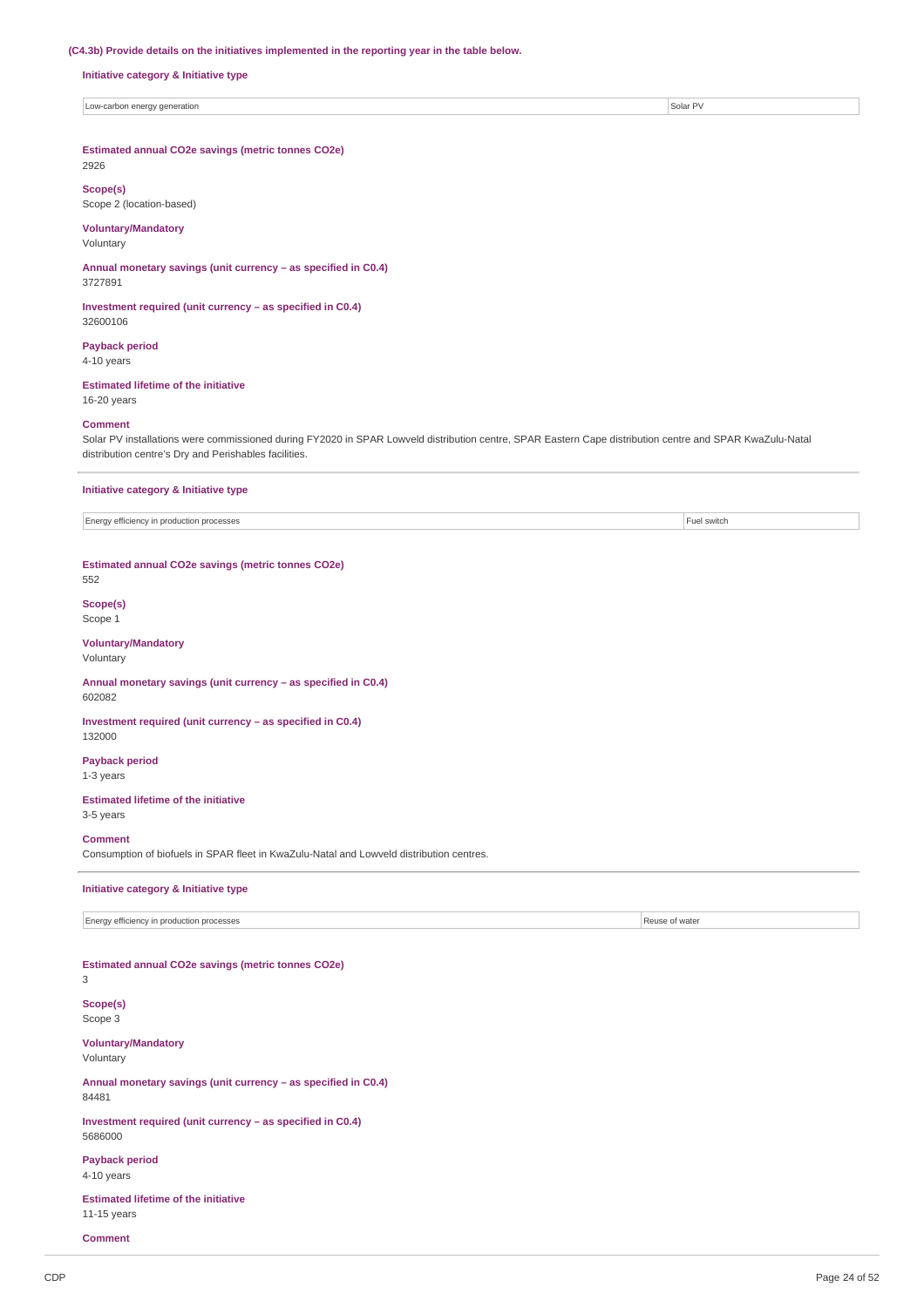### **(C4.3b) Provide details on the initiatives implemented in the reporting year in the table below.**

**Initiative category & Initiative type**

Low-carbon energy generation Solar PV

**Estimated annual CO2e savings (metric tonnes CO2e)**

# 2926

**Scope(s)** Scope 2 (location-based)

## **Voluntary/Mandatory**

Voluntary

**Annual monetary savings (unit currency – as specified in C0.4)** 3727891

**Investment required (unit currency – as specified in C0.4)** 32600106

# **Payback period**

4-10 years

# **Estimated lifetime of the initiative**

16-20 years

### **Comment**

Solar PV installations were commissioned during FY2020 in SPAR Lowveld distribution centre, SPAR Eastern Cape distribution centre and SPAR KwaZulu-Natal distribution centre's Dry and Perishables facilities.

### **Initiative category & Initiative type**

Energy efficiency in production processes Fuel switch

**Estimated annual CO2e savings (metric tonnes CO2e)**

552

### **Scope(s)** Scope 1

**Voluntary/Mandatory**

Voluntary

**Annual monetary savings (unit currency – as specified in C0.4)** 602082

**Investment required (unit currency – as specified in C0.4)** 132000

**Payback period** 1-3 years

**Estimated lifetime of the initiative** 3-5 years

## **Comment**

Consumption of biofuels in SPAR fleet in KwaZulu-Natal and Lowveld distribution centres.

### **Initiative category & Initiative type**

Energy efficiency in production processes **Reuse of water** Reuse of water

### **Estimated annual CO2e savings (metric tonnes CO2e)** 3

**Scope(s)** Scope 3

**Voluntary/Mandatory** Voluntary

**Annual monetary savings (unit currency – as specified in C0.4)** 84481

**Investment required (unit currency – as specified in C0.4)** 5686000

**Payback period** 4-10 years

**Estimated lifetime of the initiative** 11-15 years

**Comment**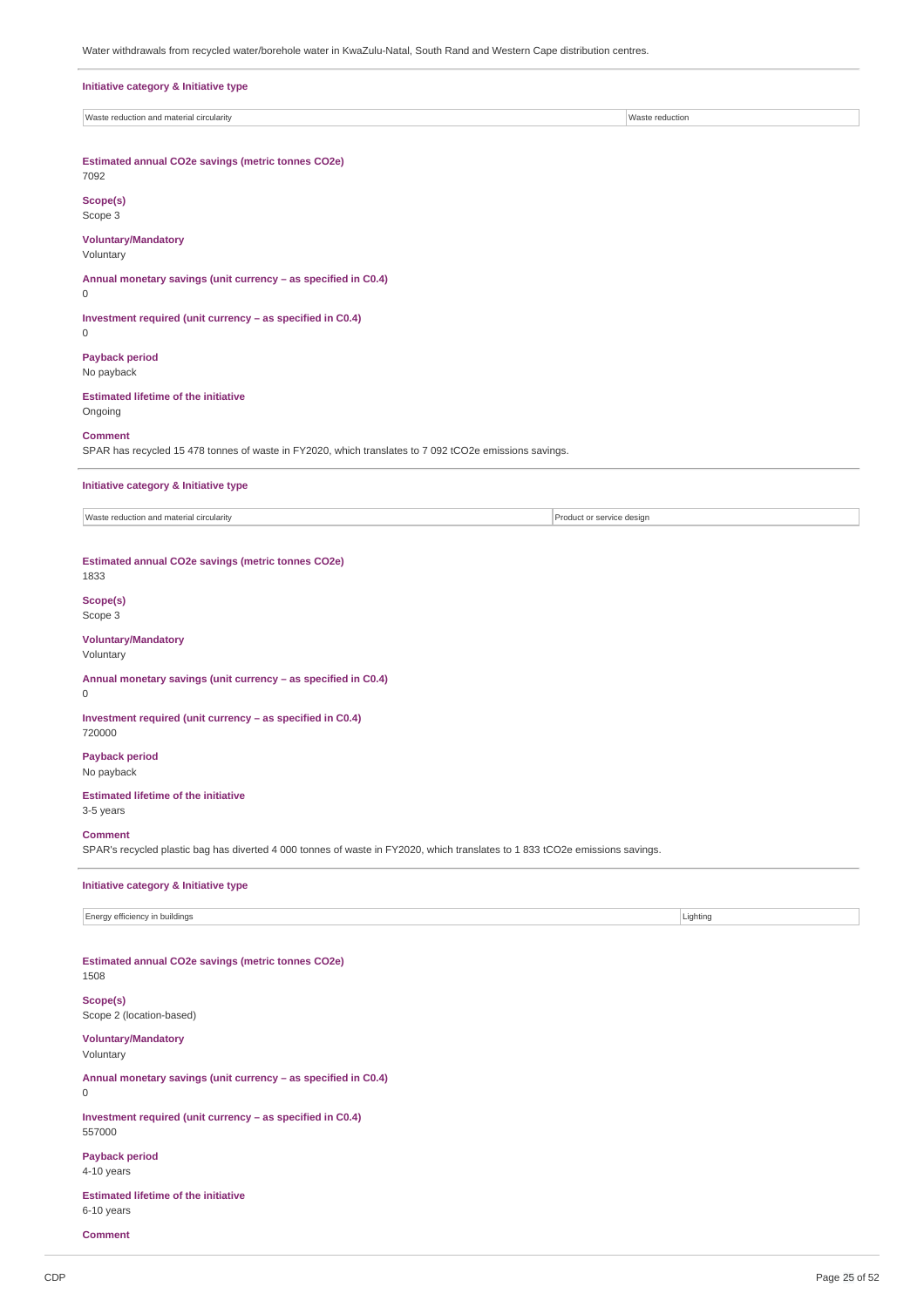Water withdrawals from recycled water/borehole water in KwaZulu-Natal, South Rand and Western Cape distribution centres.

| Initiative category & Initiative type                                                                                                          |                           |                 |  |
|------------------------------------------------------------------------------------------------------------------------------------------------|---------------------------|-----------------|--|
| Waste reduction and material circularity                                                                                                       |                           | Waste reduction |  |
| Estimated annual CO2e savings (metric tonnes CO2e)<br>7092                                                                                     |                           |                 |  |
| Scope(s)<br>Scope 3                                                                                                                            |                           |                 |  |
| <b>Voluntary/Mandatory</b><br>Voluntary                                                                                                        |                           |                 |  |
| Annual monetary savings (unit currency - as specified in C0.4)<br>0                                                                            |                           |                 |  |
| Investment required (unit currency - as specified in C0.4)<br>$\mathbf 0$                                                                      |                           |                 |  |
| <b>Payback period</b><br>No payback                                                                                                            |                           |                 |  |
| <b>Estimated lifetime of the initiative</b><br>Ongoing                                                                                         |                           |                 |  |
| <b>Comment</b><br>SPAR has recycled 15 478 tonnes of waste in FY2020, which translates to 7 092 tCO2e emissions savings.                       |                           |                 |  |
| Initiative category & Initiative type                                                                                                          |                           |                 |  |
| Waste reduction and material circularity                                                                                                       | Product or service design |                 |  |
| Estimated annual CO2e savings (metric tonnes CO2e)<br>1833                                                                                     |                           |                 |  |
| Scope(s)<br>Scope 3                                                                                                                            |                           |                 |  |
| <b>Voluntary/Mandatory</b><br>Voluntary                                                                                                        |                           |                 |  |
| Annual monetary savings (unit currency - as specified in C0.4)<br>$\mathsf{O}\xspace$                                                          |                           |                 |  |
| Investment required (unit currency - as specified in C0.4)<br>720000                                                                           |                           |                 |  |
| <b>Payback period</b><br>No payback                                                                                                            |                           |                 |  |
| <b>Estimated lifetime of the initiative</b><br>3-5 years                                                                                       |                           |                 |  |
| <b>Comment</b><br>SPAR's recycled plastic bag has diverted 4 000 tonnes of waste in FY2020, which translates to 1 833 tCO2e emissions savings. |                           |                 |  |
| Initiative category & Initiative type                                                                                                          |                           |                 |  |
| Energy efficiency in buildings                                                                                                                 |                           | Lighting        |  |
| Estimated annual CO2e savings (metric tonnes CO2e)<br>1508                                                                                     |                           |                 |  |
| Scope(s)<br>Scope 2 (location-based)                                                                                                           |                           |                 |  |
| <b>Voluntary/Mandatory</b><br>Voluntary                                                                                                        |                           |                 |  |
| Annual monetary savings (unit currency - as specified in C0.4)<br>0                                                                            |                           |                 |  |
| Investment required (unit currency - as specified in C0.4)<br>557000                                                                           |                           |                 |  |

**Payback period** 4-10 years

**Estimated lifetime of the initiative** 6-10 years

**Comment**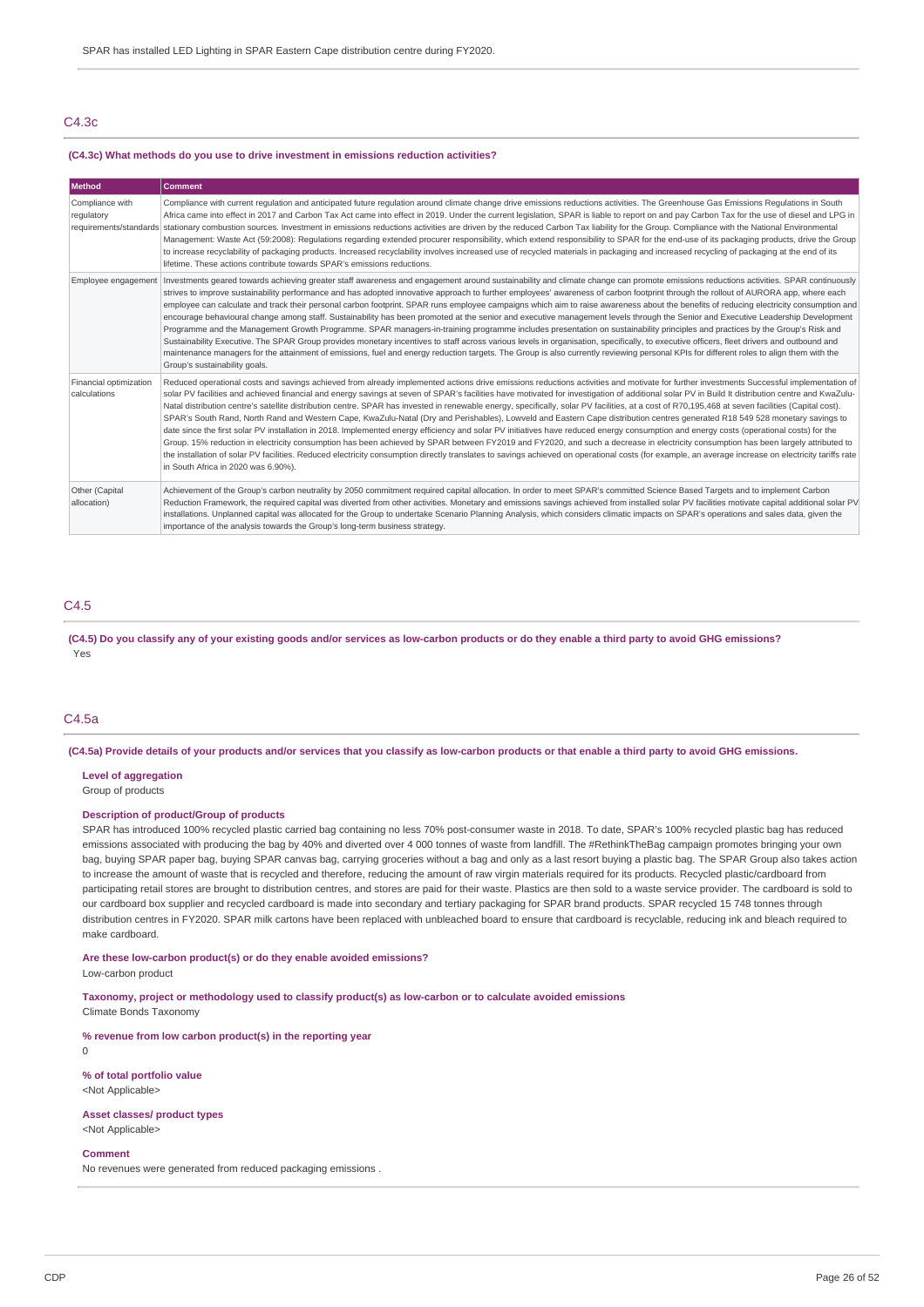# C4.3c

#### **(C4.3c) What methods do you use to drive investment in emissions reduction activities?**

| Method                                 | <b>Comment</b>                                                                                                                                                                                                                                                                                                                                                                                                                                                                                                                                                                                                                                                                                                                                                                                                                                                                                                                                                                                                                                                                                                                                                                                                                                                                                                                                                                                                  |
|----------------------------------------|-----------------------------------------------------------------------------------------------------------------------------------------------------------------------------------------------------------------------------------------------------------------------------------------------------------------------------------------------------------------------------------------------------------------------------------------------------------------------------------------------------------------------------------------------------------------------------------------------------------------------------------------------------------------------------------------------------------------------------------------------------------------------------------------------------------------------------------------------------------------------------------------------------------------------------------------------------------------------------------------------------------------------------------------------------------------------------------------------------------------------------------------------------------------------------------------------------------------------------------------------------------------------------------------------------------------------------------------------------------------------------------------------------------------|
| Compliance with<br>regulatory          | Compliance with current requlation and anticipated future requlation around climate change drive emissions reductions activities. The Greenhouse Gas Emissions Requlations in South<br>Africa came into effect in 2017 and Carbon Tax Act came into effect in 2019. Under the current legislation, SPAR is liable to report on and pay Carbon Tax for the use of diesel and LPG in<br>requirements/standards stationary combustion sources. Investment in emissions reductions activities are driven by the reduced Carbon Tax liability for the Group. Compliance with the National Environmental<br>Management: Waste Act (59:2008): Regulations regarding extended procurer responsibility, which extend responsibility to SPAR for the end-use of its packaging products, drive the Group<br>to increase recyclability of packaging products. Increased recyclability involves increased use of recycled materials in packaging and increased recycling of packaging at the end of its<br>lifetime. These actions contribute towards SPAR's emissions reductions.                                                                                                                                                                                                                                                                                                                                           |
|                                        | Employee engagement   Investments geared towards achieving greater staff awareness and engagement around sustainability and climate change can promote emissions reductions activities. SPAR continuously<br>strives to improve sustainability performance and has adopted innovative approach to further employees' awareness of carbon footprint through the rollout of AURORA app, where each<br>employee can calculate and track their personal carbon footprint. SPAR runs employee campaigns which aim to raise awareness about the benefits of reducing electricity consumption and<br>encourage behavioural change among staff. Sustainability has been promoted at the senior and executive management levels through the Senior and Executive Leadership Development<br>Programme and the Management Growth Programme. SPAR managers-in-training programme includes presentation on sustainability principles and practices by the Group's Risk and<br>Sustainability Executive. The SPAR Group provides monetary incentives to staff across various levels in organisation, specifically, to executive officers, fleet drivers and outbound and<br>maintenance managers for the attainment of emissions, fuel and energy reduction targets. The Group is also currently reviewing personal KPIs for different roles to align them with the<br>Group's sustainability goals.                          |
| Financial optimization<br>calculations | Reduced operational costs and savings achieved from already implemented actions drive emissions reductions activities and motivate for further investments Successful implementation of<br>solar PV facilities and achieved financial and energy savings at seven of SPAR's facilities have motivated for investigation of additional solar PV in Build It distribution centre and KwaZulu-<br>Natal distribution centre's satellite distribution centre. SPAR has invested in renewable energy, specifically, solar PV facilities, at a cost of R70,195,468 at seven facilities (Capital cost).<br>SPAR's South Rand, North Rand and Western Cape, KwaZulu-Natal (Dry and Perishables), Lowveld and Eastern Cape distribution centres generated R18 549 528 monetary savings to<br>date since the first solar PV installation in 2018. Implemented energy efficiency and solar PV initiatives have reduced energy consumption and energy costs (operational costs) for the<br>Group. 15% reduction in electricity consumption has been achieved by SPAR between FY2019 and FY2020, and such a decrease in electricity consumption has been largely attributed to<br>the installation of solar PV facilities. Reduced electricity consumption directly translates to savings achieved on operational costs (for example, an average increase on electricity tariffs rate<br>in South Africa in 2020 was 6.90%). |
| Other (Capital<br>allocation)          | Achievement of the Group's carbon neutrality by 2050 commitment required capital allocation. In order to meet SPAR's committed Science Based Targets and to implement Carbon<br>Reduction Framework, the required capital was diverted from other activities. Monetary and emissions savings achieved from installed solar PV facilities motivate capital additional solar PV<br>installations. Unplanned capital was allocated for the Group to undertake Scenario Planning Analysis, which considers climatic impacts on SPAR's operations and sales data, given the<br>importance of the analysis towards the Group's long-term business strategy.                                                                                                                                                                                                                                                                                                                                                                                                                                                                                                                                                                                                                                                                                                                                                           |

# C4.5

(C4.5) Do you classify any of your existing goods and/or services as low-carbon products or do they enable a third party to avoid GHG emissions? Yes

# C4.5a

(C4.5a) Provide details of your products and/or services that you classify as low-carbon products or that enable a third party to avoid GHG emissions.

### **Level of aggregation**

Group of products

### **Description of product/Group of products**

SPAR has introduced 100% recycled plastic carried bag containing no less 70% post-consumer waste in 2018. To date, SPAR's 100% recycled plastic bag has reduced emissions associated with producing the bag by 40% and diverted over 4 000 tonnes of waste from landfill. The #RethinkTheBag campaign promotes bringing your own bag, buying SPAR paper bag, buying SPAR canvas bag, carrying groceries without a bag and only as a last resort buying a plastic bag. The SPAR Group also takes action to increase the amount of waste that is recycled and therefore, reducing the amount of raw virgin materials required for its products. Recycled plastic/cardboard from participating retail stores are brought to distribution centres, and stores are paid for their waste. Plastics are then sold to a waste service provider. The cardboard is sold to our cardboard box supplier and recycled cardboard is made into secondary and tertiary packaging for SPAR brand products. SPAR recycled 15 748 tonnes through distribution centres in FY2020. SPAR milk cartons have been replaced with unbleached board to ensure that cardboard is recyclable, reducing ink and bleach required to make cardboard.

### **Are these low-carbon product(s) or do they enable avoided emissions?** Low-carbon product

**Taxonomy, project or methodology used to classify product(s) as low-carbon or to calculate avoided emissions** Climate Bonds Taxonomy

**% revenue from low carbon product(s) in the reporting year**

 $\Omega$ 

**% of total portfolio value** <Not Applicable>

# **Asset classes/ product types**

<Not Applicable>

### **Comment**

No revenues were generated from reduced packaging emissions .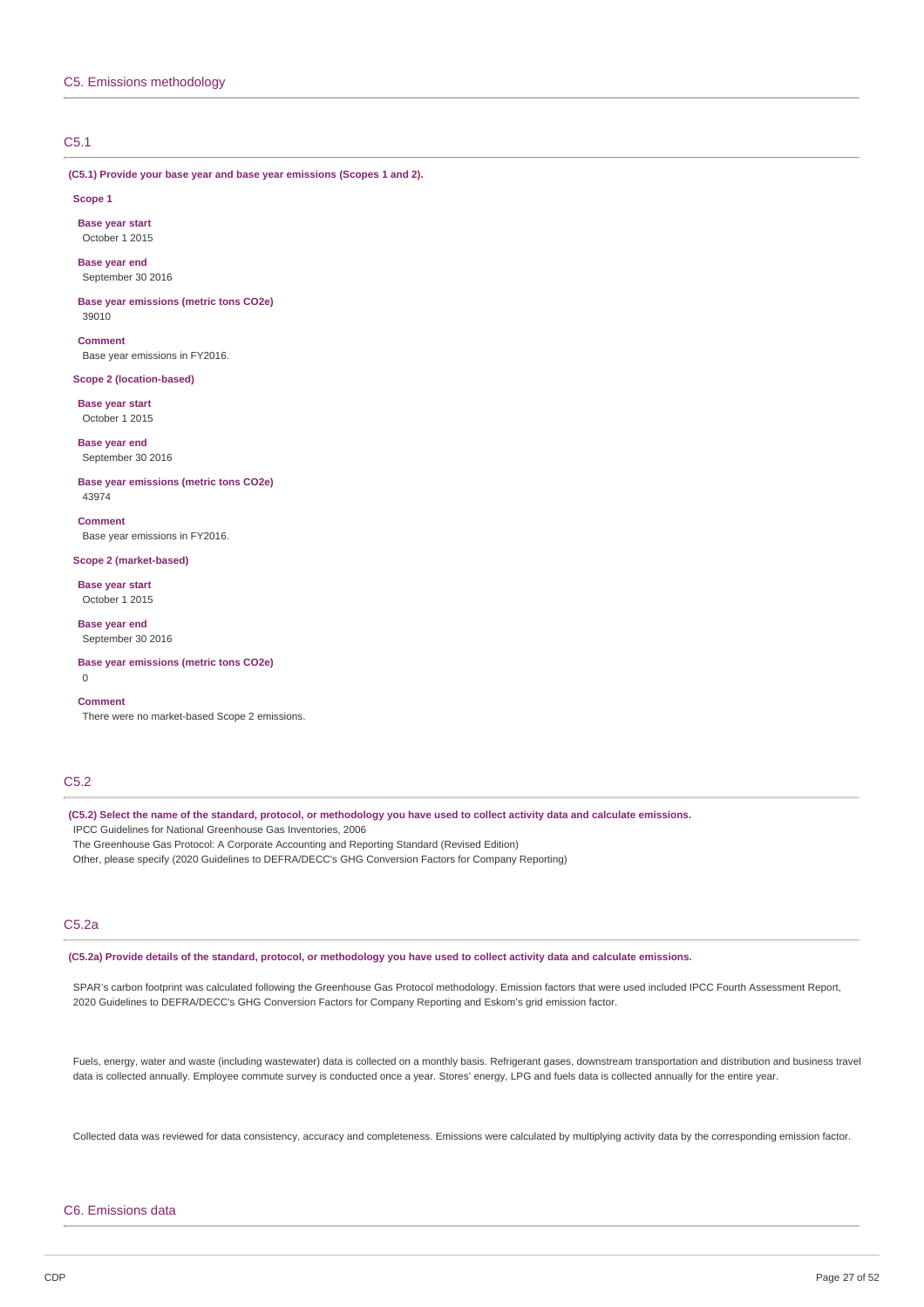# C5.1

**(C5.1) Provide your base year and base year emissions (Scopes 1 and 2).**

#### **Scope 1**

**Base year start** October 1 2015

**Base year end** September 30 2016

**Base year emissions (metric tons CO2e)** 39010

**Comment** Base year emissions in FY2016.

### **Scope 2 (location-based)**

**Base year start** October 1 2015

**Base year end** September 30 2016

**Base year emissions (metric tons CO2e)** 43974

**Comment** Base year emissions in FY2016.

**Scope 2 (market-based)**

**Base year start** October 1 2015

**Base year end** September 30 2016

**Base year emissions (metric tons CO2e)**  $\Omega$ 

## **Comment**

There were no market-based Scope 2 emissions.

# C5.2

(C5.2) Select the name of the standard, protocol, or methodology you have used to collect activity data and calculate emissions. IPCC Guidelines for National Greenhouse Gas Inventories, 2006 The Greenhouse Gas Protocol: A Corporate Accounting and Reporting Standard (Revised Edition)

Other, please specify (2020 Guidelines to DEFRA/DECC's GHG Conversion Factors for Company Reporting)

# C5.2a

(C5.2a) Provide details of the standard, protocol, or methodology you have used to collect activity data and calculate emissions.

SPAR's carbon footprint was calculated following the Greenhouse Gas Protocol methodology. Emission factors that were used included IPCC Fourth Assessment Report, 2020 Guidelines to DEFRA/DECC's GHG Conversion Factors for Company Reporting and Eskom's grid emission factor.

Fuels, energy, water and waste (including wastewater) data is collected on a monthly basis. Refrigerant gases, downstream transportation and distribution and business travel data is collected annually. Employee commute survey is conducted once a year. Stores' energy, LPG and fuels data is collected annually for the entire year.

Collected data was reviewed for data consistency, accuracy and completeness. Emissions were calculated by multiplying activity data by the corresponding emission factor.

### C6. Emissions data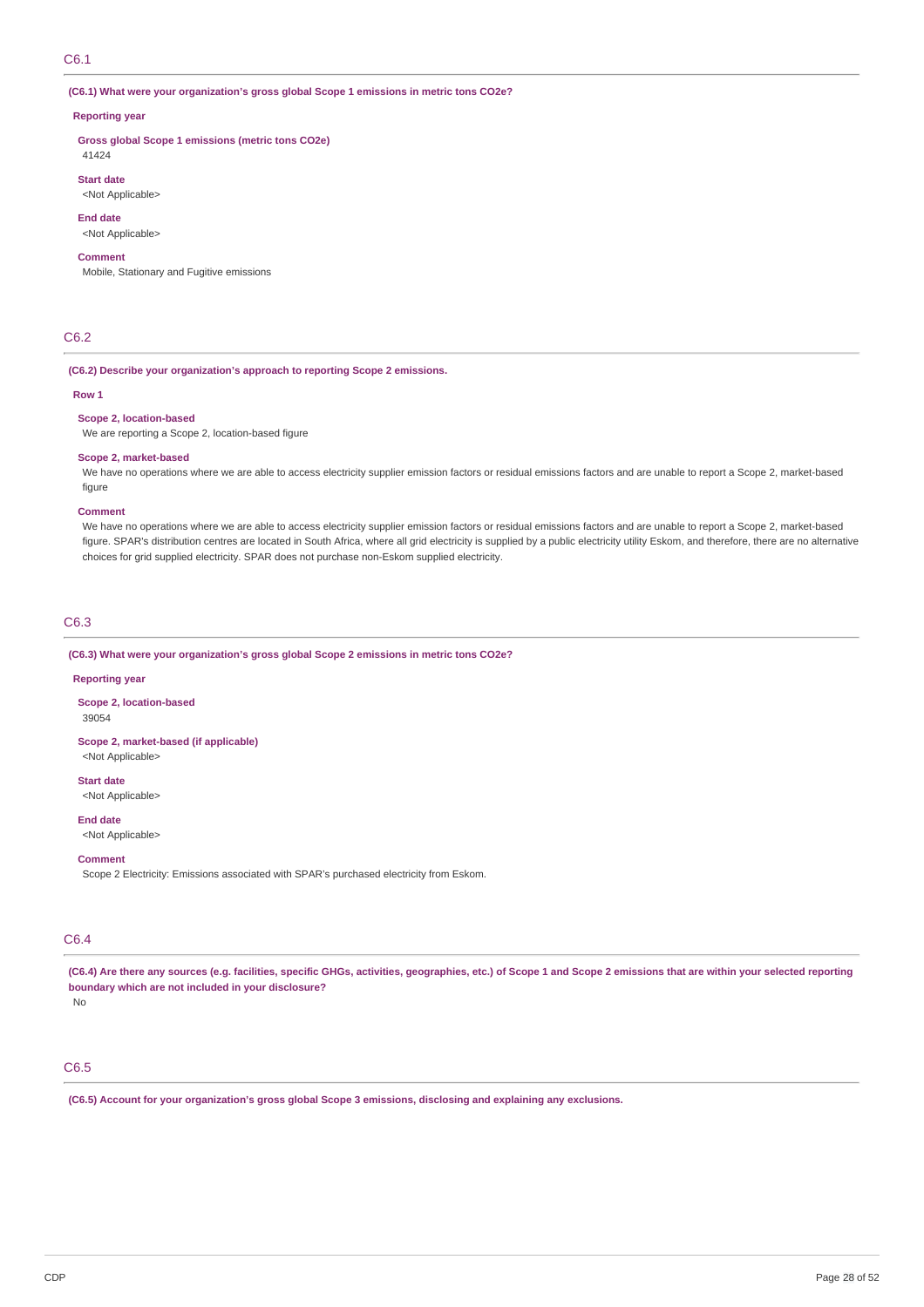# C6.1

**(C6.1) What were your organization's gross global Scope 1 emissions in metric tons CO2e?**

#### **Reporting year**

**Gross global Scope 1 emissions (metric tons CO2e)**

41424 **Start date**

<Not Applicable>

**End date**

# <Not Applicable>

## **Comment**

Mobile, Stationary and Fugitive emissions

# C6.2

### **(C6.2) Describe your organization's approach to reporting Scope 2 emissions.**

#### **Row 1**

## **Scope 2, location-based**

We are reporting a Scope 2, location-based figure

### **Scope 2, market-based**

We have no operations where we are able to access electricity supplier emission factors or residual emissions factors and are unable to report a Scope 2, market-based figure

#### **Comment**

We have no operations where we are able to access electricity supplier emission factors or residual emissions factors and are unable to report a Scope 2, market-based figure. SPAR's distribution centres are located in South Africa, where all grid electricity is supplied by a public electricity utility Eskom, and therefore, there are no alternative choices for grid supplied electricity. SPAR does not purchase non-Eskom supplied electricity.

# C6.3

**(C6.3) What were your organization's gross global Scope 2 emissions in metric tons CO2e?**

#### **Reporting year**

**Scope 2, location-based**

39054

**Scope 2, market-based (if applicable)** <Not Applicable>

**Start date**

<Not Applicable>

**End date**

<Not Applicable>

**Comment**

Scope 2 Electricity: Emissions associated with SPAR's purchased electricity from Eskom.

# C6.4

(C6.4) Are there any sources (e.g. facilities, specific GHGs, activities, geographies, etc.) of Scope 1 and Scope 2 emissions that are within your selected reporting **boundary which are not included in your disclosure?**

No

# C6.5

**(C6.5) Account for your organization's gross global Scope 3 emissions, disclosing and explaining any exclusions.**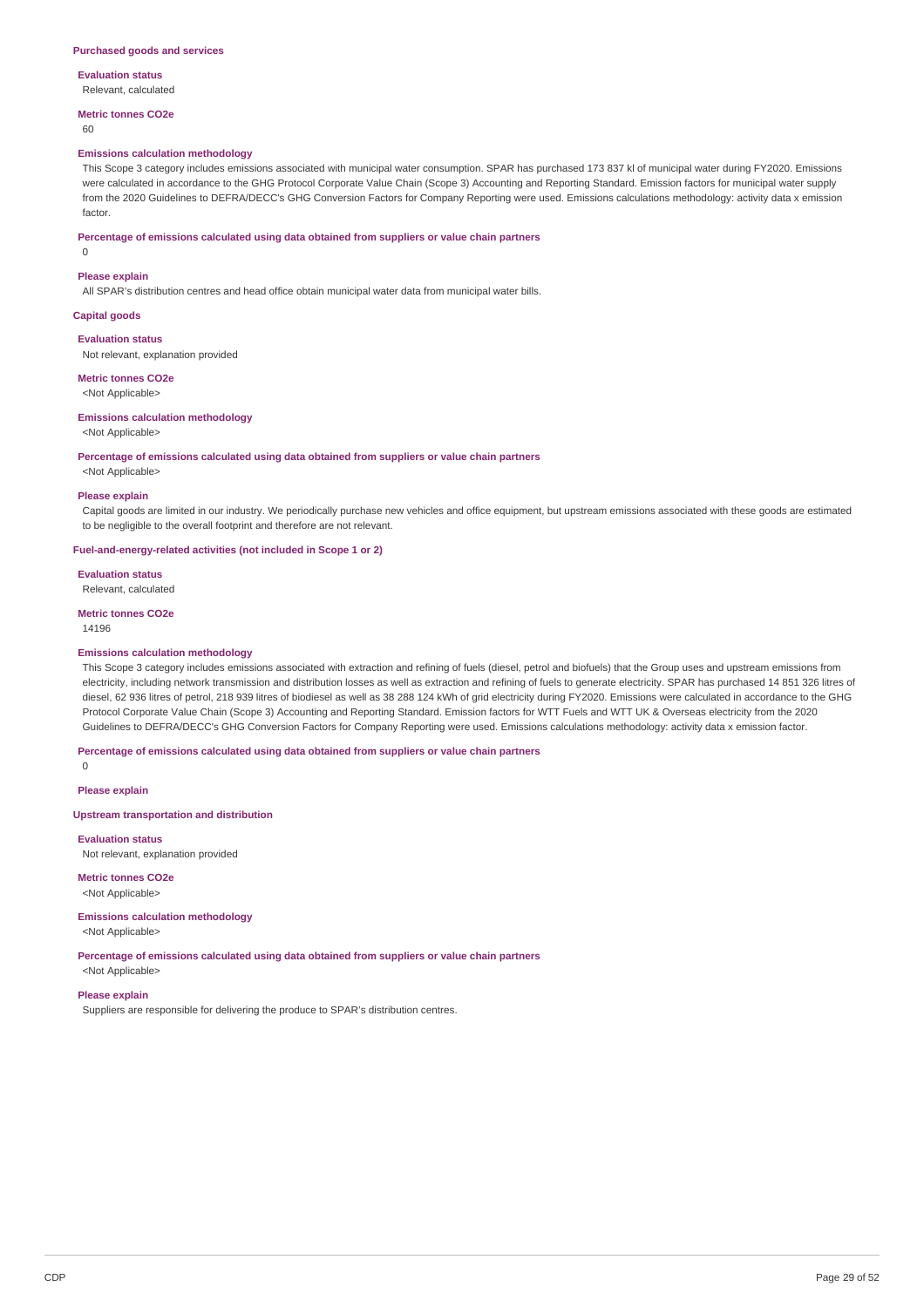# **Evaluation status**

Relevant, calculated

#### **Metric tonnes CO2e**

 $60$ 

### **Emissions calculation methodology**

This Scope 3 category includes emissions associated with municipal water consumption. SPAR has purchased 173 837 kl of municipal water during FY2020. Emissions were calculated in accordance to the GHG Protocol Corporate Value Chain (Scope 3) Accounting and Reporting Standard. Emission factors for municipal water supply from the 2020 Guidelines to DEFRA/DECC's GHG Conversion Factors for Company Reporting were used. Emissions calculations methodology: activity data x emission factor.

#### **Percentage of emissions calculated using data obtained from suppliers or value chain partners**

0

#### **Please explain**

All SPAR's distribution centres and head office obtain municipal water data from municipal water bills.

### **Capital goods**

#### **Evaluation status**

Not relevant, explanation provided

# **Metric tonnes CO2e**

<Not Applicable>

# **Emissions calculation methodology**

### <Not Applicable>

### **Percentage of emissions calculated using data obtained from suppliers or value chain partners**

<Not Applicable>

### **Please explain**

Capital goods are limited in our industry. We periodically purchase new vehicles and office equipment, but upstream emissions associated with these goods are estimated to be negligible to the overall footprint and therefore are not relevant.

### **Fuel-and-energy-related activities (not included in Scope 1 or 2)**

**Evaluation status** Relevant, calculated

#### **Metric tonnes CO2e**

14196

### **Emissions calculation methodology**

This Scope 3 category includes emissions associated with extraction and refining of fuels (diesel, petrol and biofuels) that the Group uses and upstream emissions from electricity, including network transmission and distribution losses as well as extraction and refining of fuels to generate electricity. SPAR has purchased 14 851 326 litres of diesel, 62 936 litres of petrol, 218 939 litres of biodiesel as well as 38 288 124 kWh of grid electricity during FY2020. Emissions were calculated in accordance to the GHG Protocol Corporate Value Chain (Scope 3) Accounting and Reporting Standard. Emission factors for WTT Fuels and WTT UK & Overseas electricity from the 2020 Guidelines to DEFRA/DECC's GHG Conversion Factors for Company Reporting were used. Emissions calculations methodology: activity data x emission factor.

#### **Percentage of emissions calculated using data obtained from suppliers or value chain partners**

0

### **Please explain**

### **Upstream transportation and distribution**

**Evaluation status**

Not relevant, explanation provided

**Metric tonnes CO2e** <Not Applicable>

### **Emissions calculation methodology**

<Not Applicable>

## **Percentage of emissions calculated using data obtained from suppliers or value chain partners**

<Not Applicable> **Please explain**

Suppliers are responsible for delivering the produce to SPAR's distribution centres.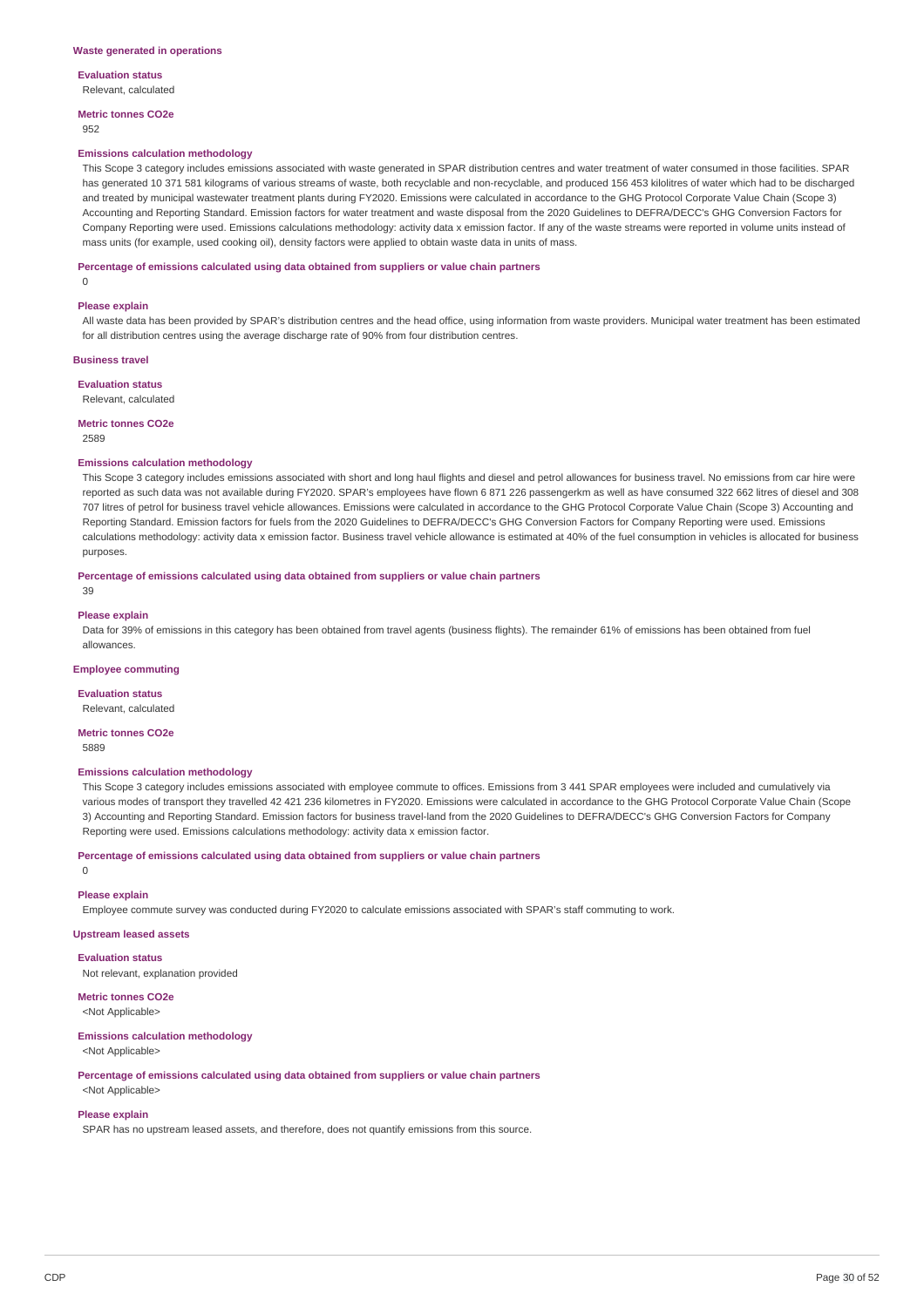**Evaluation status**

Relevant, calculated

**Metric tonnes CO2e**

## 952

#### **Emissions calculation methodology**

This Scope 3 category includes emissions associated with waste generated in SPAR distribution centres and water treatment of water consumed in those facilities. SPAR has generated 10 371 581 kilograms of various streams of waste, both recyclable and non-recyclable, and produced 156 453 kilolitres of water which had to be discharged and treated by municipal wastewater treatment plants during FY2020. Emissions were calculated in accordance to the GHG Protocol Corporate Value Chain (Scope 3) Accounting and Reporting Standard. Emission factors for water treatment and waste disposal from the 2020 Guidelines to DEFRA/DECC's GHG Conversion Factors for Company Reporting were used. Emissions calculations methodology: activity data x emission factor. If any of the waste streams were reported in volume units instead of mass units (for example, used cooking oil), density factors were applied to obtain waste data in units of mass.

#### **Percentage of emissions calculated using data obtained from suppliers or value chain partners**

 $\Omega$ 

#### **Please explain**

All waste data has been provided by SPAR's distribution centres and the head office, using information from waste providers. Municipal water treatment has been estimated for all distribution centres using the average discharge rate of 90% from four distribution centres.

#### **Business travel**

**Evaluation status**

Relevant, calculated

#### **Metric tonnes CO2e**

2589

#### **Emissions calculation methodology**

This Scope 3 category includes emissions associated with short and long haul flights and diesel and petrol allowances for business travel. No emissions from car hire were reported as such data was not available during FY2020. SPAR's employees have flown 6 871 226 passengerkm as well as have consumed 322 662 litres of diesel and 308 707 litres of petrol for business travel vehicle allowances. Emissions were calculated in accordance to the GHG Protocol Corporate Value Chain (Scope 3) Accounting and Reporting Standard. Emission factors for fuels from the 2020 Guidelines to DEFRA/DECC's GHG Conversion Factors for Company Reporting were used. Emissions calculations methodology: activity data x emission factor. Business travel vehicle allowance is estimated at 40% of the fuel consumption in vehicles is allocated for business purposes.

**Percentage of emissions calculated using data obtained from suppliers or value chain partners**

#### 39

#### **Please explain**

Data for 39% of emissions in this category has been obtained from travel agents (business flights). The remainder 61% of emissions has been obtained from fuel allowances.

### **Employee commuting**

**Evaluation status**

Relevant, calculated

#### **Metric tonnes CO2e** 5889

# **Emissions calculation methodology**

This Scope 3 category includes emissions associated with employee commute to offices. Emissions from 3 441 SPAR employees were included and cumulatively via various modes of transport they travelled 42 421 236 kilometres in FY2020. Emissions were calculated in accordance to the GHG Protocol Corporate Value Chain (Scope 3) Accounting and Reporting Standard. Emission factors for business travel-land from the 2020 Guidelines to DEFRA/DECC's GHG Conversion Factors for Company Reporting were used. Emissions calculations methodology: activity data x emission factor.

### **Percentage of emissions calculated using data obtained from suppliers or value chain partners**

**Please explain**

 $\Omega$ 

Employee commute survey was conducted during FY2020 to calculate emissions associated with SPAR's staff commuting to work.

### **Upstream leased assets**

**Evaluation status**

Not relevant, explanation provided

**Metric tonnes CO2e** <Not Applicable>

# **Emissions calculation methodology**

<Not Applicable>

**Percentage of emissions calculated using data obtained from suppliers or value chain partners**

<Not Applicable>

# **Please explain**

SPAR has no upstream leased assets, and therefore, does not quantify emissions from this source.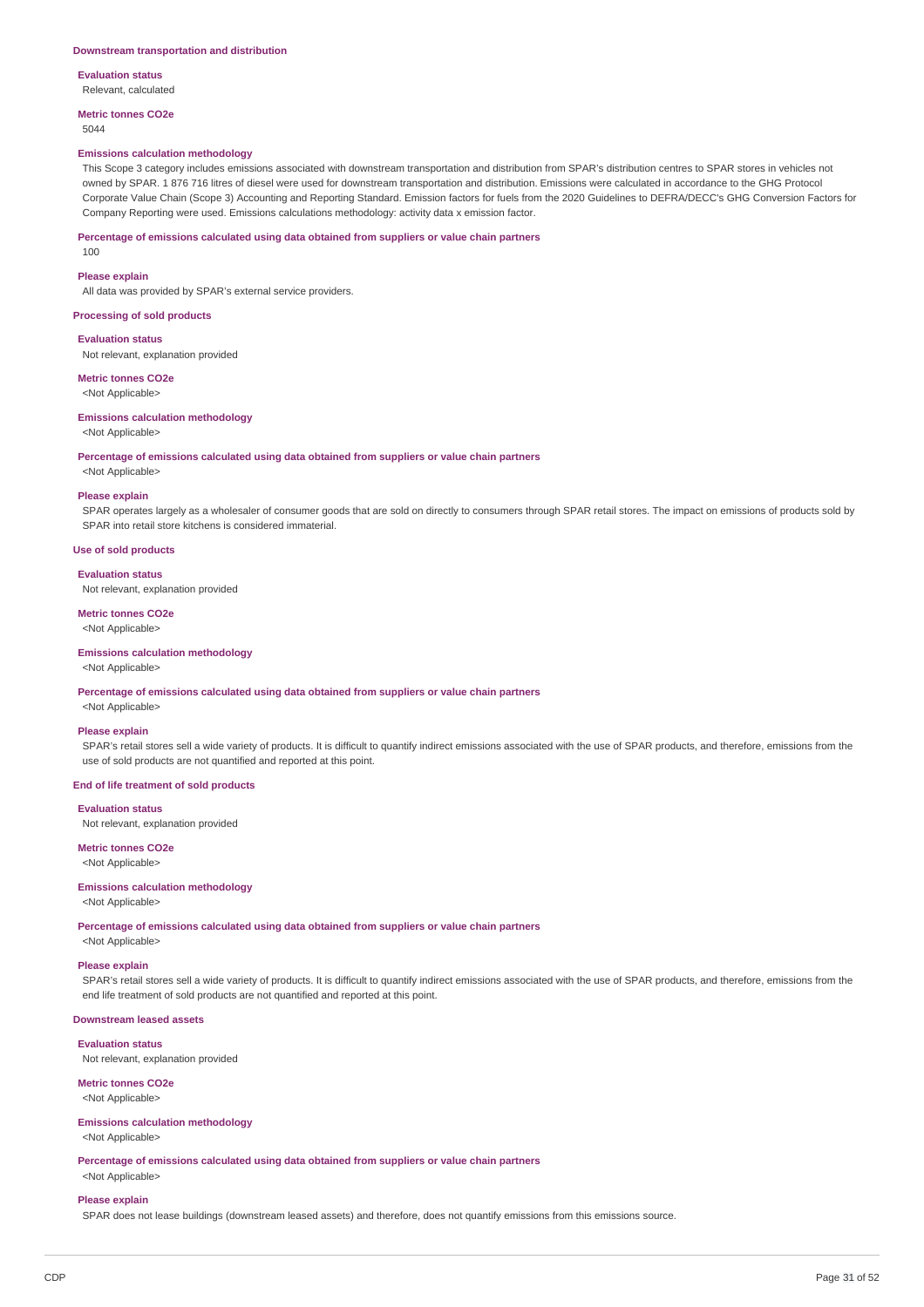**Evaluation status** Relevant, calculated

**Metric tonnes CO2e**

5044

# **Emissions calculation methodology**

This Scope 3 category includes emissions associated with downstream transportation and distribution from SPAR's distribution centres to SPAR stores in vehicles not owned by SPAR. 1 876 716 litres of diesel were used for downstream transportation and distribution. Emissions were calculated in accordance to the GHG Protocol Corporate Value Chain (Scope 3) Accounting and Reporting Standard. Emission factors for fuels from the 2020 Guidelines to DEFRA/DECC's GHG Conversion Factors for Company Reporting were used. Emissions calculations methodology: activity data x emission factor.

### **Percentage of emissions calculated using data obtained from suppliers or value chain partners**

100

#### **Please explain**

All data was provided by SPAR's external service providers.

### **Processing of sold products**

**Evaluation status** Not relevant, explanation provided

**Metric tonnes CO2e** <Not Applicable>

# **Emissions calculation methodology**

## <Not Applicable>

**Percentage of emissions calculated using data obtained from suppliers or value chain partners**

<Not Applicable>

### **Please explain**

SPAR operates largely as a wholesaler of consumer goods that are sold on directly to consumers through SPAR retail stores. The impact on emissions of products sold by SPAR into retail store kitchens is considered immaterial.

### **Use of sold products**

#### **Evaluation status**

Not relevant, explanation provided

### **Metric tonnes CO2e**

<Not Applicable>

### **Emissions calculation methodology**

<Not Applicable>

**Percentage of emissions calculated using data obtained from suppliers or value chain partners**

# <Not Applicable> **Please explain**

SPAR's retail stores sell a wide variety of products. It is difficult to quantify indirect emissions associated with the use of SPAR products, and therefore, emissions from the use of sold products are not quantified and reported at this point.

#### **End of life treatment of sold products**

#### **Evaluation status**

Not relevant, explanation provided

# **Metric tonnes CO2e**

<Not Applicable>

## **Emissions calculation methodology**

<Not Applicable>

**Percentage of emissions calculated using data obtained from suppliers or value chain partners**

# <Not Applicable>

# **Please explain**

SPAR's retail stores sell a wide variety of products. It is difficult to quantify indirect emissions associated with the use of SPAR products, and therefore, emissions from the end life treatment of sold products are not quantified and reported at this point.

# **Downstream leased assets**

## **Evaluation status**

Not relevant, explanation provided

# **Metric tonnes CO2e**

<Not Applicable>

## **Emissions calculation methodology**

<Not Applicable>

**Percentage of emissions calculated using data obtained from suppliers or value chain partners** <Not Applicable>

#### **Please explain**

SPAR does not lease buildings (downstream leased assets) and therefore, does not quantify emissions from this emissions source.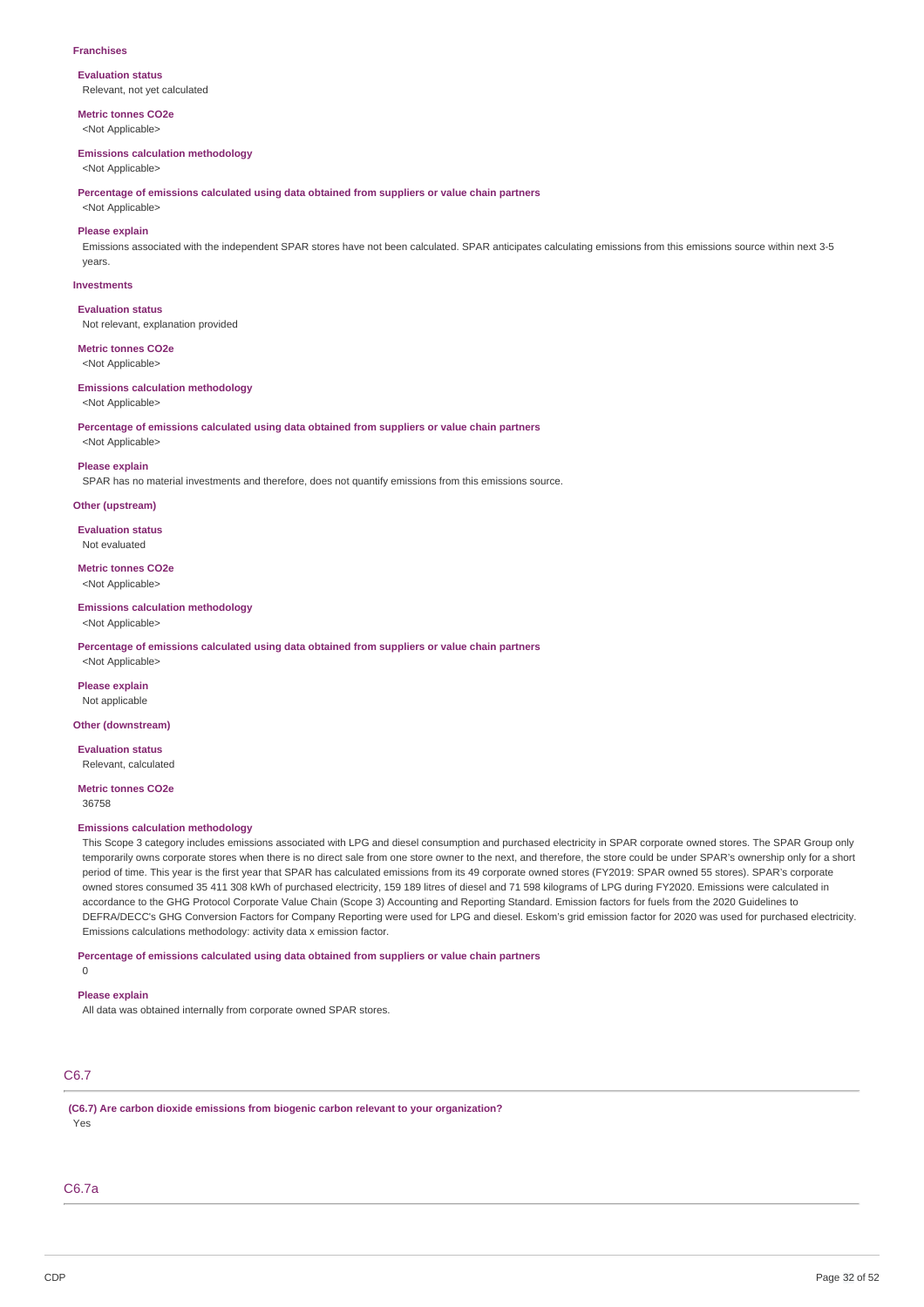#### **Franchises**

**Evaluation status** Relevant, not yet calculated

**Metric tonnes CO2e** <Not Applicable>

#### **Emissions calculation methodology**

<Not Applicable>

**Percentage of emissions calculated using data obtained from suppliers or value chain partners**

# <Not Applicable> **Please explain**

Emissions associated with the independent SPAR stores have not been calculated. SPAR anticipates calculating emissions from this emissions source within next 3-5 years.

### **Investments**

**Evaluation status**

Not relevant, explanation provided

**Metric tonnes CO2e**

<Not Applicable>

# **Emissions calculation methodology**

<Not Applicable>

**Percentage of emissions calculated using data obtained from suppliers or value chain partners** <Not Applicable>

## **Please explain**

SPAR has no material investments and therefore, does not quantify emissions from this emissions source.

## **Other (upstream)**

**Evaluation status** Not evaluated

**Metric tonnes CO2e** <Not Applicable>

# **Emissions calculation methodology**

<Not Applicable>

**Percentage of emissions calculated using data obtained from suppliers or value chain partners**

<Not Applicable>

**Please explain** Not applicable

# **Other (downstream)**

**Evaluation status** Relevant, calculated

**Metric tonnes CO2e** 36758

### **Emissions calculation methodology**

This Scope 3 category includes emissions associated with LPG and diesel consumption and purchased electricity in SPAR corporate owned stores. The SPAR Group only temporarily owns corporate stores when there is no direct sale from one store owner to the next, and therefore, the store could be under SPAR's ownership only for a short period of time. This year is the first year that SPAR has calculated emissions from its 49 corporate owned stores (FY2019: SPAR owned 55 stores). SPAR's corporate owned stores consumed 35 411 308 kWh of purchased electricity, 159 189 litres of diesel and 71 598 kilograms of LPG during FY2020. Emissions were calculated in accordance to the GHG Protocol Corporate Value Chain (Scope 3) Accounting and Reporting Standard. Emission factors for fuels from the 2020 Guidelines to DEFRA/DECC's GHG Conversion Factors for Company Reporting were used for LPG and diesel. Eskom's grid emission factor for 2020 was used for purchased electricity. Emissions calculations methodology: activity data x emission factor.

**Percentage of emissions calculated using data obtained from suppliers or value chain partners**

### 0

**Please explain**

All data was obtained internally from corporate owned SPAR stores.

# C6.7

**(C6.7) Are carbon dioxide emissions from biogenic carbon relevant to your organization?** Yes

C6.7a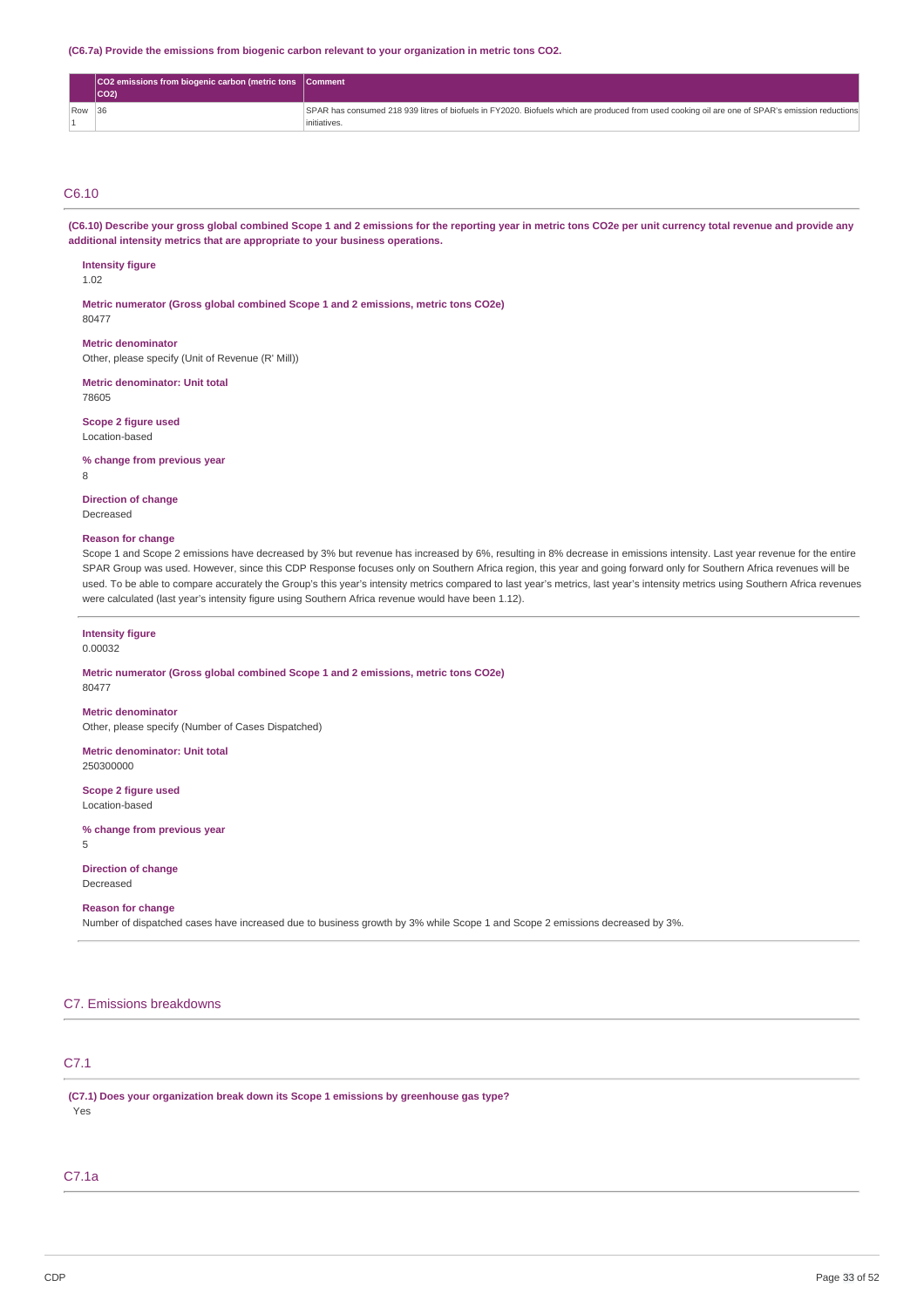**(C6.7a) Provide the emissions from biogenic carbon relevant to your organization in metric tons CO2.**

| <b>CO2</b> emissions from biogenic carbon (metric tons <b>Comment</b><br><b>CO2</b> |                                                                                                                                                 |
|-------------------------------------------------------------------------------------|-------------------------------------------------------------------------------------------------------------------------------------------------|
| $Row$ 36                                                                            | SPAR has consumed 218 939 litres of biofuels in FY2020. Biofuels which are produced from used cooking oil are one of SPAR's emission reductions |
|                                                                                     | initiatives                                                                                                                                     |

# C6.10

(C6.10) Describe your gross global combined Scope 1 and 2 emissions for the reporting year in metric tons CO2e per unit currency total revenue and provide any **additional intensity metrics that are appropriate to your business operations.**

## **Intensity figure**

1.02

**Metric numerator (Gross global combined Scope 1 and 2 emissions, metric tons CO2e)** 80477

**Metric denominator** Other, please specify (Unit of Revenue (R' Mill))

**Metric denominator: Unit total** 78605

**Scope 2 figure used** Location-based

**% change from previous year**

8

**Direction of change** Decreased

### **Reason for change**

Scope 1 and Scope 2 emissions have decreased by 3% but revenue has increased by 6%, resulting in 8% decrease in emissions intensity. Last year revenue for the entire SPAR Group was used. However, since this CDP Response focuses only on Southern Africa region, this year and going forward only for Southern Africa revenues will be used. To be able to compare accurately the Group's this year's intensity metrics compared to last year's metrics, last year's intensity metrics using Southern Africa revenues were calculated (last year's intensity figure using Southern Africa revenue would have been 1.12).

**Intensity figure** 0.00032

**Metric numerator (Gross global combined Scope 1 and 2 emissions, metric tons CO2e)** 80477

**Metric denominator** Other, please specify (Number of Cases Dispatched)

**Metric denominator: Unit total**

250300000

**Scope 2 figure used** Location-based

**% change from previous year** 5

**Direction of change** Decreased

## **Reason for change**

Number of dispatched cases have increased due to business growth by 3% while Scope 1 and Scope 2 emissions decreased by 3%.

## C7. Emissions breakdowns

# C7.1

**(C7.1) Does your organization break down its Scope 1 emissions by greenhouse gas type?** Yes

# C7.1a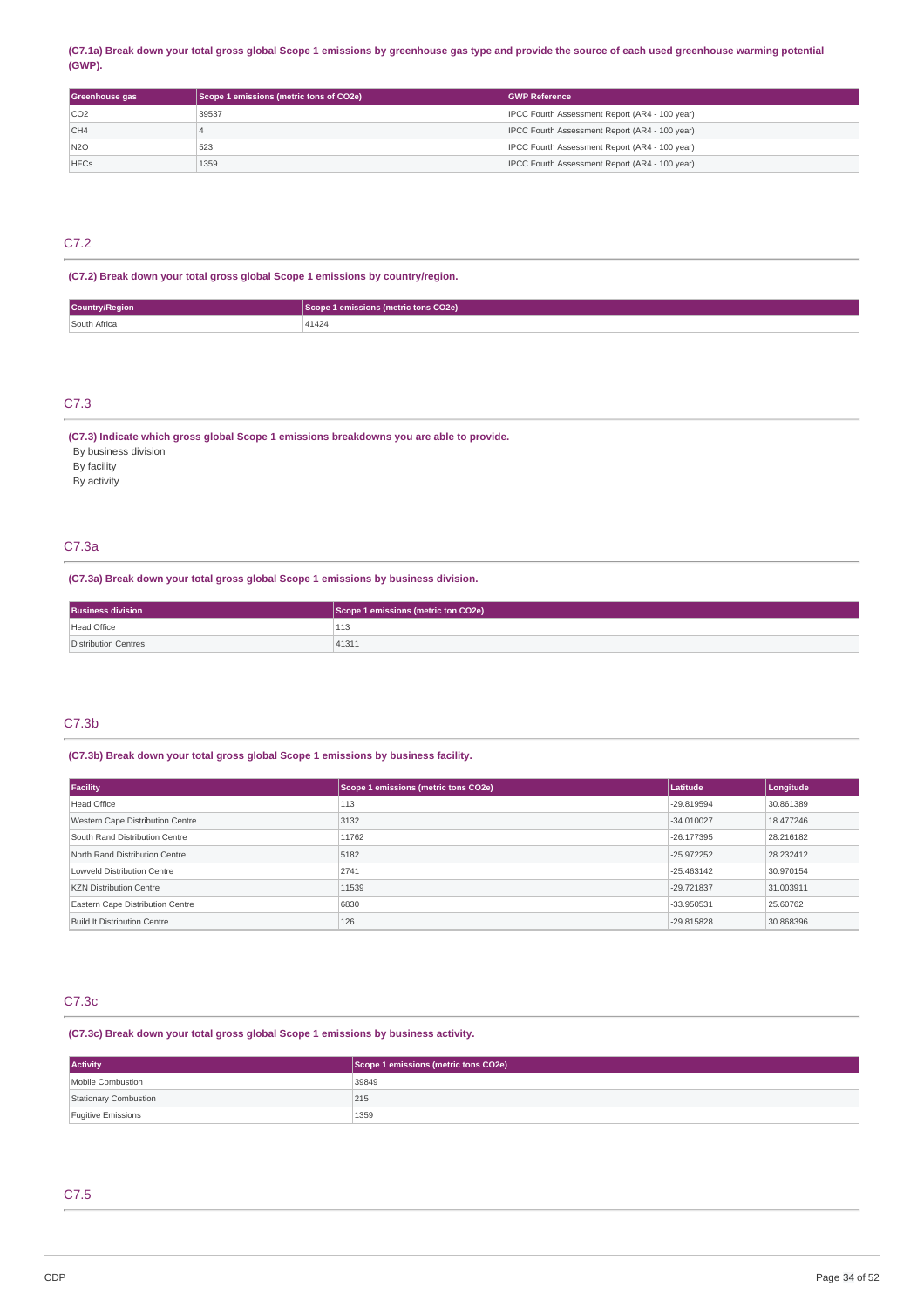### (C7.1a) Break down your total gross global Scope 1 emissions by greenhouse gas type and provide the source of each used greenhouse warming potential **(GWP).**

| Greenhouse gas  | Scope 1 emissions (metric tons of CO2e) | <b>IGWP Reference</b>                          |
|-----------------|-----------------------------------------|------------------------------------------------|
| CO <sub>2</sub> | 39537                                   | IPCC Fourth Assessment Report (AR4 - 100 year) |
| CH4             |                                         | IPCC Fourth Assessment Report (AR4 - 100 year) |
| <b>N2O</b>      | 523                                     | IPCC Fourth Assessment Report (AR4 - 100 year) |
| <b>HFCs</b>     | 1359                                    | IPCC Fourth Assessment Report (AR4 - 100 year) |

# C7.2

# **(C7.2) Break down your total gross global Scope 1 emissions by country/region.**

| <b>Country/Region</b> | <b>Imetric tons CO2e)</b> |
|-----------------------|---------------------------|
| South Africa          | A 1 A 2 A<br>+1424        |

# C7.3

## **(C7.3) Indicate which gross global Scope 1 emissions breakdowns you are able to provide.**

By business division By facility

By activity

# C7.3a

**(C7.3a) Break down your total gross global Scope 1 emissions by business division.**

| <b>Business division</b> | Scope 1 emissions (metric ton CO2e) |
|--------------------------|-------------------------------------|
| Head Office              | 113                                 |
| Distribution Centres     | 41311                               |

# C7.3b

# **(C7.3b) Break down your total gross global Scope 1 emissions by business facility.**

| Facility                         | Scope 1 emissions (metric tons CO2e) | Latitude     | Longitude |
|----------------------------------|--------------------------------------|--------------|-----------|
| Head Office                      | 113                                  | -29.819594   | 30.861389 |
| Western Cape Distribution Centre | 3132                                 | $-34.010027$ | 18,477246 |
| South Rand Distribution Centre   | 11762                                | $-26.177395$ | 28.216182 |
| North Rand Distribution Centre   | 5182                                 | $-25.972252$ | 28.232412 |
| Lowveld Distribution Centre      | 2741                                 | $-25.463142$ | 30.970154 |
| <b>KZN Distribution Centre</b>   | 11539                                | -29.721837   | 31,003911 |
| Eastern Cape Distribution Centre | 6830                                 | -33.950531   | 25.60762  |
| Build It Distribution Centre     | 126                                  | -29.815828   | 30.868396 |

# C7.3c

**(C7.3c) Break down your total gross global Scope 1 emissions by business activity.**

| <b>Activity</b>       | Scope 1 emissions (metric tons CO2e) |
|-----------------------|--------------------------------------|
| Mobile Combustion     | 39849                                |
| Stationary Combustion | 215                                  |
| Fugitive Emissions    | 1359                                 |

# C7.5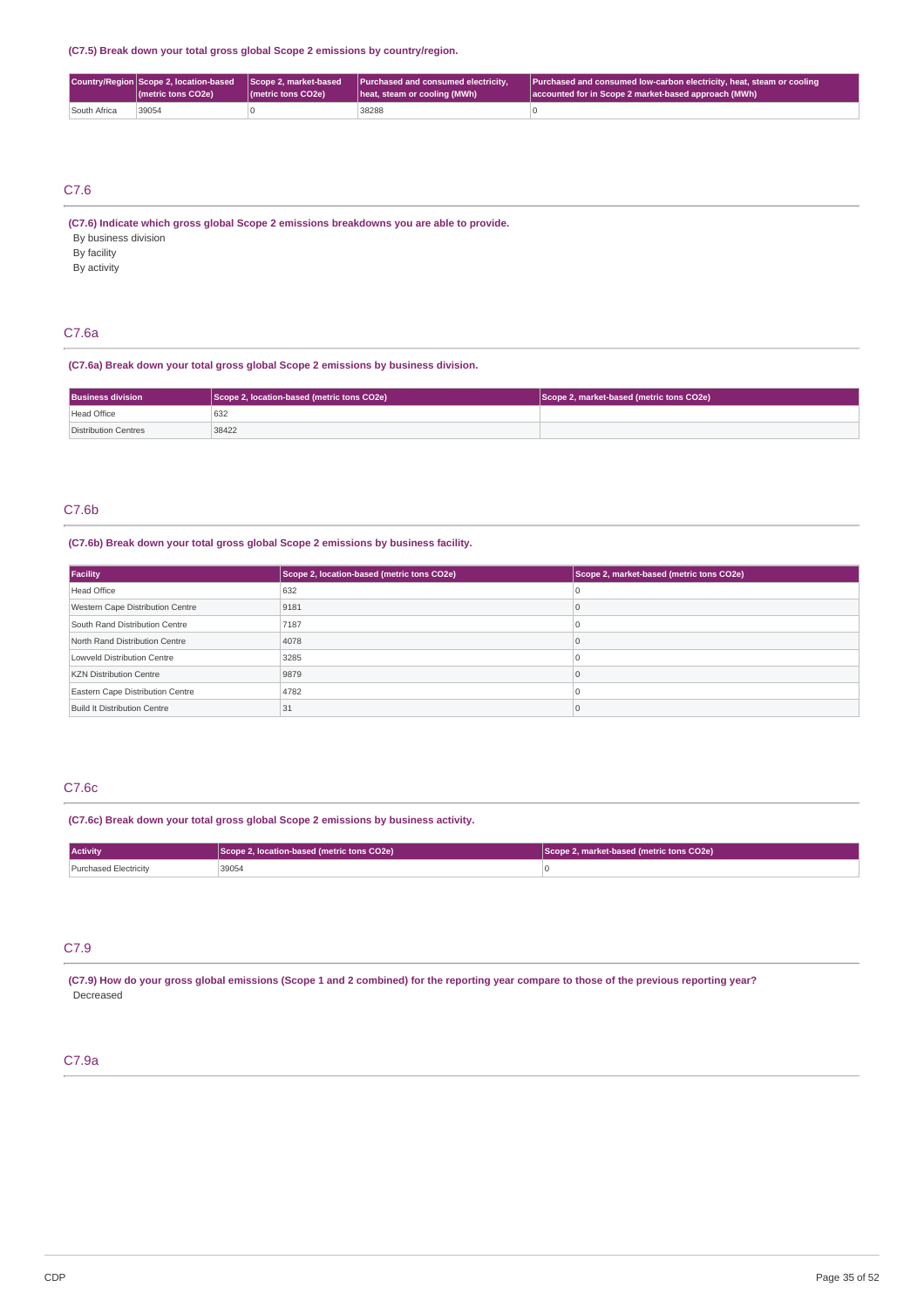**(C7.5) Break down your total gross global Scope 2 emissions by country/region.**

|              | (metric tons CO2e) | (metric tons CO2e) | Country/Region Scope 2, location-based Scope 2, market-based Purchased and consumed electricity,<br>heat, steam or cooling (MWh) | Purchased and consumed low-carbon electricity, heat, steam or cooling<br>accounted for in Scope 2 market-based approach (MWh) |
|--------------|--------------------|--------------------|----------------------------------------------------------------------------------------------------------------------------------|-------------------------------------------------------------------------------------------------------------------------------|
| South Africa | 39054              |                    | 38288                                                                                                                            |                                                                                                                               |

# C7.6

**(C7.6) Indicate which gross global Scope 2 emissions breakdowns you are able to provide.** By business division

By facility

By activity

# C7.6a

**(C7.6a) Break down your total gross global Scope 2 emissions by business division.**

| <b>Business division</b> | Scope 2, location-based (metric tons CO2e) | Scope 2, market-based (metric tons CO2e) |
|--------------------------|--------------------------------------------|------------------------------------------|
| Head Office              | 632                                        |                                          |
| Distribution Centres     | 38422                                      |                                          |

# C7.6b

# **(C7.6b) Break down your total gross global Scope 2 emissions by business facility.**

| Facility                         | Scope 2, location-based (metric tons CO2e) | Scope 2, market-based (metric tons CO2e) |
|----------------------------------|--------------------------------------------|------------------------------------------|
| Head Office                      | 632                                        |                                          |
| Western Cape Distribution Centre | 9181                                       |                                          |
| South Rand Distribution Centre   | 7187                                       |                                          |
| North Rand Distribution Centre   | 4078                                       |                                          |
| Lowveld Distribution Centre      | 3285                                       |                                          |
| <b>KZN Distribution Centre</b>   | 9879                                       |                                          |
| Eastern Cape Distribution Centre | 4782                                       |                                          |
| Build It Distribution Centre     | 31                                         |                                          |

# C7.6c

**(C7.6c) Break down your total gross global Scope 2 emissions by business activity.**

| <b>Activity</b>       | Scope 2, location-based (metric tons CO2e) | Scope 2, market-based (metric tons CO2e) |
|-----------------------|--------------------------------------------|------------------------------------------|
| Purchased Electricity | 39054                                      |                                          |

# C7.9

(C7.9) How do your gross global emissions (Scope 1 and 2 combined) for the reporting year compare to those of the previous reporting year? Decreased

# C7.9a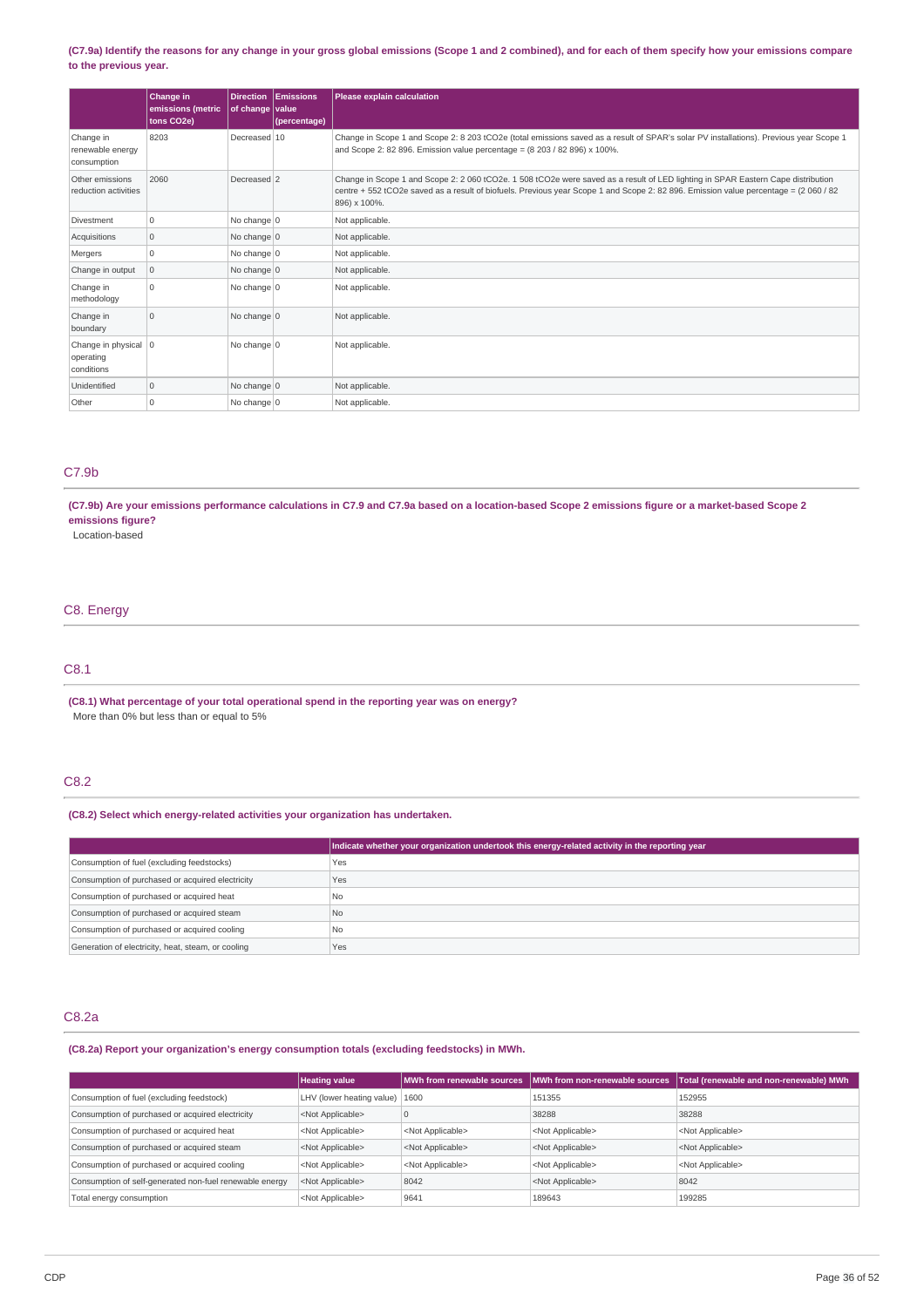### (C7.9a) Identify the reasons for any change in your gross global emissions (Scope 1 and 2 combined), and for each of them specify how your emissions compare **to the previous year.**

|                                                   | Change in<br>emissions (metric<br>tons CO2e) | of change value | <b>Direction Emissions</b><br>(percentage) | Please explain calculation                                                                                                                                                                                                                                                               |
|---------------------------------------------------|----------------------------------------------|-----------------|--------------------------------------------|------------------------------------------------------------------------------------------------------------------------------------------------------------------------------------------------------------------------------------------------------------------------------------------|
| Change in<br>renewable energy<br>consumption      | 8203                                         | Decreased 10    |                                            | Change in Scope 1 and Scope 2: 8 203 tCO2e (total emissions saved as a result of SPAR's solar PV installations). Previous year Scope 1<br>and Scope 2: 82 896. Emission value percentage = (8 203 / 82 896) x 100%.                                                                      |
| Other emissions<br>reduction activities           | 2060                                         | Decreased 2     |                                            | Change in Scope 1 and Scope 2: 2 060 tCO2e. 1 508 tCO2e were saved as a result of LED lighting in SPAR Eastern Cape distribution<br>centre + 552 tCO2e saved as a result of biofuels. Previous year Scope 1 and Scope 2: 82 896. Emission value percentage = (2 060 / 82<br>896) x 100%. |
| Divestment                                        | $\Omega$                                     | No change $ 0$  |                                            | Not applicable.                                                                                                                                                                                                                                                                          |
| Acquisitions                                      | $\mathbf 0$                                  | No change $ 0 $ |                                            | Not applicable.                                                                                                                                                                                                                                                                          |
| Mergers                                           | $\Omega$                                     | No change $ 0 $ |                                            | Not applicable.                                                                                                                                                                                                                                                                          |
| Change in output                                  | 0                                            | No change $ 0$  |                                            | Not applicable.                                                                                                                                                                                                                                                                          |
| Change in<br>methodology                          | $\Omega$                                     | No change $ 0 $ |                                            | Not applicable.                                                                                                                                                                                                                                                                          |
| Change in<br>boundary                             | $\mathbf 0$                                  | No change $ 0$  |                                            | Not applicable.                                                                                                                                                                                                                                                                          |
| Change in physical   0<br>operating<br>conditions |                                              | No change $ 0$  |                                            | Not applicable.                                                                                                                                                                                                                                                                          |
| Unidentified                                      | $\mathbf 0$                                  | No change $ 0$  |                                            | Not applicable.                                                                                                                                                                                                                                                                          |
| Other                                             | 0                                            | No change $ 0$  |                                            | Not applicable.                                                                                                                                                                                                                                                                          |

# C7.9b

(C7.9b) Are your emissions performance calculations in C7.9 and C7.9a based on a location-based Scope 2 emissions figure or a market-based Scope 2 **emissions figure?**

Location-based

# C8. Energy

# C8.1

**(C8.1) What percentage of your total operational spend in the reporting year was on energy?** More than 0% but less than or equal to 5%

# C8.2

## **(C8.2) Select which energy-related activities your organization has undertaken.**

|                                                    | Indicate whether your organization undertook this energy-related activity in the reporting year |
|----------------------------------------------------|-------------------------------------------------------------------------------------------------|
| Consumption of fuel (excluding feedstocks)         | Yes                                                                                             |
| Consumption of purchased or acquired electricity   | Yes                                                                                             |
| Consumption of purchased or acquired heat          | N <sub>0</sub>                                                                                  |
| Consumption of purchased or acquired steam         | No.                                                                                             |
| Consumption of purchased or acquired cooling       | N <sub>0</sub>                                                                                  |
| Generation of electricity, heat, steam, or cooling | Yes                                                                                             |

# C8.2a

### **(C8.2a) Report your organization's energy consumption totals (excluding feedstocks) in MWh.**

|                                                         | <b>Heating value</b>                     |                           | MWh from renewable sources NMWh from non-renewable sources | Total (renewable and non-renewable) MWh |
|---------------------------------------------------------|------------------------------------------|---------------------------|------------------------------------------------------------|-----------------------------------------|
| Consumption of fuel (excluding feedstock)               | LHV (lower heating value) $ 1600\rangle$ |                           | 151355                                                     | 152955                                  |
| Consumption of purchased or acquired electricity        | <not applicable=""></not>                |                           | 38288                                                      | 38288                                   |
| Consumption of purchased or acquired heat               | <not applicable=""></not>                | <not applicable=""></not> | <not applicable=""></not>                                  | <not applicable=""></not>               |
| Consumption of purchased or acquired steam              | <not applicable=""></not>                | <not applicable=""></not> | <not applicable=""></not>                                  | <not applicable=""></not>               |
| Consumption of purchased or acquired cooling            | <not applicable=""></not>                | <not applicable=""></not> | <not applicable=""></not>                                  | <not applicable=""></not>               |
| Consumption of self-generated non-fuel renewable energy | <not applicable=""></not>                | 8042                      | <not applicable=""></not>                                  | 8042                                    |
| Total energy consumption                                | <not applicable=""></not>                | 9641                      | 189643                                                     | 199285                                  |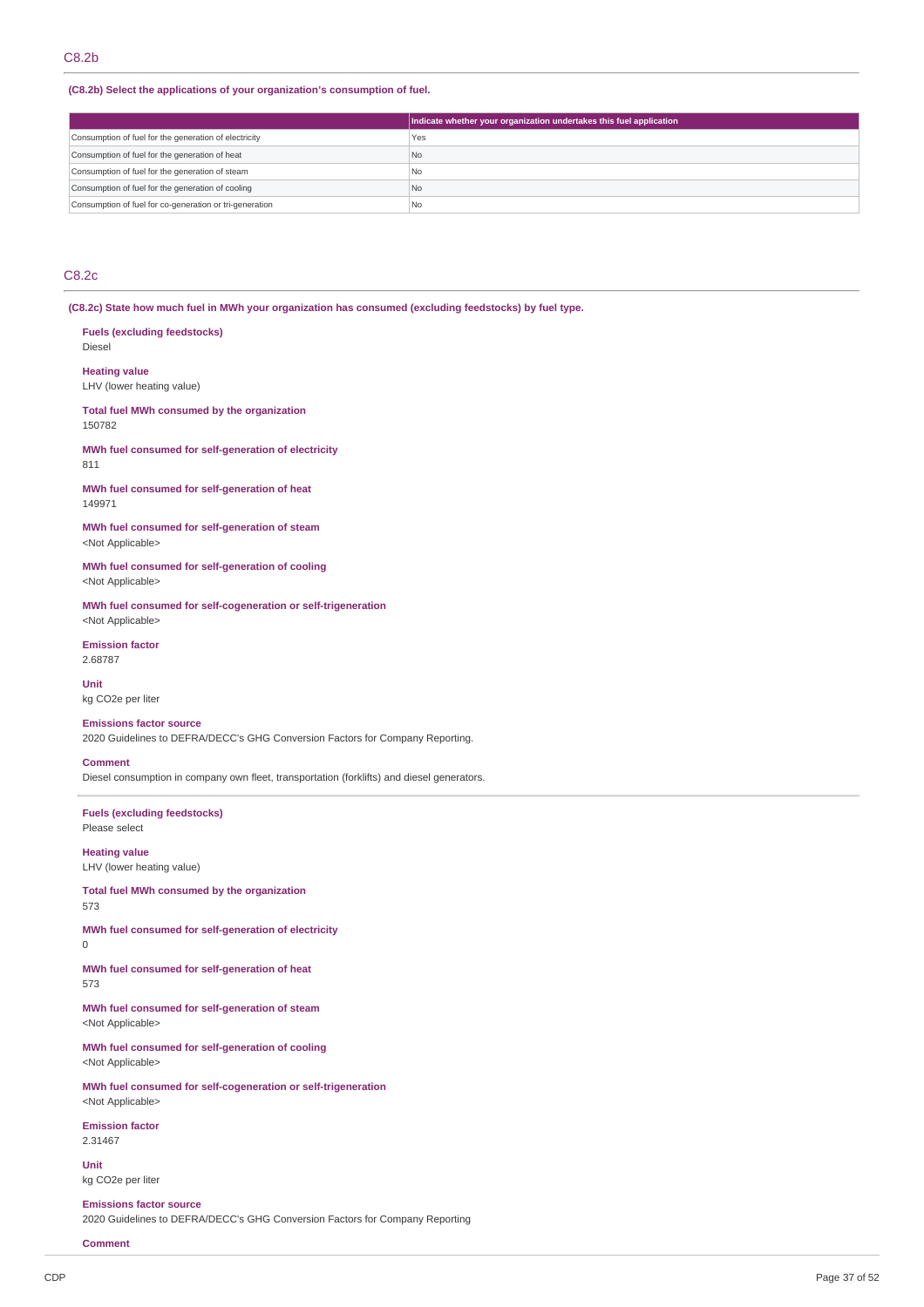### **(C8.2b) Select the applications of your organization's consumption of fuel.**

|                                                         | Indicate whether your organization undertakes this fuel application |
|---------------------------------------------------------|---------------------------------------------------------------------|
| Consumption of fuel for the generation of electricity   | Yes                                                                 |
| Consumption of fuel for the generation of heat          | No                                                                  |
| Consumption of fuel for the generation of steam         | No                                                                  |
| Consumption of fuel for the generation of cooling       | No                                                                  |
| Consumption of fuel for co-generation or tri-generation | N <sub>o</sub>                                                      |

# C8.2c

**(C8.2c) State how much fuel in MWh your organization has consumed (excluding feedstocks) by fuel type.**

**Fuels (excluding feedstocks)** Diesel **Heating value** LHV (lower heating value) **Total fuel MWh consumed by the organization** 150782 **MWh fuel consumed for self-generation of electricity** 811 **MWh fuel consumed for self-generation of heat** 149971 **MWh fuel consumed for self-generation of steam** <Not Applicable> **MWh fuel consumed for self-generation of cooling** <Not Applicable> **MWh fuel consumed for self-cogeneration or self-trigeneration** <Not Applicable> **Emission factor** 2.68787 **Unit** kg CO2e per liter **Emissions factor source** 2020 Guidelines to DEFRA/DECC's GHG Conversion Factors for Company Reporting. **Comment** Diesel consumption in company own fleet, transportation (forklifts) and diesel generators. **Fuels (excluding feedstocks)** Please select **Heating value** LHV (lower heating value) **Total fuel MWh consumed by the organization** 573 **MWh fuel consumed for self-generation of electricity** 0 **MWh fuel consumed for self-generation of heat** 573 **MWh fuel consumed for self-generation of steam** <Not Applicable> **MWh fuel consumed for self-generation of cooling** <Not Applicable> **MWh fuel consumed for self-cogeneration or self-trigeneration** <Not Applicable>

**Emission factor** 2.31467

**Unit** kg CO2e per liter

**Emissions factor source** 2020 Guidelines to DEFRA/DECC's GHG Conversion Factors for Company Reporting

**Comment**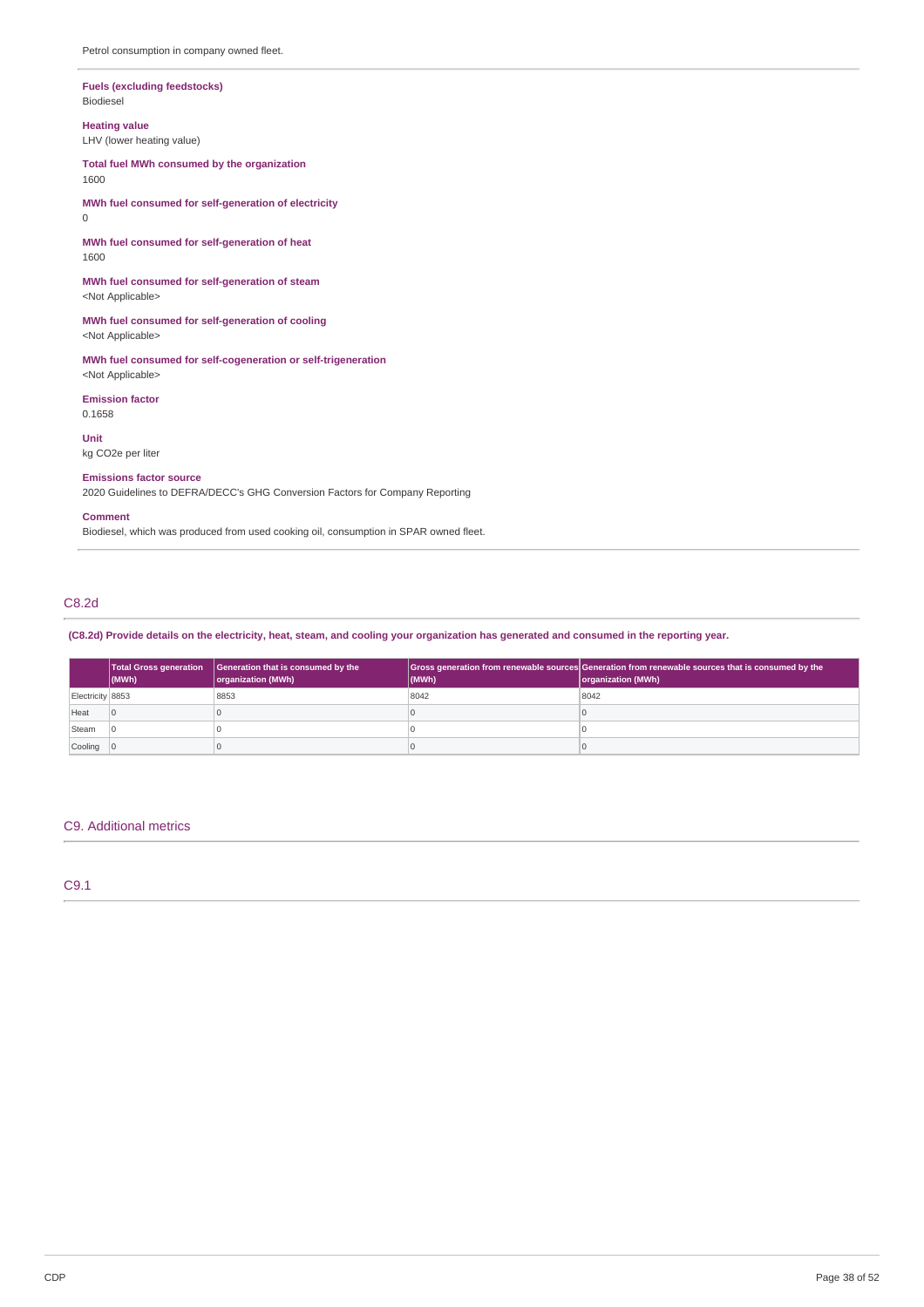### **Fuels (excluding feedstocks)** Biodiesel

**Heating value**

LHV (lower heating value)

**Total fuel MWh consumed by the organization** 1600

**MWh fuel consumed for self-generation of electricity** 0

**MWh fuel consumed for self-generation of heat** 1600

**MWh fuel consumed for self-generation of steam** <Not Applicable>

**MWh fuel consumed for self-generation of cooling** <Not Applicable>

**MWh fuel consumed for self-cogeneration or self-trigeneration** <Not Applicable>

**Emission factor**

0.1658

# **Unit**

kg CO2e per liter

## **Emissions factor source**

2020 Guidelines to DEFRA/DECC's GHG Conversion Factors for Company Reporting

### **Comment**

Biodiesel, which was produced from used cooking oil, consumption in SPAR owned fleet.

# C8.2d

(C8.2d) Provide details on the electricity, heat, steam, and cooling your organization has generated and consumed in the reporting year.

|                           | <b>Total Gross generation</b><br>$ $ (MWh) | Generation that is consumed by the<br>organization (MWh) | (MWh) | Gross generation from renewable sources Generation from renewable sources that is consumed by the<br>organization (MWh) |
|---------------------------|--------------------------------------------|----------------------------------------------------------|-------|-------------------------------------------------------------------------------------------------------------------------|
| Electricity 8853          |                                            | 8853                                                     | 8042  | 8042                                                                                                                    |
| Heat                      |                                            |                                                          |       |                                                                                                                         |
| Steam                     |                                            |                                                          |       |                                                                                                                         |
| $\vert$ Cooling $\vert$ 0 |                                            |                                                          |       |                                                                                                                         |

# C9. Additional metrics

C9.1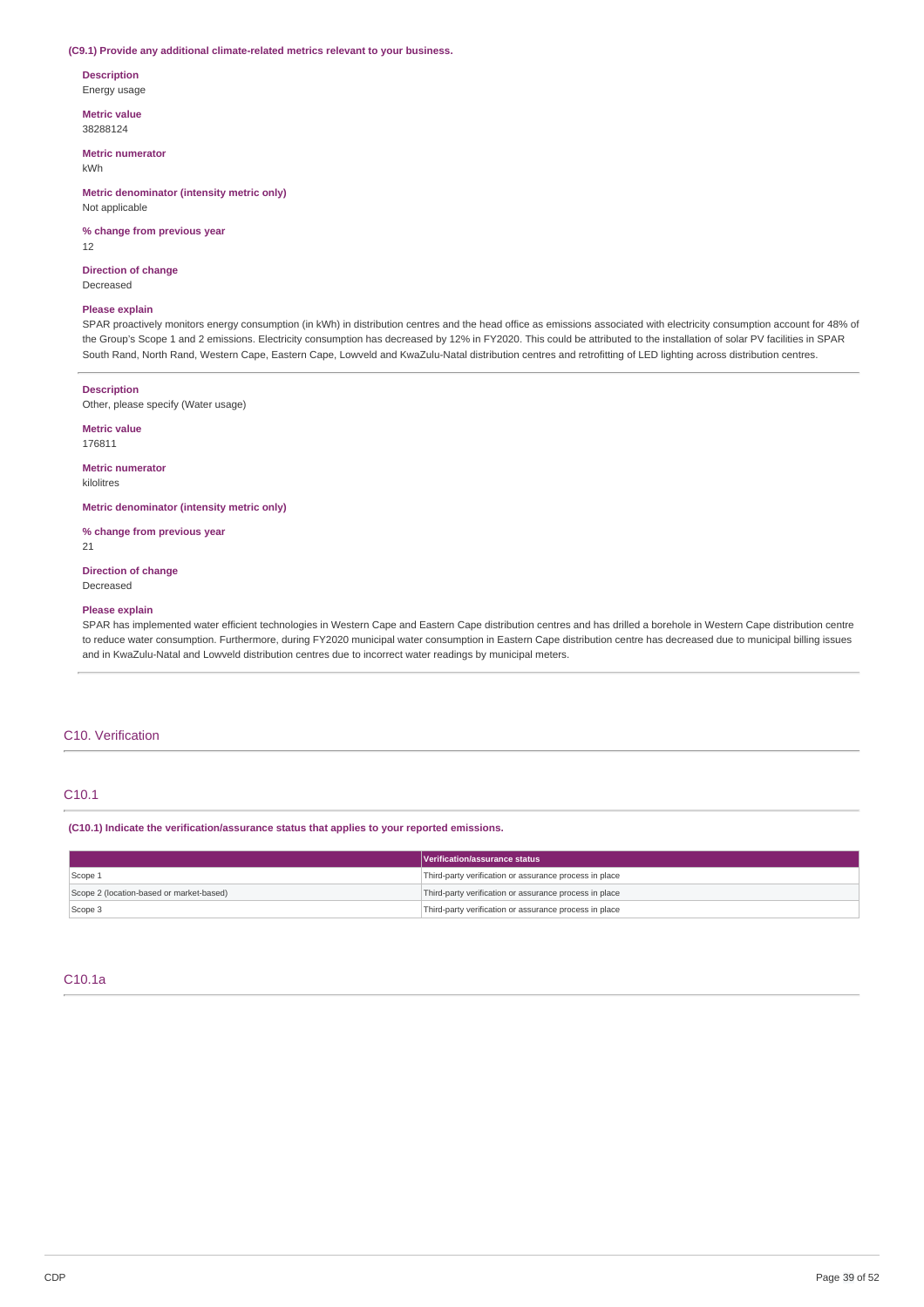### **(C9.1) Provide any additional climate-related metrics relevant to your business.**

# **Description**

Energy usage

**Metric value** 38288124

#### **Metric numerator**

kWh

## **Metric denominator (intensity metric only)** Not applicable

**% change from previous year** 12

#### **Direction of change** Decreased

#### **Please explain**

SPAR proactively monitors energy consumption (in kWh) in distribution centres and the head office as emissions associated with electricity consumption account for 48% of the Group's Scope 1 and 2 emissions. Electricity consumption has decreased by 12% in FY2020. This could be attributed to the installation of solar PV facilities in SPAR South Rand, North Rand, Western Cape, Eastern Cape, Lowveld and KwaZulu-Natal distribution centres and retrofitting of LED lighting across distribution centres.

#### **Description**

Other, please specify (Water usage)

### **Metric value**

176811

## **Metric numerator** kilolitres

**Metric denominator (intensity metric only)**

**% change from previous year** 21

### **Direction of change** Decreased

### **Please explain**

SPAR has implemented water efficient technologies in Western Cape and Eastern Cape distribution centres and has drilled a borehole in Western Cape distribution centre to reduce water consumption. Furthermore, during FY2020 municipal water consumption in Eastern Cape distribution centre has decreased due to municipal billing issues and in KwaZulu-Natal and Lowveld distribution centres due to incorrect water readings by municipal meters.

### C10. Verification

# C10.1

**(C10.1) Indicate the verification/assurance status that applies to your reported emissions.**

|                                          | Verification/assurance status                          |
|------------------------------------------|--------------------------------------------------------|
| Scope 1                                  | Third-party verification or assurance process in place |
| Scope 2 (location-based or market-based) | Third-party verification or assurance process in place |
| Scope 3                                  | Third-party verification or assurance process in place |

# C10.1a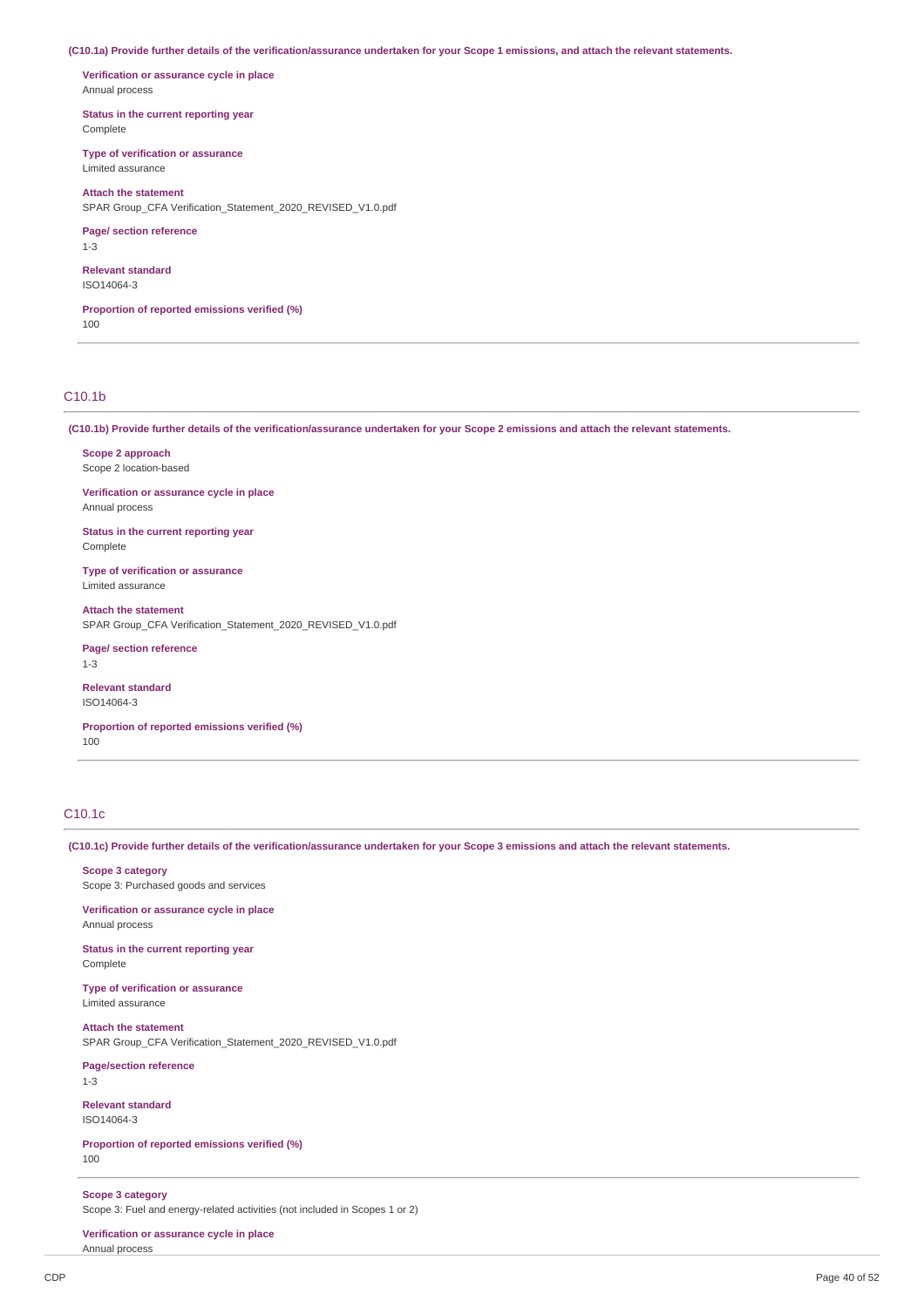(C10.1a) Provide further details of the verification/assurance undertaken for your Scope 1 emissions, and attach the relevant statements.

**Verification or assurance cycle in place** Annual process

**Status in the current reporting year** Complete

**Type of verification or assurance** Limited assurance

**Attach the statement**

SPAR Group\_CFA Verification\_Statement\_2020\_REVISED\_V1.0.pdf

**Page/ section reference** 1-3

**Relevant standard**

ISO14064-3

**Proportion of reported emissions verified (%)** 100

# C10.1b

(C10.1b) Provide further details of the verification/assurance undertaken for your Scope 2 emissions and attach the relevant statements.

**Scope 2 approach** Scope 2 location-based

**Verification or assurance cycle in place** Annual process

**Status in the current reporting year** Complete

**Type of verification or assurance** Limited assurance

**Attach the statement** SPAR Group\_CFA Verification\_Statement\_2020\_REVISED\_V1.0.pdf

**Page/ section reference** 1-3

**Relevant standard** ISO14064-3

**Proportion of reported emissions verified (%)** 100

# C10.1c

(C10.1c) Provide further details of the verification/assurance undertaken for your Scope 3 emissions and attach the relevant statements.

**Scope 3 category** Scope 3: Purchased goods and services

**Verification or assurance cycle in place** Annual process

**Status in the current reporting year** Complete

**Type of verification or assurance** Limited assurance

**Attach the statement** SPAR Group\_CFA Verification\_Statement\_2020\_REVISED\_V1.0.pdf

**Page/section reference** 1-3

**Relevant standard** ISO14064-3

**Proportion of reported emissions verified (%)** 100

**Scope 3 category**

Scope 3: Fuel and energy-related activities (not included in Scopes 1 or 2)

**Verification or assurance cycle in place** Annual process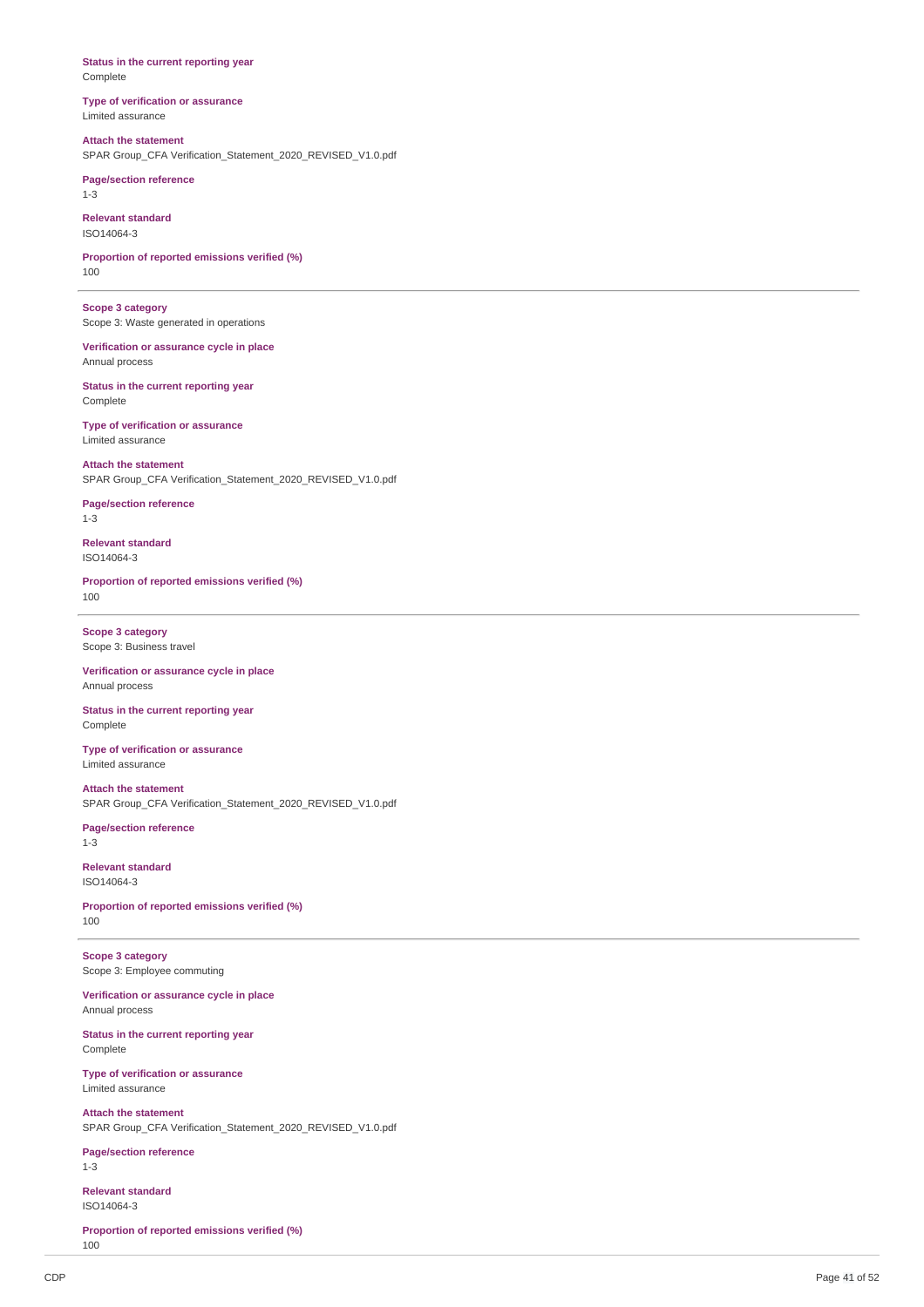### **Status in the current reporting year** Complete

**Type of verification or assurance** Limited assurance

### **Attach the statement** SPAR Group\_CFA Verification\_Statement\_2020\_REVISED\_V1.0.pdf

**Page/section reference** 1-3

**Relevant standard** ISO14064-3

**Proportion of reported emissions verified (%)** 100

**Scope 3 category** Scope 3: Waste generated in operations

**Verification or assurance cycle in place** Annual process

**Status in the current reporting year** Complete

**Type of verification or assurance** Limited assurance

## **Attach the statement**

SPAR Group\_CFA Verification\_Statement\_2020\_REVISED\_V1.0.pdf

**Page/section reference** 1-3

**Relevant standard** ISO14064-3

**Proportion of reported emissions verified (%)** 100

**Scope 3 category** Scope 3: Business travel

**Verification or assurance cycle in place** Annual process

**Status in the current reporting year** Complete

**Type of verification or assurance** Limited assurance

**Attach the statement** SPAR Group\_CFA Verification\_Statement\_2020\_REVISED\_V1.0.pdf

**Page/section reference** 1-3

**Relevant standard** ISO14064-3

**Proportion of reported emissions verified (%)** 100

**Scope 3 category** Scope 3: Employee commuting

**Verification or assurance cycle in place** Annual process

**Status in the current reporting year** Complete

**Type of verification or assurance** Limited assurance

**Attach the statement** SPAR Group\_CFA Verification\_Statement\_2020\_REVISED\_V1.0.pdf

**Page/section reference** 1-3

**Relevant standard** ISO14064-3

**Proportion of reported emissions verified (%)** 100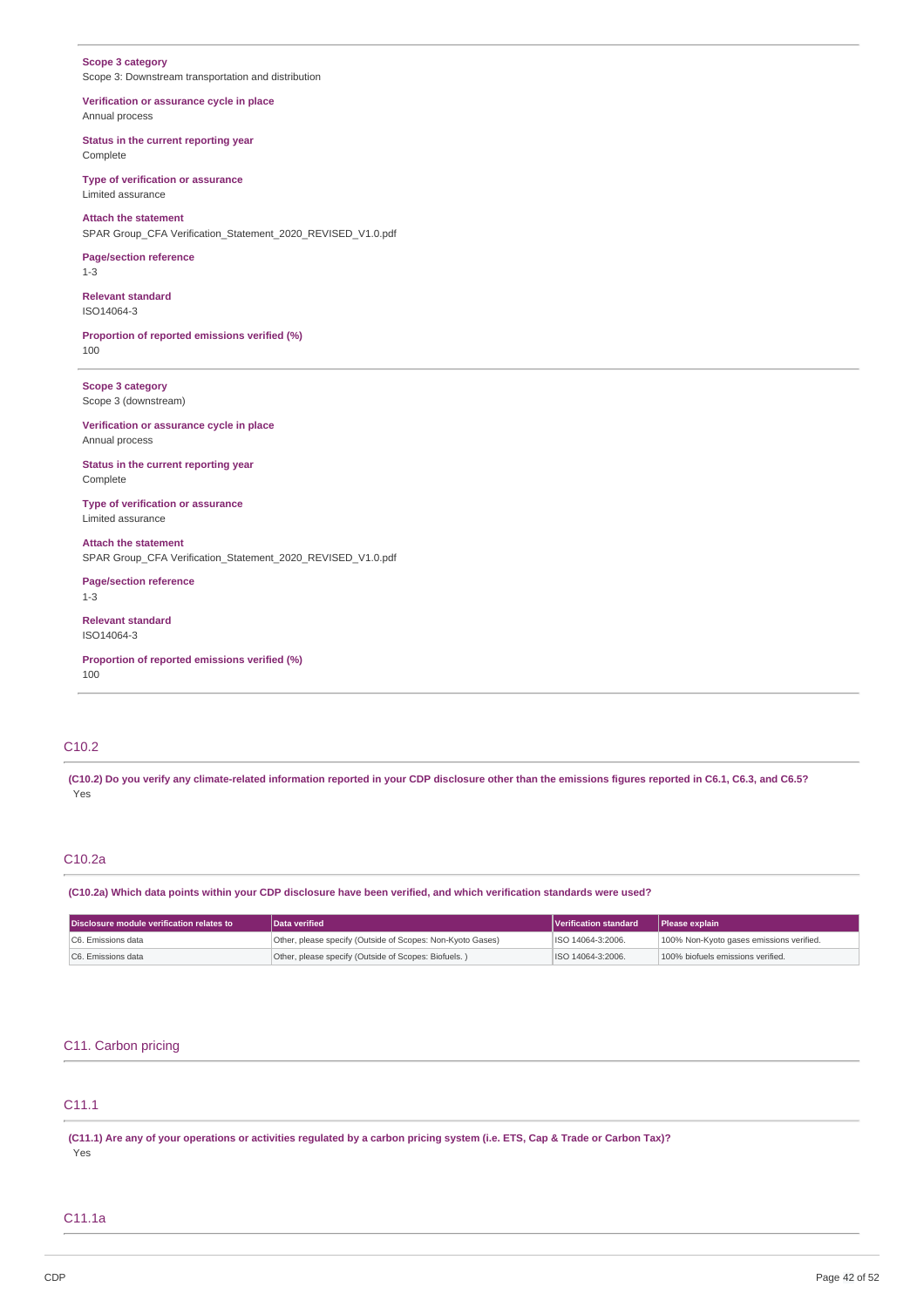# **Scope 3 category**

Scope 3: Downstream transportation and distribution

**Verification or assurance cycle in place** Annual process

**Status in the current reporting year** Complete

**Type of verification or assurance** Limited assurance

**Attach the statement** SPAR Group\_CFA Verification\_Statement\_2020\_REVISED\_V1.0.pdf

### **Page/section reference** 1-3

**Relevant standard** ISO14064-3

**Proportion of reported emissions verified (%)** 100

**Scope 3 category** Scope 3 (downstream)

# **Verification or assurance cycle in place**

Annual process

**Status in the current reporting year** Complete

**Type of verification or assurance** Limited assurance

**Attach the statement** SPAR Group\_CFA Verification\_Statement\_2020\_REVISED\_V1.0.pdf

# **Page/section reference**

1-3

### **Relevant standard** ISO14064-3

**Proportion of reported emissions verified (%)** 100

# C10.2

(C10.2) Do you verify any climate-related information reported in your CDP disclosure other than the emissions figures reported in C6.1, C6.3, and C6.5? Yes

# C10.2a

(C10.2a) Which data points within your CDP disclosure have been verified, and which verification standards were used?

| Disclosure module verification relates to | Data verified                                              | Verification standard | <b>Please explain</b>                    |
|-------------------------------------------|------------------------------------------------------------|-----------------------|------------------------------------------|
| IC6. Emissions data                       | Other, please specify (Outside of Scopes: Non-Kyoto Gases) | ISO 14064-3:2006.     | 100% Non-Kyoto gases emissions verified. |
| C6. Emissions data                        | Other, please specify (Outside of Scopes: Biofuels.)       | ISO 14064-3:2006.     | 100% biofuels emissions verified.        |

# C11. Carbon pricing

# C11.1

(C11.1) Are any of your operations or activities regulated by a carbon pricing system (i.e. ETS, Cap & Trade or Carbon Tax)? Yes

# C11.1a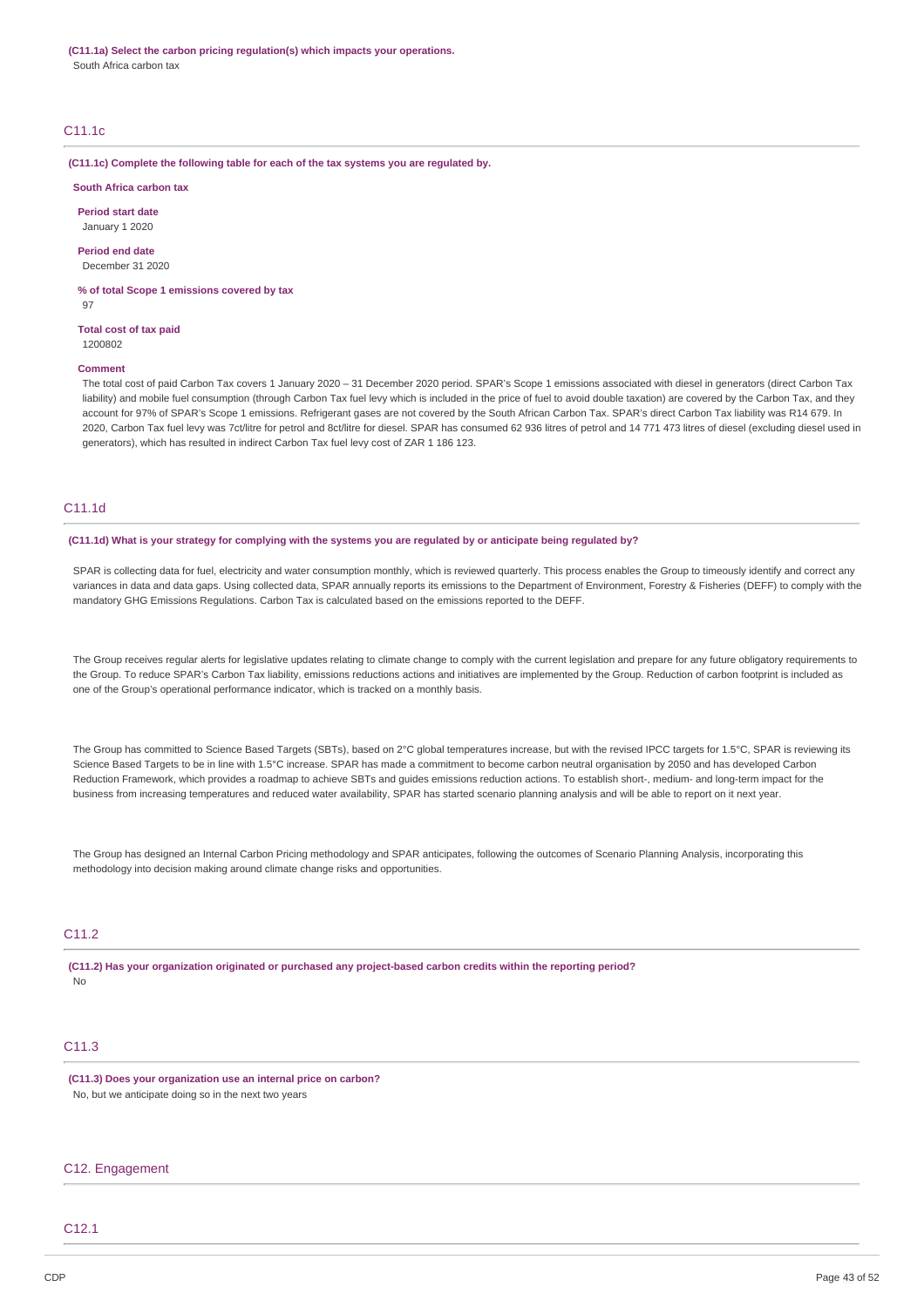**(C11.1a) Select the carbon pricing regulation(s) which impacts your operations.** South Africa carbon tax

# C11.1c

**(C11.1c) Complete the following table for each of the tax systems you are regulated by.**

## **South Africa carbon tax**

**Period start date** January 1 2020

**Period end date** December 31 2020

**% of total Scope 1 emissions covered by tax** 97

**Total cost of tax paid** 1200802

#### **Comment**

The total cost of paid Carbon Tax covers 1 January 2020 – 31 December 2020 period. SPAR's Scope 1 emissions associated with diesel in generators (direct Carbon Tax liability) and mobile fuel consumption (through Carbon Tax fuel levy which is included in the price of fuel to avoid double taxation) are covered by the Carbon Tax, and they account for 97% of SPAR's Scope 1 emissions. Refrigerant gases are not covered by the South African Carbon Tax. SPAR's direct Carbon Tax liability was R14 679. In 2020, Carbon Tax fuel levy was 7ct/litre for petrol and 8ct/litre for diesel. SPAR has consumed 62 936 litres of petrol and 14 771 473 litres of diesel (excluding diesel used in generators), which has resulted in indirect Carbon Tax fuel levy cost of ZAR 1 186 123.

### C11.1d

(C11.1d) What is your strategy for complying with the systems you are regulated by or anticipate being regulated by?

SPAR is collecting data for fuel, electricity and water consumption monthly, which is reviewed quarterly. This process enables the Group to timeously identify and correct any variances in data and data gaps. Using collected data, SPAR annually reports its emissions to the Department of Environment, Forestry & Fisheries (DEFF) to comply with the mandatory GHG Emissions Regulations. Carbon Tax is calculated based on the emissions reported to the DEFF.

The Group receives regular alerts for legislative updates relating to climate change to comply with the current legislation and prepare for any future obligatory requirements to the Group. To reduce SPAR's Carbon Tax liability, emissions reductions actions and initiatives are implemented by the Group. Reduction of carbon footprint is included as one of the Group's operational performance indicator, which is tracked on a monthly basis.

The Group has committed to Science Based Targets (SBTs), based on 2°C global temperatures increase, but with the revised IPCC targets for 1.5°C, SPAR is reviewing its Science Based Targets to be in line with 1.5°C increase. SPAR has made a commitment to become carbon neutral organisation by 2050 and has developed Carbon Reduction Framework, which provides a roadmap to achieve SBTs and guides emissions reduction actions. To establish short-, medium- and long-term impact for the business from increasing temperatures and reduced water availability, SPAR has started scenario planning analysis and will be able to report on it next year.

The Group has designed an Internal Carbon Pricing methodology and SPAR anticipates, following the outcomes of Scenario Planning Analysis, incorporating this methodology into decision making around climate change risks and opportunities.

# C11.2

**(C11.2) Has your organization originated or purchased any project-based carbon credits within the reporting period?** No

# C11.3

**(C11.3) Does your organization use an internal price on carbon?** No, but we anticipate doing so in the next two years

## C12. Engagement

## C12.1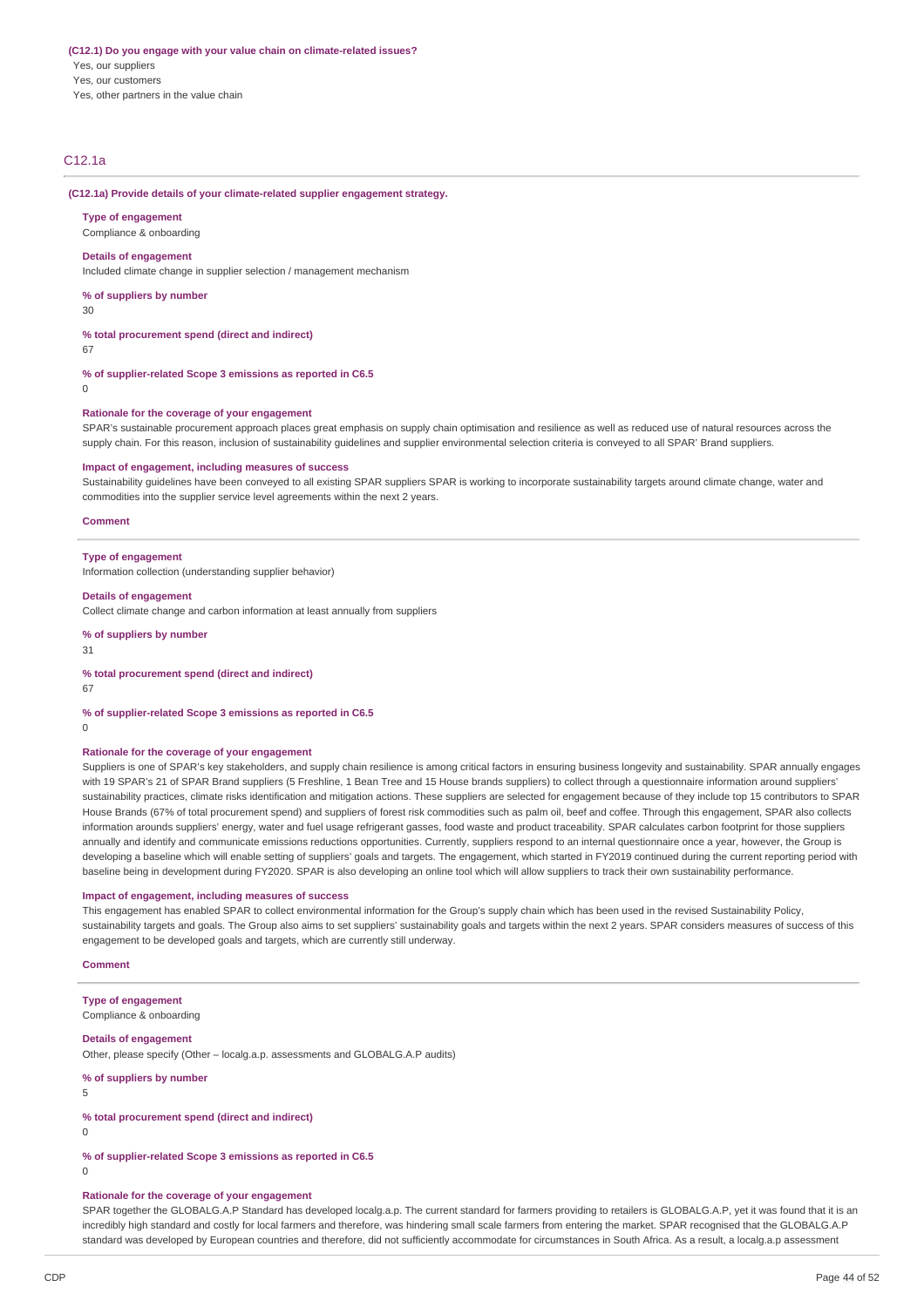### **(C12.1) Do you engage with your value chain on climate-related issues?** Yes, our suppliers Yes, our customers Yes, other partners in the value chain

C12.1a

#### **(C12.1a) Provide details of your climate-related supplier engagement strategy.**

**Type of engagement** Compliance & onboarding

### **Details of engagement**

Included climate change in supplier selection / management mechanism

**% of suppliers by number**

30

**% total procurement spend (direct and indirect)**

67

**% of supplier-related Scope 3 emissions as reported in C6.5**

 $\Omega$ 

#### **Rationale for the coverage of your engagement**

SPAR's sustainable procurement approach places great emphasis on supply chain optimisation and resilience as well as reduced use of natural resources across the supply chain. For this reason, inclusion of sustainability guidelines and supplier environmental selection criteria is conveyed to all SPAR' Brand suppliers.

### **Impact of engagement, including measures of success**

Sustainability guidelines have been conveyed to all existing SPAR suppliers SPAR is working to incorporate sustainability targets around climate change, water and commodities into the supplier service level agreements within the next 2 years.

#### **Comment**

#### **Type of engagement**

Information collection (understanding supplier behavior)

#### **Details of engagement**

Collect climate change and carbon information at least annually from suppliers

**% of suppliers by number**

31

#### **% total procurement spend (direct and indirect)**

67

### **% of supplier-related Scope 3 emissions as reported in C6.5**

 $\Omega$ 

# **Rationale for the coverage of your engagement**

Suppliers is one of SPAR's key stakeholders, and supply chain resilience is among critical factors in ensuring business longevity and sustainability. SPAR annually engages with 19 SPAR's 21 of SPAR Brand suppliers (5 Freshline, 1 Bean Tree and 15 House brands suppliers) to collect through a questionnaire information around suppliers' sustainability practices, climate risks identification and mitigation actions. These suppliers are selected for engagement because of they include top 15 contributors to SPAR House Brands (67% of total procurement spend) and suppliers of forest risk commodities such as palm oil, beef and coffee. Through this engagement, SPAR also collects information arounds suppliers' energy, water and fuel usage refrigerant gasses, food waste and product traceability. SPAR calculates carbon footprint for those suppliers annually and identify and communicate emissions reductions opportunities. Currently, suppliers respond to an internal questionnaire once a year, however, the Group is developing a baseline which will enable setting of suppliers' goals and targets. The engagement, which started in FY2019 continued during the current reporting period with baseline being in development during FY2020. SPAR is also developing an online tool which will allow suppliers to track their own sustainability performance.

### **Impact of engagement, including measures of success**

This engagement has enabled SPAR to collect environmental information for the Group's supply chain which has been used in the revised Sustainability Policy, sustainability targets and goals. The Group also aims to set suppliers' sustainability goals and targets within the next 2 years. SPAR considers measures of success of this engagement to be developed goals and targets, which are currently still underway.

### **Comment**

### **Type of engagement**

Compliance & onboarding

### **Details of engagement**

Other, please specify (Other – localg.a.p. assessments and GLOBALG.A.P audits)

### **% of suppliers by number**

5

#### **% total procurement spend (direct and indirect)**

0

# **% of supplier-related Scope 3 emissions as reported in C6.5**

 $\theta$ 

## **Rationale for the coverage of your engagement**

SPAR together the GLOBALG.A.P Standard has developed localg.a.p. The current standard for farmers providing to retailers is GLOBALG.A.P, yet it was found that it is an incredibly high standard and costly for local farmers and therefore, was hindering small scale farmers from entering the market. SPAR recognised that the GLOBALG.A.P standard was developed by European countries and therefore, did not sufficiently accommodate for circumstances in South Africa. As a result, a localg.a.p assessment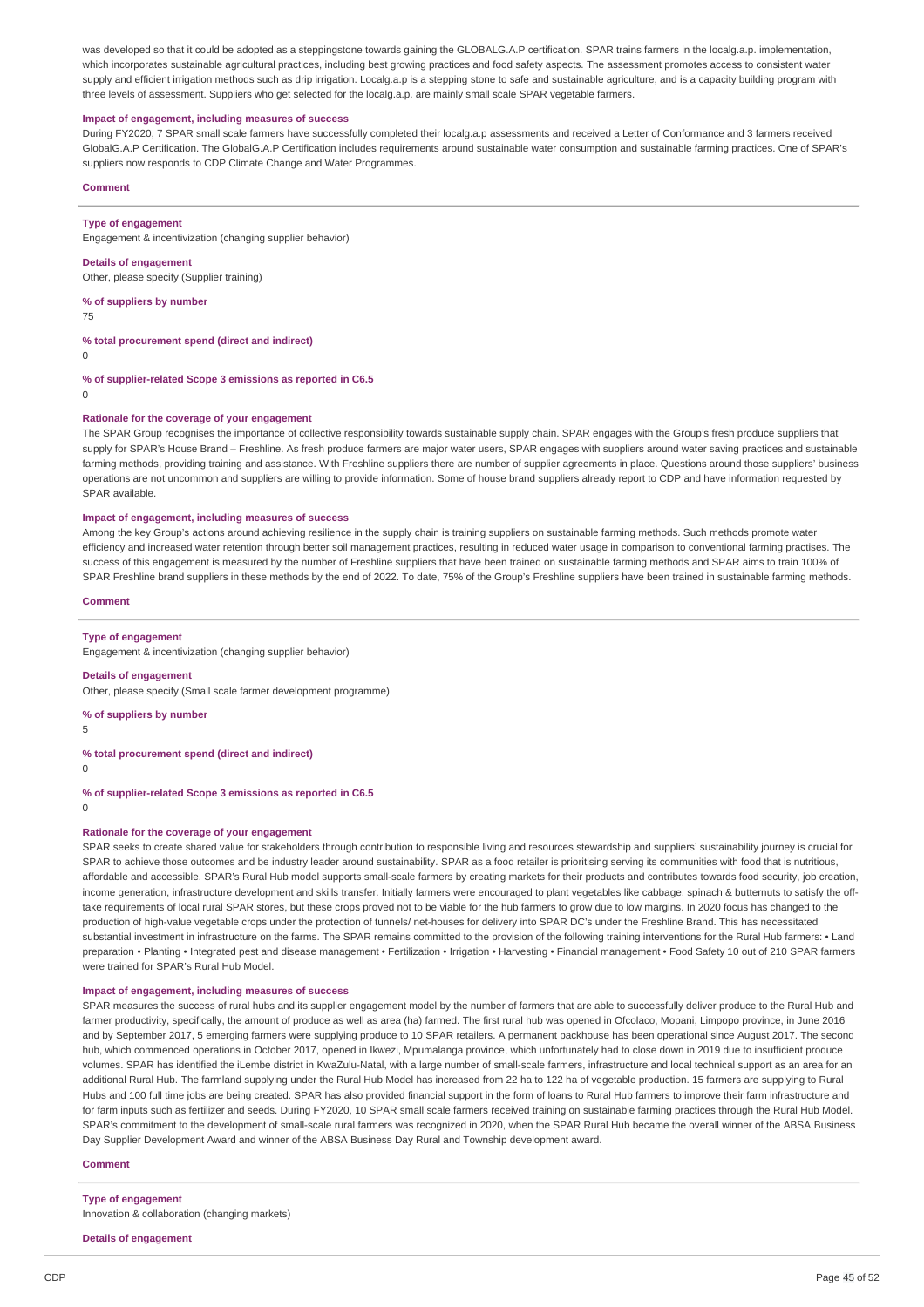was developed so that it could be adopted as a steppingstone towards gaining the GLOBALG.A.P certification. SPAR trains farmers in the localg.a.p. implementation. which incorporates sustainable agricultural practices, including best growing practices and food safety aspects. The assessment promotes access to consistent water supply and efficient irrigation methods such as drip irrigation. Localg.a.p is a stepping stone to safe and sustainable agriculture, and is a capacity building program with three levels of assessment. Suppliers who get selected for the localg.a.p. are mainly small scale SPAR vegetable farmers.

## **Impact of engagement, including measures of success**

During FY2020, 7 SPAR small scale farmers have successfully completed their localg.a.p assessments and received a Letter of Conformance and 3 farmers received GlobalG.A.P Certification. The GlobalG.A.P Certification includes requirements around sustainable water consumption and sustainable farming practices. One of SPAR's suppliers now responds to CDP Climate Change and Water Programmes.

#### **Comment**

#### **Type of engagement**

Engagement & incentivization (changing supplier behavior)

#### **Details of engagement**

Other, please specify (Supplier training)

### **% of suppliers by number**

75

### **% total procurement spend (direct and indirect)**

 $\Omega$ 

**% of supplier-related Scope 3 emissions as reported in C6.5**

 $\Omega$ 

#### **Rationale for the coverage of your engagement**

The SPAR Group recognises the importance of collective responsibility towards sustainable supply chain. SPAR engages with the Group's fresh produce suppliers that supply for SPAR's House Brand - Freshline. As fresh produce farmers are major water users, SPAR engages with suppliers around water saving practices and sustainable farming methods, providing training and assistance. With Freshline suppliers there are number of supplier agreements in place. Questions around those suppliers' business. operations are not uncommon and suppliers are willing to provide information. Some of house brand suppliers already report to CDP and have information requested by SPAR available.

### **Impact of engagement, including measures of success**

Among the key Group's actions around achieving resilience in the supply chain is training suppliers on sustainable farming methods. Such methods promote water efficiency and increased water retention through better soil management practices, resulting in reduced water usage in comparison to conventional farming practises. The success of this engagement is measured by the number of Freshline suppliers that have been trained on sustainable farming methods and SPAR aims to train 100% of SPAR Freshline brand suppliers in these methods by the end of 2022. To date, 75% of the Group's Freshline suppliers have been trained in sustainable farming methods.

## **Comment**

## **Type of engagement**

Engagement & incentivization (changing supplier behavior)

#### **Details of engagement**

Other, please specify (Small scale farmer development programme)

#### **% of suppliers by number**

5

# **% total procurement spend (direct and indirect)**

 $\Omega$ 

# **% of supplier-related Scope 3 emissions as reported in C6.5**

 $\theta$ 

## **Rationale for the coverage of your engagement**

SPAR seeks to create shared value for stakeholders through contribution to responsible living and resources stewardship and suppliers' sustainability journey is crucial for SPAR to achieve those outcomes and be industry leader around sustainability. SPAR as a food retailer is prioritising serving its communities with food that is nutritious. affordable and accessible. SPAR's Rural Hub model supports small-scale farmers by creating markets for their products and contributes towards food security, job creation, income generation, infrastructure development and skills transfer. Initially farmers were encouraged to plant vegetables like cabbage, spinach & butternuts to satisfy the offtake requirements of local rural SPAR stores, but these crops proved not to be viable for the hub farmers to grow due to low margins. In 2020 focus has changed to the production of high-value vegetable crops under the protection of tunnels/ net-houses for delivery into SPAR DC's under the Freshline Brand. This has necessitated substantial investment in infrastructure on the farms. The SPAR remains committed to the provision of the following training interventions for the Rural Hub farmers: • Land preparation • Planting • Integrated pest and disease management • Fertilization • Irrigation • Harvesting • Financial management • Food Safety 10 out of 210 SPAR farmers were trained for SPAR's Rural Hub Model.

### **Impact of engagement, including measures of success**

SPAR measures the success of rural hubs and its supplier engagement model by the number of farmers that are able to successfully deliver produce to the Rural Hub and farmer productivity, specifically, the amount of produce as well as area (ha) farmed. The first rural hub was opened in Ofcolaco, Mopani, Limpopo province, in June 2016 and by September 2017, 5 emerging farmers were supplying produce to 10 SPAR retailers. A permanent packhouse has been operational since August 2017. The second hub, which commenced operations in October 2017, opened in Ikwezi, Mpumalanga province, which unfortunately had to close down in 2019 due to insufficient produce volumes. SPAR has identified the iLembe district in KwaZulu-Natal, with a large number of small-scale farmers, infrastructure and local technical support as an area for an additional Rural Hub. The farmland supplying under the Rural Hub Model has increased from 22 ha to 122 ha of vegetable production. 15 farmers are supplying to Rural Hubs and 100 full time jobs are being created. SPAR has also provided financial support in the form of loans to Rural Hub farmers to improve their farm infrastructure and for farm inputs such as fertilizer and seeds. During FY2020, 10 SPAR small scale farmers received training on sustainable farming practices through the Rural Hub Model. SPAR's commitment to the development of small-scale rural farmers was recognized in 2020, when the SPAR Rural Hub became the overall winner of the ABSA Business Day Supplier Development Award and winner of the ABSA Business Day Rural and Township development award.

### **Comment**

### **Type of engagement**

Innovation & collaboration (changing markets)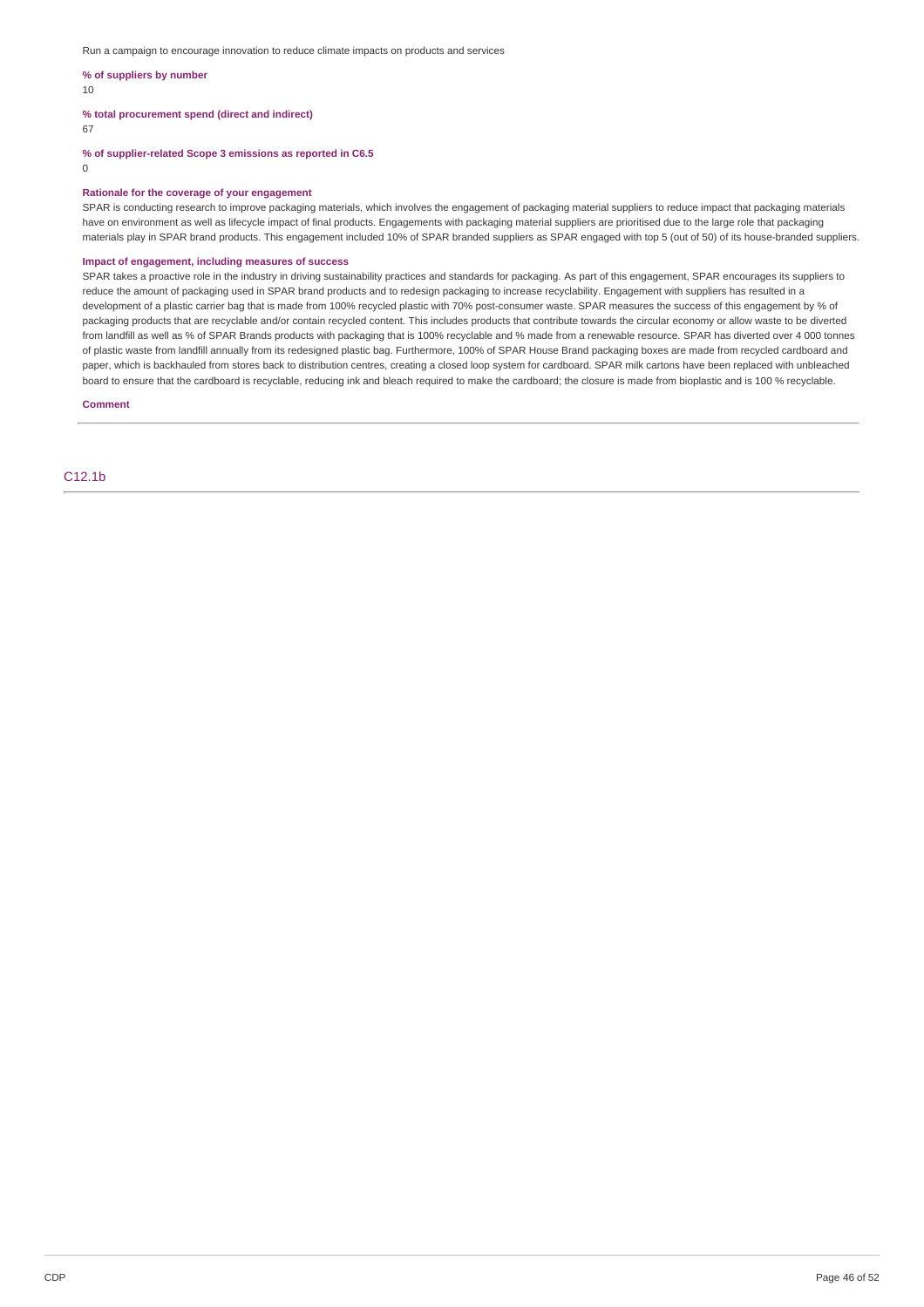Run a campaign to encourage innovation to reduce climate impacts on products and services

### **% of suppliers by number**

10

**% total procurement spend (direct and indirect)**

67

**% of supplier-related Scope 3 emissions as reported in C6.5**

 $\Omega$ 

### **Rationale for the coverage of your engagement**

SPAR is conducting research to improve packaging materials, which involves the engagement of packaging material suppliers to reduce impact that packaging materials have on environment as well as lifecycle impact of final products. Engagements with packaging material suppliers are prioritised due to the large role that packaging materials play in SPAR brand products. This engagement included 10% of SPAR branded suppliers as SPAR engaged with top 5 (out of 50) of its house-branded suppliers.

# **Impact of engagement, including measures of success**

SPAR takes a proactive role in the industry in driving sustainability practices and standards for packaging. As part of this engagement, SPAR encourages its suppliers to reduce the amount of packaging used in SPAR brand products and to redesign packaging to increase recyclability. Engagement with suppliers has resulted in a development of a plastic carrier bag that is made from 100% recycled plastic with 70% post-consumer waste. SPAR measures the success of this engagement by % of packaging products that are recyclable and/or contain recycled content. This includes products that contribute towards the circular economy or allow waste to be diverted from landfill as well as % of SPAR Brands products with packaging that is 100% recyclable and % made from a renewable resource. SPAR has diverted over 4 000 tonnes of plastic waste from landfill annually from its redesigned plastic bag. Furthermore, 100% of SPAR House Brand packaging boxes are made from recycled cardboard and paper, which is backhauled from stores back to distribution centres, creating a closed loop system for cardboard. SPAR milk cartons have been replaced with unbleached board to ensure that the cardboard is recyclable, reducing ink and bleach required to make the cardboard; the closure is made from bioplastic and is 100 % recyclable.

## **Comment**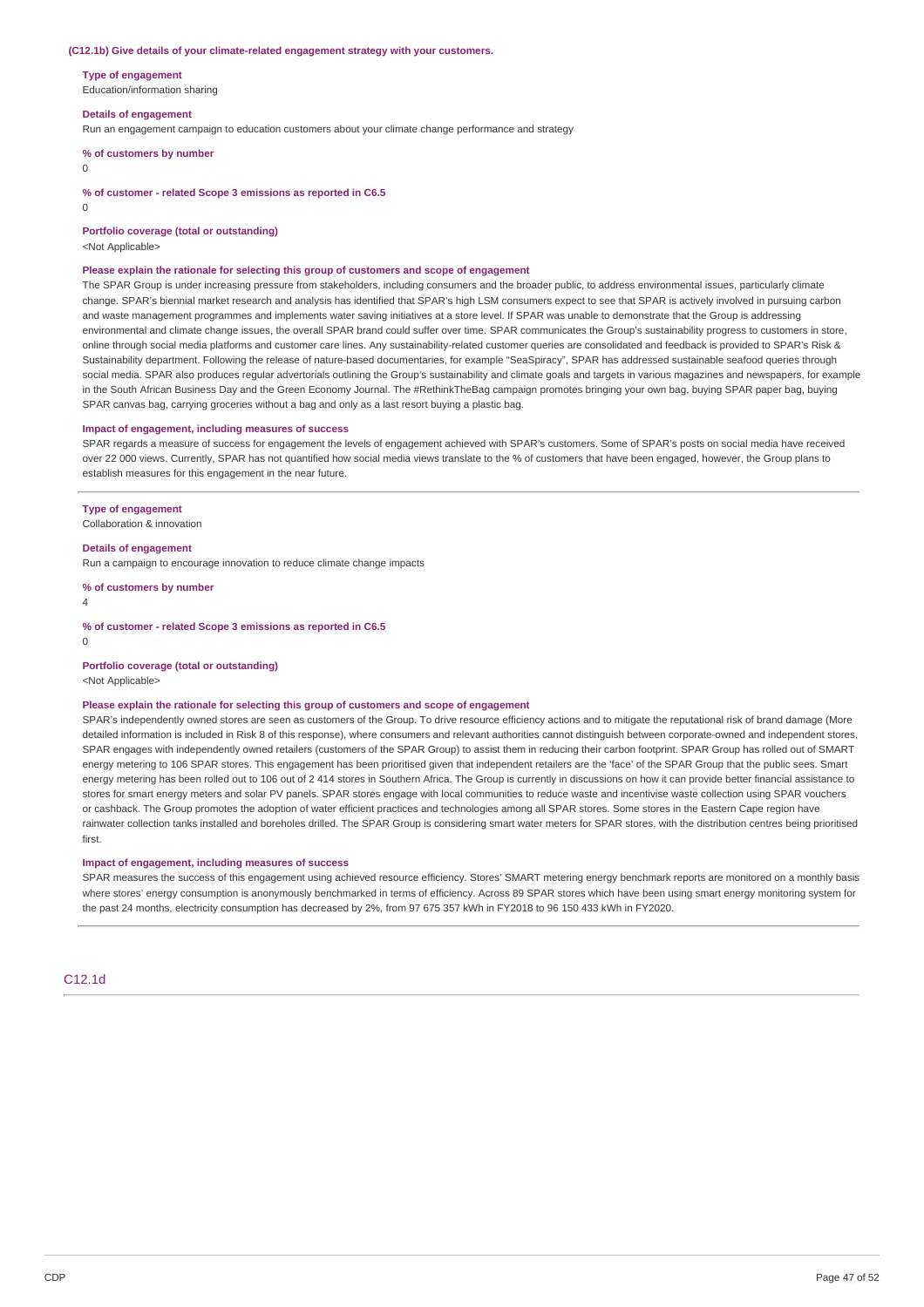#### **(C12.1b) Give details of your climate-related engagement strategy with your customers.**

**Type of engagement**

Education/information sharing

#### **Details of engagement**

Run an engagement campaign to education customers about your climate change performance and strategy

**% of customers by number**

 $\Omega$ 

**% of customer - related Scope 3 emissions as reported in C6.5**

 $\Omega$ 

**Portfolio coverage (total or outstanding)**

<Not Applicable>

#### **Please explain the rationale for selecting this group of customers and scope of engagement**

The SPAR Group is under increasing pressure from stakeholders, including consumers and the broader public, to address environmental issues, particularly climate change. SPAR's biennial market research and analysis has identified that SPAR's high LSM consumers expect to see that SPAR is actively involved in pursuing carbon and waste management programmes and implements water saving initiatives at a store level. If SPAR was unable to demonstrate that the Group is addressing environmental and climate change issues, the overall SPAR brand could suffer over time. SPAR communicates the Group's sustainability progress to customers in store, online through social media platforms and customer care lines. Any sustainability-related customer queries are consolidated and feedback is provided to SPAR's Risk & Sustainability department. Following the release of nature-based documentaries, for example "SeaSpiracy", SPAR has addressed sustainable seafood queries through social media. SPAR also produces regular advertorials outlining the Group's sustainability and climate goals and targets in various magazines and newspapers, for example in the South African Business Day and the Green Economy Journal. The #RethinkTheBag campaign promotes bringing your own bag, buying SPAR paper bag, buying SPAR canvas bag, carrying groceries without a bag and only as a last resort buying a plastic bag.

#### **Impact of engagement, including measures of success**

SPAR regards a measure of success for engagement the levels of engagement achieved with SPAR's customers. Some of SPAR's posts on social media have received over 22 000 views. Currently, SPAR has not quantified how social media views translate to the % of customers that have been engaged, however, the Group plans to establish measures for this engagement in the near future.

#### **Type of engagement**

Collaboration & innovation

**Details of engagement**

Run a campaign to encourage innovation to reduce climate change impacts

**% of customers by number**

4

**% of customer - related Scope 3 emissions as reported in C6.5**

 $\Omega$ 

#### **Portfolio coverage (total or outstanding)**

<Not Applicable>

### **Please explain the rationale for selecting this group of customers and scope of engagement**

SPAR's independently owned stores are seen as customers of the Group. To drive resource efficiency actions and to mitigate the reputational risk of brand damage (More detailed information is included in Risk 8 of this response), where consumers and relevant authorities cannot distinguish between corporate-owned and independent stores, SPAR engages with independently owned retailers (customers of the SPAR Group) to assist them in reducing their carbon footprint. SPAR Group has rolled out of SMART energy metering to 106 SPAR stores. This engagement has been prioritised given that independent retailers are the 'face' of the SPAR Group that the public sees. Smart energy metering has been rolled out to 106 out of 2 414 stores in Southern Africa. The Group is currently in discussions on how it can provide better financial assistance to stores for smart energy meters and solar PV panels. SPAR stores engage with local communities to reduce waste and incentivise waste collection using SPAR vouchers or cashback. The Group promotes the adoption of water efficient practices and technologies among all SPAR stores. Some stores in the Eastern Cape region have rainwater collection tanks installed and boreholes drilled. The SPAR Group is considering smart water meters for SPAR stores, with the distribution centres being prioritised first.

#### **Impact of engagement, including measures of success**

SPAR measures the success of this engagement using achieved resource efficiency. Stores' SMART metering energy benchmark reports are monitored on a monthly basis where stores' energy consumption is anonymously benchmarked in terms of efficiency. Across 89 SPAR stores which have been using smart energy monitoring system for the past 24 months, electricity consumption has decreased by 2%, from 97 675 357 kWh in FY2018 to 96 150 433 kWh in FY2020.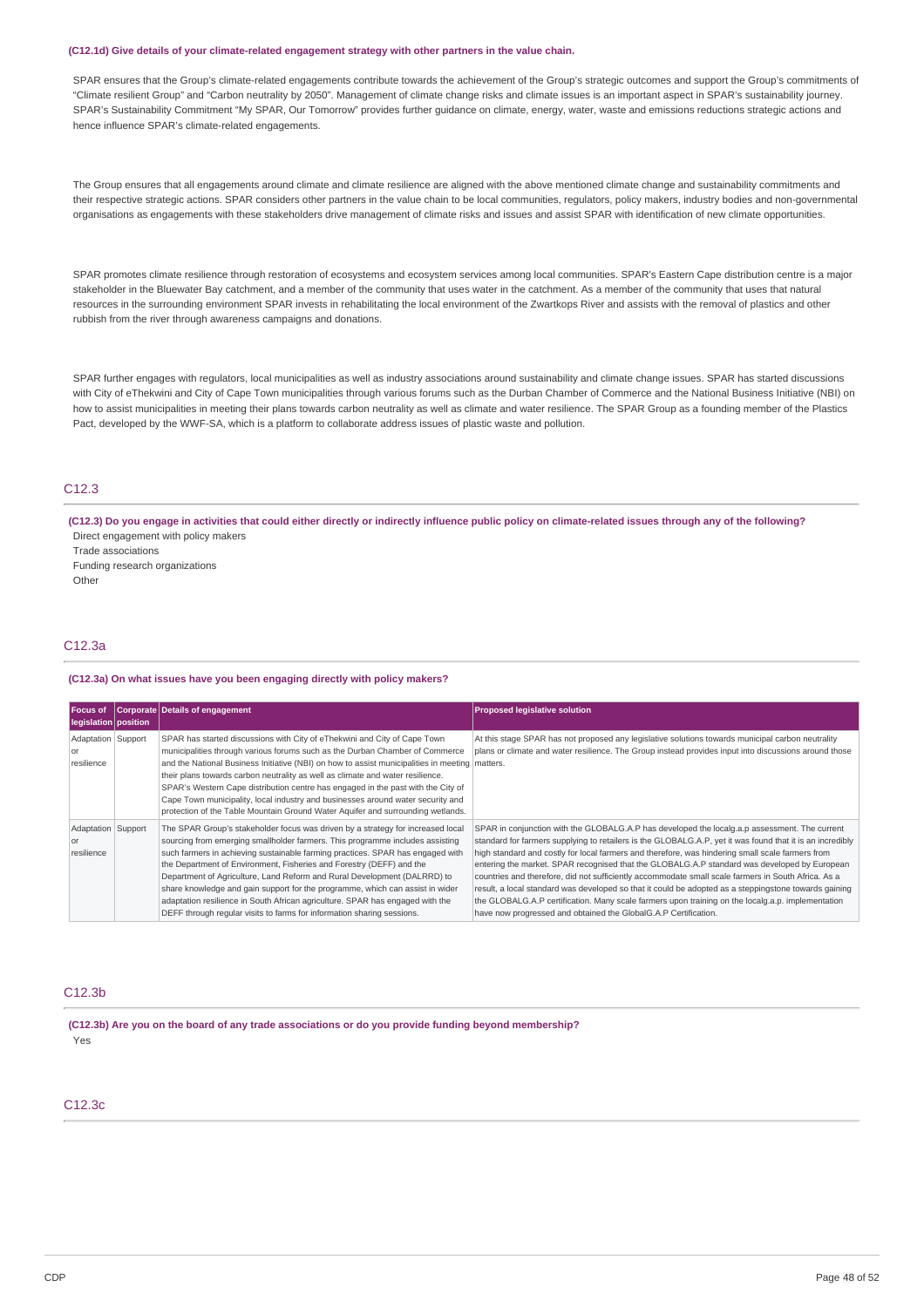#### **(C12.1d) Give details of your climate-related engagement strategy with other partners in the value chain.**

SPAR ensures that the Group's climate-related engagements contribute towards the achievement of the Group's strategic outcomes and support the Group's commitments of "Climate resilient Group" and "Carbon neutrality by 2050". Management of climate change risks and climate issues is an important aspect in SPAR's sustainability journey. SPAR's Sustainability Commitment "My SPAR, Our Tomorrow" provides further guidance on climate, energy, water, waste and emissions reductions strategic actions and hence influence SPAR's climate-related engagements.

The Group ensures that all engagements around climate and climate resilience are aligned with the above mentioned climate change and sustainability commitments and their respective strategic actions. SPAR considers other partners in the value chain to be local communities, regulators, policy makers, industry bodies and non-governmental organisations as engagements with these stakeholders drive management of climate risks and issues and assist SPAR with identification of new climate opportunities.

SPAR promotes climate resilience through restoration of ecosystems and ecosystem services among local communities. SPAR's Eastern Cape distribution centre is a major stakeholder in the Bluewater Bay catchment, and a member of the community that uses water in the catchment. As a member of the community that uses that natural resources in the surrounding environment SPAR invests in rehabilitating the local environment of the Zwartkops River and assists with the removal of plastics and other rubbish from the river through awareness campaigns and donations.

SPAR further engages with regulators, local municipalities as well as industry associations around sustainability and climate change issues. SPAR has started discussions with City of eThekwini and City of Cape Town municipalities through various forums such as the Durban Chamber of Commerce and the National Business Initiative (NBI) on how to assist municipalities in meeting their plans towards carbon neutrality as well as climate and water resilience. The SPAR Group as a founding member of the Plastics Pact, developed by the WWF-SA, which is a platform to collaborate address issues of plastic waste and pollution.

# C12.3

(C12.3) Do you engage in activities that could either directly or indirectly influence public policy on climate-related issues through any of the following? Direct engagement with policy makers Trade associations Funding research organizations Other

## C12.3a

#### **(C12.3a) On what issues have you been engaging directly with policy makers?**

| <b>Focus of</b><br>legislation position       | Corporate Details of engagement                                                                                                                                                                                                                                                                                                                                                                                                                                                                                                                                                                                                                    | <b>Proposed legislative solution</b>                                                                                                                                                                                                                                                                                                                                                                                                                                                                                                                                                                                                                                                                                                                                                                   |
|-----------------------------------------------|----------------------------------------------------------------------------------------------------------------------------------------------------------------------------------------------------------------------------------------------------------------------------------------------------------------------------------------------------------------------------------------------------------------------------------------------------------------------------------------------------------------------------------------------------------------------------------------------------------------------------------------------------|--------------------------------------------------------------------------------------------------------------------------------------------------------------------------------------------------------------------------------------------------------------------------------------------------------------------------------------------------------------------------------------------------------------------------------------------------------------------------------------------------------------------------------------------------------------------------------------------------------------------------------------------------------------------------------------------------------------------------------------------------------------------------------------------------------|
| Adaptation Support<br><b>or</b><br>resilience | SPAR has started discussions with City of eThekwini and City of Cape Town<br>municipalities through various forums such as the Durban Chamber of Commerce<br>and the National Business Initiative (NBI) on how to assist municipalities in meeting matters.<br>their plans towards carbon neutrality as well as climate and water resilience.<br>SPAR's Western Cape distribution centre has engaged in the past with the City of<br>Cape Town municipality, local industry and businesses around water security and<br>protection of the Table Mountain Ground Water Aquifer and surrounding wetlands.                                            | At this stage SPAR has not proposed any legislative solutions towards municipal carbon neutrality<br>plans or climate and water resilience. The Group instead provides input into discussions around those                                                                                                                                                                                                                                                                                                                                                                                                                                                                                                                                                                                             |
| Adaptation Support<br><b>or</b><br>resilience | The SPAR Group's stakeholder focus was driven by a strategy for increased local<br>sourcing from emerging smallholder farmers. This programme includes assisting<br>such farmers in achieving sustainable farming practices. SPAR has engaged with<br>the Department of Environment, Fisheries and Forestry (DEFF) and the<br>Department of Agriculture, Land Reform and Rural Development (DALRRD) to<br>share knowledge and gain support for the programme, which can assist in wider<br>adaptation resilience in South African agriculture. SPAR has engaged with the<br>DEFF through regular visits to farms for information sharing sessions. | SPAR in conjunction with the GLOBALG.A.P has developed the localg.a.p assessment. The current<br>standard for farmers supplying to retailers is the GLOBALG.A.P, yet it was found that it is an incredibly<br>high standard and costly for local farmers and therefore, was hindering small scale farmers from<br>entering the market. SPAR recognised that the GLOBALG.A.P standard was developed by European<br>countries and therefore, did not sufficiently accommodate small scale farmers in South Africa. As a<br>result, a local standard was developed so that it could be adopted as a steppingstone towards gaining<br>the GLOBALG.A.P certification. Many scale farmers upon training on the localg.a.p. implementation<br>have now progressed and obtained the GlobalG.A.P Certification. |

# C12.3b

**(C12.3b) Are you on the board of any trade associations or do you provide funding beyond membership?** Yes

# C12.3c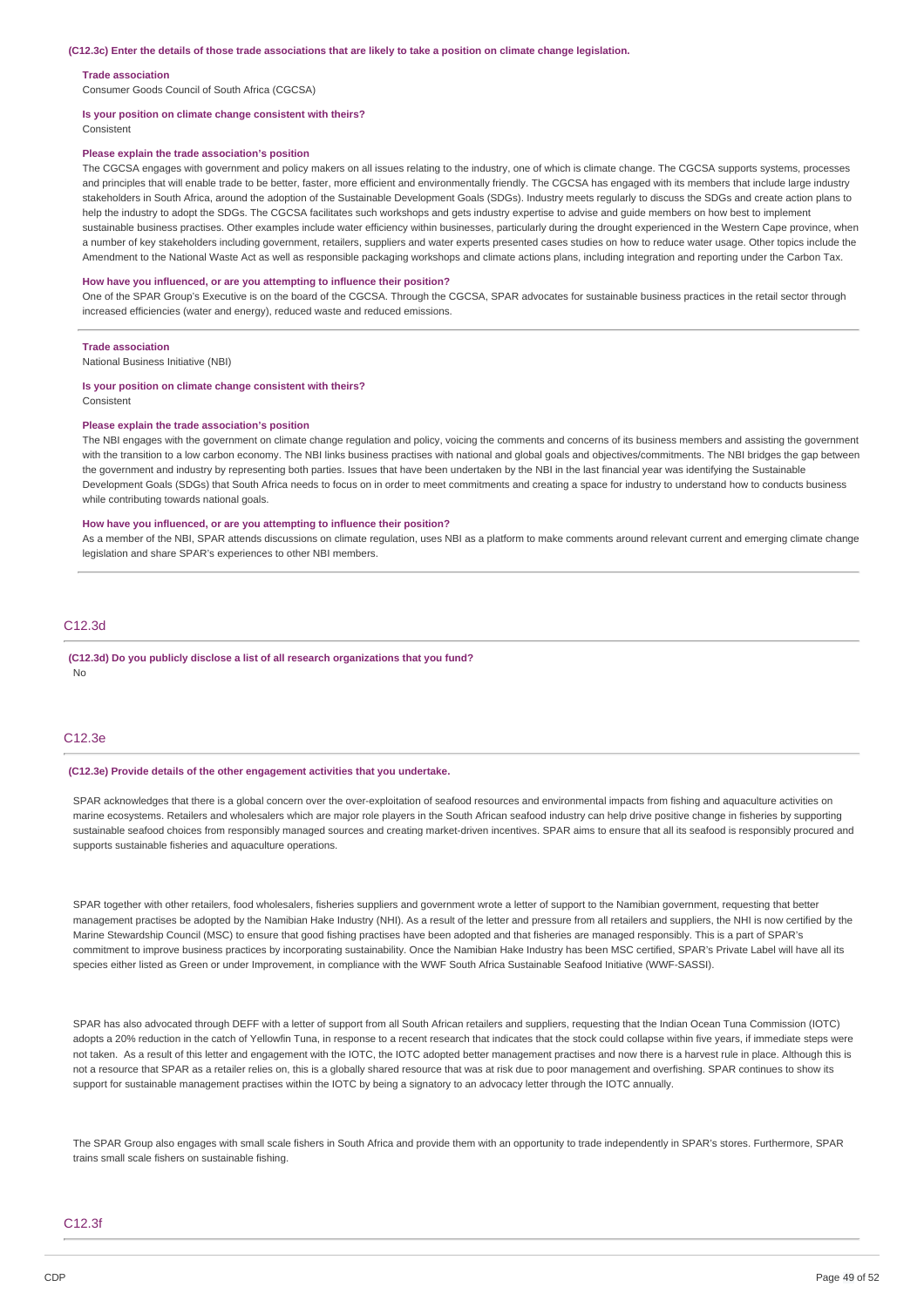#### **Trade association**

Consumer Goods Council of South Africa (CGCSA)

#### **Is your position on climate change consistent with theirs?**

Consistent

### **Please explain the trade association's position**

The CGCSA engages with government and policy makers on all issues relating to the industry, one of which is climate change. The CGCSA supports systems, processes and principles that will enable trade to be better, faster, more efficient and environmentally friendly. The CGCSA has engaged with its members that include large industry stakeholders in South Africa, around the adoption of the Sustainable Development Goals (SDGs). Industry meets regularly to discuss the SDGs and create action plans to help the industry to adopt the SDGs. The CGCSA facilitates such workshops and gets industry expertise to advise and guide members on how best to implement sustainable business practises. Other examples include water efficiency within businesses, particularly during the drought experienced in the Western Cape province, when a number of key stakeholders including government, retailers, suppliers and water experts presented cases studies on how to reduce water usage. Other topics include the Amendment to the National Waste Act as well as responsible packaging workshops and climate actions plans, including integration and reporting under the Carbon Tax.

#### **How have you influenced, or are you attempting to influence their position?**

One of the SPAR Group's Executive is on the board of the CGCSA. Through the CGCSA, SPAR advocates for sustainable business practices in the retail sector through increased efficiencies (water and energy), reduced waste and reduced emissions.

#### **Trade association**

National Business Initiative (NBI)

#### **Is your position on climate change consistent with theirs?**

Consistent

#### **Please explain the trade association's position**

The NBI engages with the government on climate change regulation and policy, voicing the comments and concerns of its business members and assisting the government with the transition to a low carbon economy. The NBI links business practises with national and global goals and objectives/commitments. The NBI bridges the gap between the government and industry by representing both parties. Issues that have been undertaken by the NBI in the last financial year was identifying the Sustainable Development Goals (SDGs) that South Africa needs to focus on in order to meet commitments and creating a space for industry to understand how to conducts business while contributing towards national goals.

### **How have you influenced, or are you attempting to influence their position?**

As a member of the NBI, SPAR attends discussions on climate regulation, uses NBI as a platform to make comments around relevant current and emerging climate change legislation and share SPAR's experiences to other NBI members.

## C12.3d

**(C12.3d) Do you publicly disclose a list of all research organizations that you fund?** No

## C12.3e

### **(C12.3e) Provide details of the other engagement activities that you undertake.**

SPAR acknowledges that there is a global concern over the over-exploitation of seafood resources and environmental impacts from fishing and aquaculture activities on marine ecosystems. Retailers and wholesalers which are major role players in the South African seafood industry can help drive positive change in fisheries by supporting sustainable seafood choices from responsibly managed sources and creating market-driven incentives. SPAR aims to ensure that all its seafood is responsibly procured and supports sustainable fisheries and aquaculture operations.

SPAR together with other retailers, food wholesalers, fisheries suppliers and government wrote a letter of support to the Namibian government, requesting that better management practises be adopted by the Namibian Hake Industry (NHI). As a result of the letter and pressure from all retailers and suppliers, the NHI is now certified by the Marine Stewardship Council (MSC) to ensure that good fishing practises have been adopted and that fisheries are managed responsibly. This is a part of SPAR's commitment to improve business practices by incorporating sustainability. Once the Namibian Hake Industry has been MSC certified, SPAR's Private Label will have all its species either listed as Green or under Improvement, in compliance with the WWF South Africa Sustainable Seafood Initiative (WWF-SASSI).

SPAR has also advocated through DEFF with a letter of support from all South African retailers and suppliers, requesting that the Indian Ocean Tuna Commission (IOTC) adopts a 20% reduction in the catch of Yellowfin Tuna, in response to a recent research that indicates that the stock could collapse within five years, if immediate steps were not taken. As a result of this letter and engagement with the IOTC, the IOTC adopted better management practises and now there is a harvest rule in place. Although this is not a resource that SPAR as a retailer relies on, this is a globally shared resource that was at risk due to poor management and overfishing. SPAR continues to show its support for sustainable management practises within the IOTC by being a signatory to an advocacy letter through the IOTC annually.

The SPAR Group also engages with small scale fishers in South Africa and provide them with an opportunity to trade independently in SPAR's stores. Furthermore, SPAR trains small scale fishers on sustainable fishing.

## C12.3f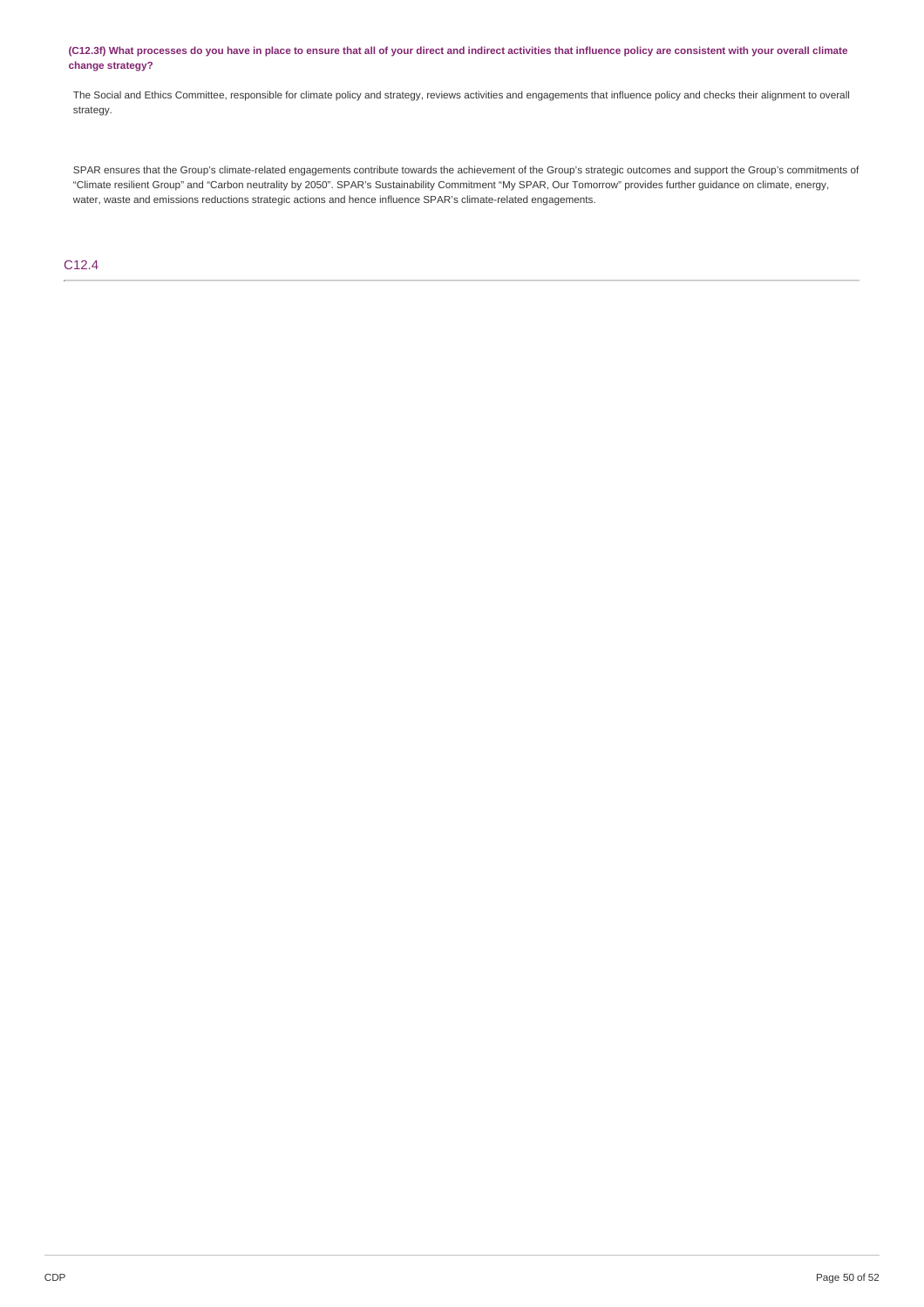### (C12.3f) What processes do you have in place to ensure that all of your direct and indirect activities that influence policy are consistent with your overall climate **change strategy?**

The Social and Ethics Committee, responsible for climate policy and strategy, reviews activities and engagements that influence policy and checks their alignment to overall strategy.

SPAR ensures that the Group's climate-related engagements contribute towards the achievement of the Group's strategic outcomes and support the Group's commitments of "Climate resilient Group" and "Carbon neutrality by 2050". SPAR's Sustainability Commitment "My SPAR, Our Tomorrow" provides further guidance on climate, energy, water, waste and emissions reductions strategic actions and hence influence SPAR's climate-related engagements.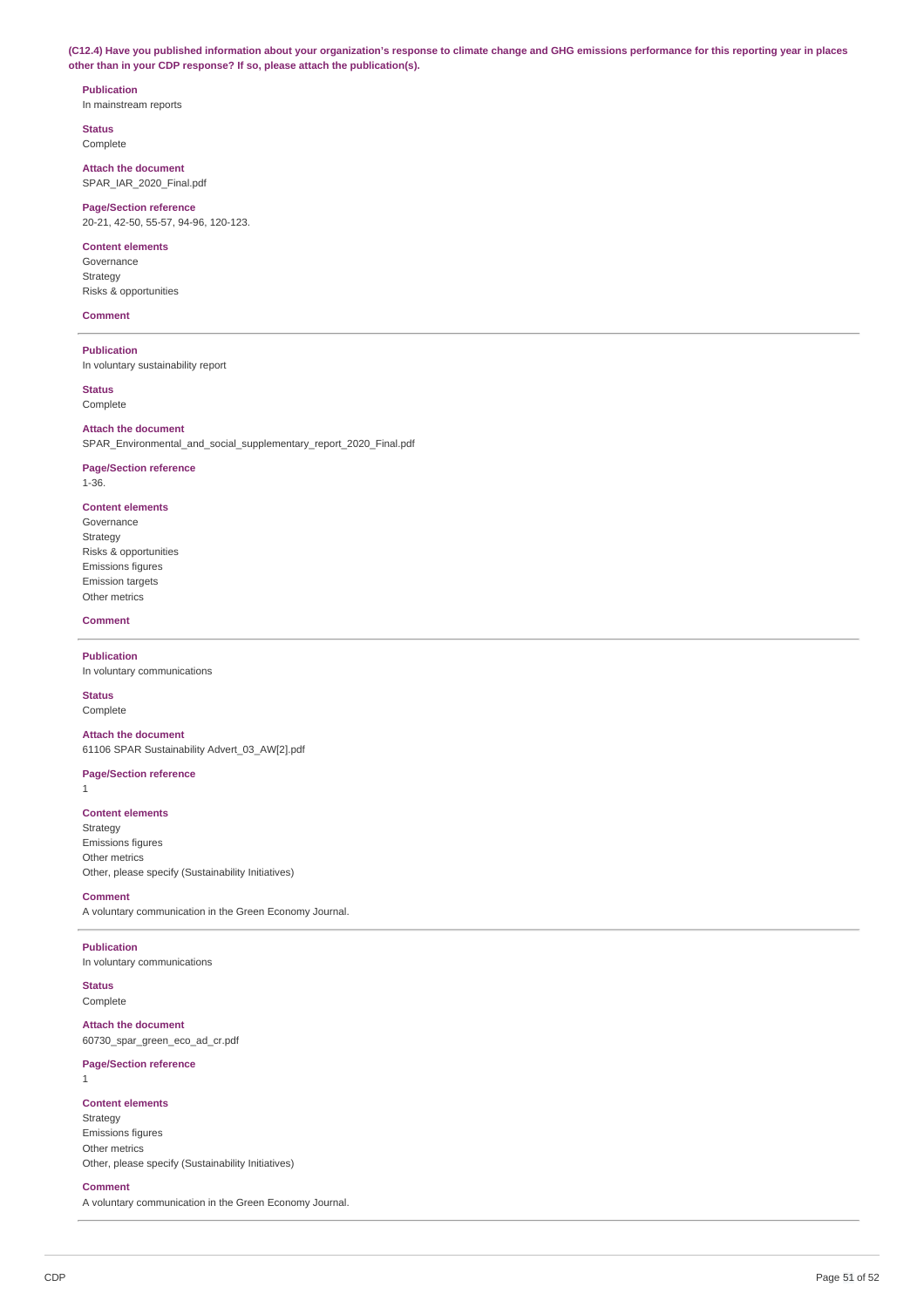(C12.4) Have you published information about your organization's response to climate change and GHG emissions performance for this reporting year in places **other than in your CDP response? If so, please attach the publication(s).**

## **Publication** In mainstream reports

**Status**

Complete

**Attach the document** SPAR\_IAR\_2020\_Final.pdf

**Page/Section reference** 20-21, 42-50, 55-57, 94-96, 120-123.

## **Content elements**

Governance Strategy Risks & opportunities

## **Comment**

**Publication** In voluntary sustainability report

**Status** Complete

## **Attach the document**

SPAR\_Environmental\_and\_social\_supplementary\_report\_2020\_Final.pdf

# **Page/Section reference**

1-36.

# **Content elements**

Governance Strategy Risks & opportunities Emissions figures Emission targets Other metrics

### **Comment**

**Publication**

In voluntary communications

# **Status**

Complete

**Attach the document** 61106 SPAR Sustainability Advert\_03\_AW[2].pdf

# **Page/Section reference**

1

# **Content elements**

Strategy Emissions figures Other metrics Other, please specify (Sustainability Initiatives)

### **Comment**

A voluntary communication in the Green Economy Journal.

# **Publication**

In voluntary communications

**Status** Complete

### **Attach the document**

60730\_spar\_green\_eco\_ad\_cr.pdf

## **Page/Section reference**

1

### **Content elements**

Strategy Emissions figures Other metrics Other, please specify (Sustainability Initiatives)

### **Comment**

A voluntary communication in the Green Economy Journal.